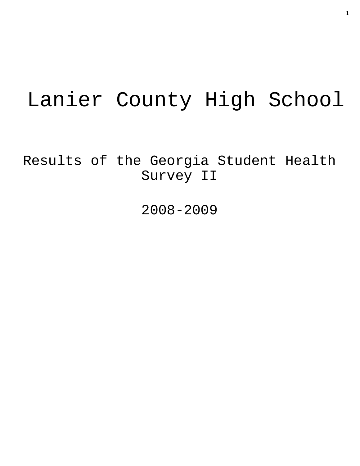# Lanier County High School

Results of the Georgia Student Health Survey II

2008-2009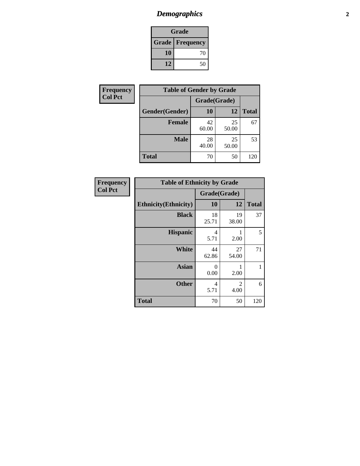# *Demographics* **2**

| Grade                    |    |  |  |
|--------------------------|----|--|--|
| <b>Grade   Frequency</b> |    |  |  |
| 10                       | 70 |  |  |
| 12                       | 50 |  |  |

| <b>Frequency</b> | <b>Table of Gender by Grade</b> |              |             |              |  |
|------------------|---------------------------------|--------------|-------------|--------------|--|
| <b>Col Pct</b>   |                                 | Grade(Grade) |             |              |  |
|                  | Gender(Gender)                  | 10           | 12          | <b>Total</b> |  |
|                  | <b>Female</b>                   | 42<br>60.00  | 25<br>50.00 | 67           |  |
|                  | <b>Male</b>                     | 28<br>40.00  | 25<br>50.00 | 53           |  |
|                  | <b>Total</b>                    | 70           | 50          | 120          |  |

| Frequency      |
|----------------|
| <b>Col Pct</b> |

| <b>Table of Ethnicity by Grade</b> |             |              |              |  |  |
|------------------------------------|-------------|--------------|--------------|--|--|
|                                    |             | Grade(Grade) |              |  |  |
| <b>Ethnicity</b> (Ethnicity)       | 10          | 12           | <b>Total</b> |  |  |
| <b>Black</b>                       | 18<br>25.71 | 19<br>38.00  | 37           |  |  |
| <b>Hispanic</b>                    | 4<br>5.71   | 1<br>2.00    | 5            |  |  |
| White                              | 44<br>62.86 | 27<br>54.00  | 71           |  |  |
| <b>Asian</b>                       | 0<br>0.00   | 1<br>2.00    | 1            |  |  |
| <b>Other</b>                       | 4<br>5.71   | 2<br>4.00    | 6            |  |  |
| <b>Total</b>                       | 70          | 50           | 120          |  |  |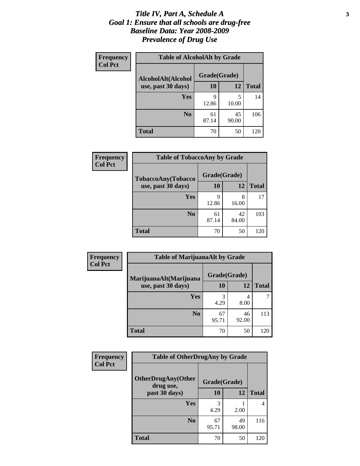#### *Title IV, Part A, Schedule A* **3** *Goal 1: Ensure that all schools are drug-free Baseline Data: Year 2008-2009 Prevalence of Drug Use*

| Frequency<br><b>Col Pct</b> | <b>Table of AlcoholAlt by Grade</b> |              |             |              |  |  |
|-----------------------------|-------------------------------------|--------------|-------------|--------------|--|--|
|                             | AlcoholAlt(Alcohol                  | Grade(Grade) |             |              |  |  |
|                             | use, past 30 days)                  | <b>10</b>    | 12          | <b>Total</b> |  |  |
|                             | Yes                                 | 9<br>12.86   | 5<br>10.00  | 14           |  |  |
|                             | N <sub>0</sub>                      | 61<br>87.14  | 45<br>90.00 | 106          |  |  |
|                             | <b>Total</b>                        | 70           | 50          | 120          |  |  |

| Frequency      | <b>Table of TobaccoAny by Grade</b> |              |             |              |  |
|----------------|-------------------------------------|--------------|-------------|--------------|--|
| <b>Col Pct</b> | TobaccoAny(Tobacco                  | Grade(Grade) |             |              |  |
|                | use, past 30 days)                  | 10           | 12          | <b>Total</b> |  |
|                | Yes                                 | q<br>12.86   | 8<br>16.00  | 17           |  |
|                | N <sub>0</sub>                      | 61<br>87.14  | 42<br>84.00 | 103          |  |
|                | <b>Total</b>                        | 70           | 50          | 120          |  |

| Frequency                                                      | <b>Table of MarijuanaAlt by Grade</b> |              |              |     |  |
|----------------------------------------------------------------|---------------------------------------|--------------|--------------|-----|--|
| <b>Col Pct</b><br>MarijuanaAlt(Marijuana<br>use, past 30 days) |                                       | Grade(Grade) |              |     |  |
|                                                                | 10                                    | 12           | <b>Total</b> |     |  |
|                                                                | Yes                                   | 3<br>4.29    | 4<br>8.00    |     |  |
|                                                                | N <sub>0</sub>                        | 67<br>95.71  | 46<br>92.00  | 113 |  |
|                                                                | <b>Total</b>                          | 70           | 50           | 120 |  |

| <b>Frequency</b> | <b>Table of OtherDrugAny by Grade</b>  |              |              |     |  |
|------------------|----------------------------------------|--------------|--------------|-----|--|
| <b>Col Pct</b>   | <b>OtherDrugAny(Other</b><br>drug use, | Grade(Grade) |              |     |  |
| past 30 days)    | 10                                     | 12           | <b>Total</b> |     |  |
|                  | Yes                                    | 3<br>4.29    | 2.00         | 4   |  |
|                  | N <sub>0</sub>                         | 67<br>95.71  | 49<br>98.00  | 116 |  |
|                  | <b>Total</b>                           | 70           | 50           | 120 |  |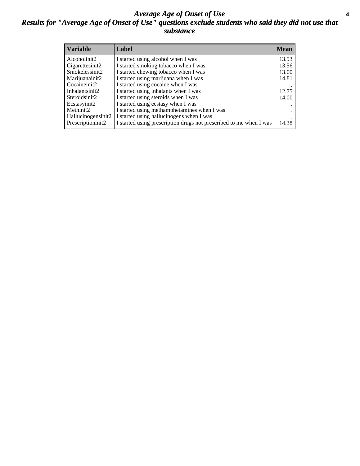#### *Average Age of Onset of Use* **4** *Results for "Average Age of Onset of Use" questions exclude students who said they did not use that substance*

| <b>Variable</b>    | Label                                                              | <b>Mean</b> |
|--------------------|--------------------------------------------------------------------|-------------|
| Alcoholinit2       | I started using alcohol when I was                                 | 13.93       |
| Cigarettesinit2    | I started smoking tobacco when I was                               | 13.56       |
| Smokelessinit2     | I started chewing tobacco when I was                               | 13.00       |
| Marijuanainit2     | I started using marijuana when I was                               | 14.81       |
| Cocaineinit2       | I started using cocaine when I was                                 |             |
| Inhalantsinit2     | I started using inhalants when I was                               | 12.75       |
| Steroidsinit2      | I started using steroids when I was                                | 14.00       |
| Ecstasyinit2       | I started using ecstasy when I was                                 |             |
| Methinit2          | I started using methamphetamines when I was                        |             |
| Hallucinogensinit2 | I started using hallucinogens when I was                           |             |
| Prescriptioninit2  | I started using prescription drugs not prescribed to me when I was | 14.38       |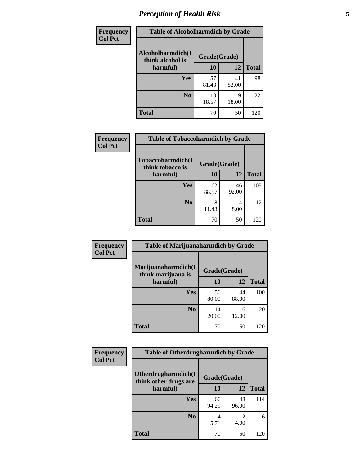# *Perception of Health Risk* **5**

| Frequency      | <b>Table of Alcoholharmdich by Grade</b>          |              |             |              |
|----------------|---------------------------------------------------|--------------|-------------|--------------|
| <b>Col Pct</b> | Alcoholharmdich(I<br>think alcohol is<br>harmful) | Grade(Grade) |             |              |
|                |                                                   | 10           | 12          | <b>Total</b> |
|                | Yes                                               | 57<br>81.43  | 41<br>82.00 | 98           |
|                | N <sub>0</sub>                                    | 13<br>18.57  | q<br>18.00  | 22           |
|                | <b>Total</b>                                      | 70           | 50          | 120          |

| Frequency      | <b>Table of Tobaccoharmdich by Grade</b> |              |             |              |
|----------------|------------------------------------------|--------------|-------------|--------------|
| <b>Col Pct</b> | Tobaccoharmdich(I<br>think tobacco is    | Grade(Grade) |             |              |
|                | harmful)                                 | 10           | 12          | <b>Total</b> |
|                | Yes                                      | 62<br>88.57  | 46<br>92.00 | 108          |
|                | N <sub>0</sub>                           | 8<br>11.43   | 4<br>8.00   | 12           |
|                | <b>Total</b>                             | 70           | 50          | 120          |

| Frequency      | <b>Table of Marijuanaharmdich by Grade</b>            |              |             |              |  |
|----------------|-------------------------------------------------------|--------------|-------------|--------------|--|
| <b>Col Pct</b> | Marijuanaharmdich(I<br>think marijuana is<br>harmful) | Grade(Grade) |             |              |  |
|                |                                                       | 10           | 12          | <b>Total</b> |  |
|                | Yes                                                   | 56<br>80.00  | 44<br>88.00 | 100          |  |
|                | N <sub>0</sub>                                        | 14<br>20.00  | 6<br>12.00  | 20           |  |
|                | <b>Total</b>                                          | 70           | 50          | 120          |  |

| Frequency      | <b>Table of Otherdrugharmdich by Grade</b>   |              |             |              |  |  |
|----------------|----------------------------------------------|--------------|-------------|--------------|--|--|
| <b>Col Pct</b> | Otherdrugharmdich(I<br>think other drugs are | Grade(Grade) |             |              |  |  |
|                | harmful)                                     | <b>10</b>    | 12          | <b>Total</b> |  |  |
|                | <b>Yes</b>                                   | 66<br>94.29  | 48<br>96.00 | 114          |  |  |
|                | N <sub>0</sub>                               | 5.71         | 4.00        | 6            |  |  |
|                | <b>Total</b>                                 | 70           | 50          | 120          |  |  |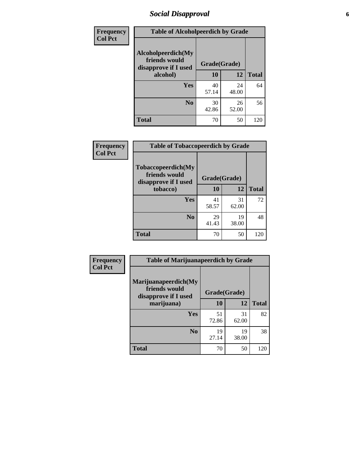# *Social Disapproval* **6**

| <b>Frequency</b> | <b>Table of Alcoholpeerdich by Grade</b>                    |              |             |              |
|------------------|-------------------------------------------------------------|--------------|-------------|--------------|
| <b>Col Pct</b>   | Alcoholpeerdich(My<br>friends would<br>disapprove if I used | Grade(Grade) |             |              |
|                  | alcohol)                                                    | 10           | 12          | <b>Total</b> |
|                  | <b>Yes</b>                                                  | 40<br>57.14  | 24<br>48.00 | 64           |
|                  | N <sub>0</sub>                                              | 30<br>42.86  | 26<br>52.00 | 56           |
|                  | <b>Total</b>                                                | 70           | 50          | 120          |

| <b>Frequency</b> |
|------------------|
| <b>Col Pct</b>   |

| <b>Table of Tobaccopeerdich by Grade</b>                            |              |             |              |  |  |
|---------------------------------------------------------------------|--------------|-------------|--------------|--|--|
| <b>Tobaccopeerdich</b> (My<br>friends would<br>disapprove if I used | Grade(Grade) |             |              |  |  |
| tobacco)                                                            | 10           | 12          | <b>Total</b> |  |  |
| Yes                                                                 | 41<br>58.57  | 31<br>62.00 | 72           |  |  |
| N <sub>0</sub>                                                      | 29<br>41.43  | 19<br>38.00 | 48           |  |  |
| <b>Total</b>                                                        | 70           | 50          | 120          |  |  |

| Frequency      | <b>Table of Marijuanapeerdich by Grade</b>                    |              |             |              |  |  |
|----------------|---------------------------------------------------------------|--------------|-------------|--------------|--|--|
| <b>Col Pct</b> | Marijuanapeerdich(My<br>friends would<br>disapprove if I used | Grade(Grade) |             |              |  |  |
|                | marijuana)                                                    | 10           | 12          | <b>Total</b> |  |  |
|                | <b>Yes</b>                                                    | 51<br>72.86  | 31<br>62.00 | 82           |  |  |
|                | N <sub>0</sub>                                                | 19<br>27.14  | 19<br>38.00 | 38           |  |  |
|                | <b>Total</b>                                                  | 70           | 50          | 120          |  |  |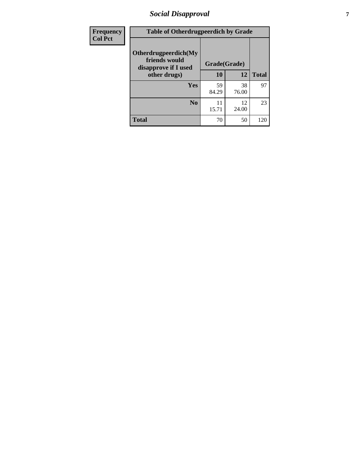# *Social Disapproval* **7**

| Frequency      | <b>Table of Otherdrugpeerdich by Grade</b>                    |              |             |              |  |  |  |
|----------------|---------------------------------------------------------------|--------------|-------------|--------------|--|--|--|
| <b>Col Pct</b> | Otherdrugpeerdich(My<br>friends would<br>disapprove if I used | Grade(Grade) |             |              |  |  |  |
|                | other drugs)                                                  | 10           | 12          | <b>Total</b> |  |  |  |
|                | Yes                                                           | 59<br>84.29  | 38<br>76.00 | 97           |  |  |  |
|                | N <sub>0</sub>                                                | 11<br>15.71  | 12<br>24.00 | 23           |  |  |  |
|                | <b>Total</b>                                                  | 70           | 50          | 120          |  |  |  |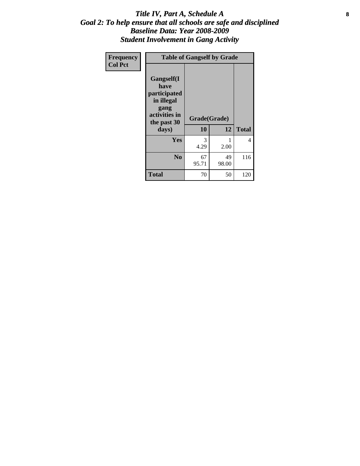#### Title IV, Part A, Schedule A **8** *Goal 2: To help ensure that all schools are safe and disciplined Baseline Data: Year 2008-2009 Student Involvement in Gang Activity*

| Frequency      |                                                                                                   | <b>Table of Gangself by Grade</b> |             |              |  |  |
|----------------|---------------------------------------------------------------------------------------------------|-----------------------------------|-------------|--------------|--|--|
| <b>Col Pct</b> | Gangself(I<br>have<br>participated<br>in illegal<br>gang<br>activities in<br>the past 30<br>days) | Grade(Grade)<br>10                | 12          | <b>Total</b> |  |  |
|                | Yes                                                                                               | 3<br>4.29                         | 1<br>2.00   | 4            |  |  |
|                | N <sub>0</sub>                                                                                    | 67<br>95.71                       | 49<br>98.00 | 116          |  |  |
|                | Total                                                                                             | 70                                | 50          | 120          |  |  |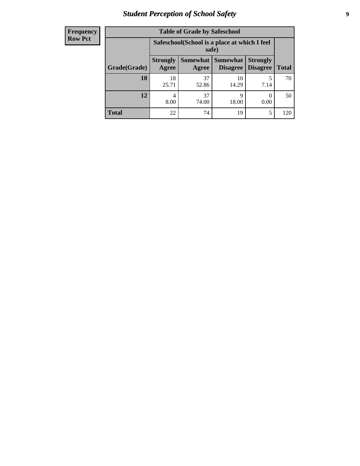# *Student Perception of School Safety* **9**

| <b>Frequency</b><br>Row Pct |
|-----------------------------|
|                             |

| <b>Table of Grade by Safeschool</b> |                          |                                                        |                               |                                    |              |  |  |
|-------------------------------------|--------------------------|--------------------------------------------------------|-------------------------------|------------------------------------|--------------|--|--|
|                                     |                          | Safeschool (School is a place at which I feel<br>safe) |                               |                                    |              |  |  |
| Grade(Grade)                        | <b>Strongly</b><br>Agree | Agree                                                  | Somewhat Somewhat<br>Disagree | <b>Strongly</b><br><b>Disagree</b> | <b>Total</b> |  |  |
| 10                                  | 18<br>25.71              | 37<br>52.86                                            | 10<br>14.29                   | 5<br>7.14                          | 70           |  |  |
| 12                                  | 4<br>8.00                | 37<br>74.00                                            | 9<br>18.00                    | 0<br>0.00                          | 50           |  |  |
| <b>Total</b>                        | 22                       | 74                                                     | 19                            | 5                                  | 120          |  |  |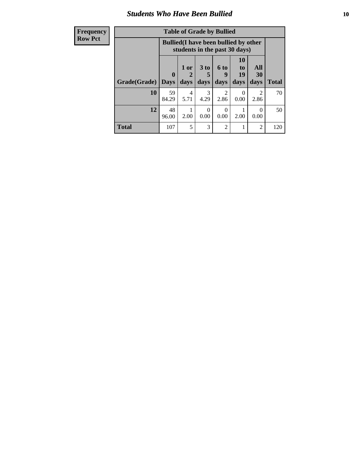#### *Students Who Have Been Bullied* **10**

| <b>Frequency</b> | <b>Table of Grade by Bullied</b> |              |           |                 |                                                                               |                                   |                  |              |
|------------------|----------------------------------|--------------|-----------|-----------------|-------------------------------------------------------------------------------|-----------------------------------|------------------|--------------|
| <b>Row Pct</b>   |                                  |              |           |                 | <b>Bullied</b> (I have been bullied by other<br>students in the past 30 days) |                                   |                  |              |
|                  |                                  | $\mathbf{0}$ | 1 or<br>2 | 3 <sub>to</sub> | 6 to<br>9                                                                     | <b>10</b><br>t <sub>0</sub><br>19 | All<br>30        |              |
|                  | Grade(Grade)                     | <b>Days</b>  | days      | days            | days                                                                          | days                              | days             | <b>Total</b> |
|                  | 10                               | 59<br>84.29  | 4<br>5.71 | 3<br>4.29       | $\mathfrak{D}$<br>2.86                                                        | 0<br>0.00                         | 2<br>2.86        | 70           |
|                  | 12                               | 48<br>96.00  | 2.00      | ∩<br>0.00       | 0<br>0.00                                                                     | 2.00                              | $\Omega$<br>0.00 | 50           |
|                  | <b>Total</b>                     | 107          | 5         | 3               | $\mathfrak{D}$                                                                |                                   | $\overline{2}$   | 120          |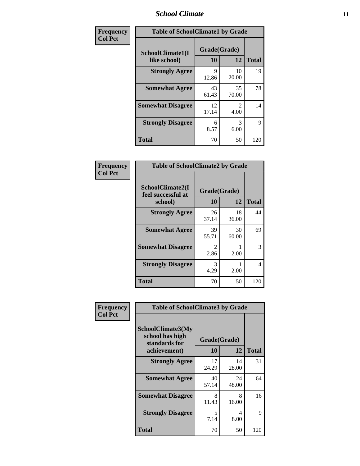#### *School Climate* **11**

| Frequency      | <b>Table of SchoolClimate1 by Grade</b> |                    |                        |              |  |  |
|----------------|-----------------------------------------|--------------------|------------------------|--------------|--|--|
| <b>Col Pct</b> | SchoolClimate1(I<br>like school)        | Grade(Grade)<br>10 | 12                     | <b>Total</b> |  |  |
|                | <b>Strongly Agree</b>                   | 9<br>12.86         | 10<br>20.00            | 19           |  |  |
|                | <b>Somewhat Agree</b>                   | 43<br>61.43        | 35<br>70.00            | 78           |  |  |
|                | <b>Somewhat Disagree</b>                | 12<br>17.14        | $\mathfrak{D}$<br>4.00 | 14           |  |  |
|                | <b>Strongly Disagree</b>                | 6<br>8.57          | 3<br>6.00              | 9            |  |  |
|                | <b>Total</b>                            | 70                 | 50                     | 120          |  |  |

| $\begin{array}{c c}\n\textbf{Frequency} & \textbf{Col} & \textbf{Pct}\n\end{array}$ |  |
|-------------------------------------------------------------------------------------|--|

| <b>Table of SchoolClimate2 by Grade</b>           |                       |             |              |  |  |
|---------------------------------------------------|-----------------------|-------------|--------------|--|--|
| SchoolClimate2(I<br>feel successful at<br>school) | Grade(Grade)<br>10    | 12          | <b>Total</b> |  |  |
| <b>Strongly Agree</b>                             | 26<br>37.14           | 18<br>36.00 | 44           |  |  |
| <b>Somewhat Agree</b>                             | 39<br>55.71           | 30<br>60.00 | 69           |  |  |
| <b>Somewhat Disagree</b>                          | $\mathcal{L}$<br>2.86 | 2.00        | 3            |  |  |
| <b>Strongly Disagree</b>                          | 3<br>4.29             | 2.00        | 4            |  |  |
| Total                                             | 70                    | 50          | 120          |  |  |

| Frequency      | <b>Table of SchoolClimate3 by Grade</b>                                      |                    |             |              |
|----------------|------------------------------------------------------------------------------|--------------------|-------------|--------------|
| <b>Col Pct</b> | <b>SchoolClimate3(My</b><br>school has high<br>standards for<br>achievement) | Grade(Grade)<br>10 | 12          | <b>Total</b> |
|                | <b>Strongly Agree</b>                                                        | 17                 | 14          | 31           |
|                |                                                                              | 24.29              | 28.00       |              |
|                | <b>Somewhat Agree</b>                                                        | 40<br>57.14        | 24<br>48.00 | 64           |
|                | <b>Somewhat Disagree</b>                                                     | 8<br>11.43         | 8<br>16.00  | 16           |
|                | <b>Strongly Disagree</b>                                                     | 5<br>7.14          | 4<br>8.00   | 9            |
|                | Total                                                                        | 70                 | 50          | 120          |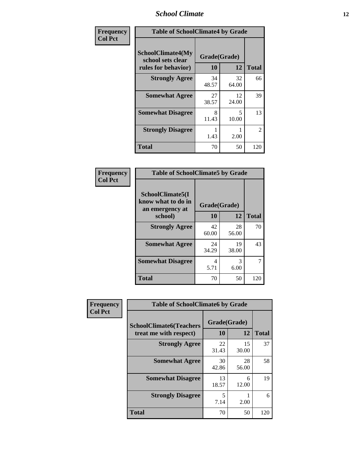### *School Climate* **12**

| Frequency      | <b>Table of SchoolClimate4 by Grade</b>                              |                    |             |              |
|----------------|----------------------------------------------------------------------|--------------------|-------------|--------------|
| <b>Col Pct</b> | <b>SchoolClimate4(My</b><br>school sets clear<br>rules for behavior) | Grade(Grade)<br>10 | 12          | <b>Total</b> |
|                | <b>Strongly Agree</b>                                                | 34<br>48.57        | 32<br>64.00 | 66           |
|                | <b>Somewhat Agree</b>                                                | 27<br>38.57        | 12<br>24.00 | 39           |
|                | <b>Somewhat Disagree</b>                                             | 8<br>11.43         | 5<br>10.00  | 13           |
|                | <b>Strongly Disagree</b>                                             | 1.43               | 2.00        | 2            |
|                | <b>Total</b>                                                         | 70                 | 50          | 120          |

| <b>Table of SchoolClimate5 by Grade</b>                              |                    |                   |     |  |  |
|----------------------------------------------------------------------|--------------------|-------------------|-----|--|--|
| SchoolClimate5(I<br>know what to do in<br>an emergency at<br>school) | Grade(Grade)<br>10 | <b>Total</b>      |     |  |  |
| <b>Strongly Agree</b>                                                | 42<br>60.00        | 12<br>28<br>56.00 | 70  |  |  |
| <b>Somewhat Agree</b>                                                | 24<br>34.29        | 19<br>38.00       | 43  |  |  |
| <b>Somewhat Disagree</b>                                             | 4<br>5.71          | 3<br>6.00         | 7   |  |  |
| <b>Total</b>                                                         | 70                 | 50                | 120 |  |  |

| <b>Frequency</b> | <b>Table of SchoolClimate6 by Grade</b> |              |             |              |
|------------------|-----------------------------------------|--------------|-------------|--------------|
| <b>Col Pct</b>   | <b>SchoolClimate6(Teachers</b>          | Grade(Grade) |             |              |
|                  | treat me with respect)                  | <b>10</b>    | 12          | <b>Total</b> |
|                  | <b>Strongly Agree</b>                   | 22<br>31.43  | 15<br>30.00 | 37           |
|                  | <b>Somewhat Agree</b>                   | 30<br>42.86  | 28<br>56.00 | 58           |
|                  | <b>Somewhat Disagree</b>                | 13<br>18.57  | 6<br>12.00  | 19           |
|                  | <b>Strongly Disagree</b>                | 5<br>7.14    | 2.00        | 6            |
|                  | <b>Total</b>                            | 70           | 50          | 120          |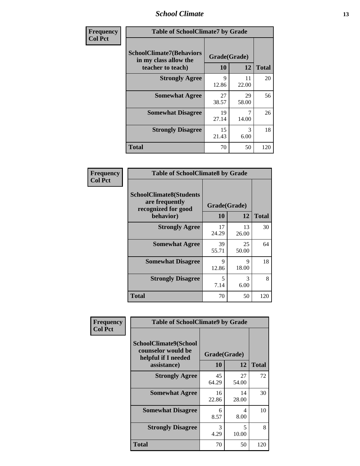### *School Climate* **13**

| Frequency      | <b>Table of SchoolClimate7 by Grade</b>                                       |                           |             |              |
|----------------|-------------------------------------------------------------------------------|---------------------------|-------------|--------------|
| <b>Col Pct</b> | <b>SchoolClimate7(Behaviors</b><br>in my class allow the<br>teacher to teach) | Grade(Grade)<br><b>10</b> | 12          | <b>Total</b> |
|                | <b>Strongly Agree</b>                                                         | 9<br>12.86                | 11<br>22.00 | 20           |
|                | <b>Somewhat Agree</b>                                                         | 27<br>38.57               | 29<br>58.00 | 56           |
|                | <b>Somewhat Disagree</b>                                                      | 19<br>27.14               | 7<br>14.00  | 26           |
|                | <b>Strongly Disagree</b>                                                      | 15<br>21.43               | 3<br>6.00   | 18           |
|                | <b>Total</b>                                                                  | 70                        | 50          | 120          |

| Frequency      | <b>Table of SchoolClimate8 by Grade</b>                                              |                    |             |              |
|----------------|--------------------------------------------------------------------------------------|--------------------|-------------|--------------|
| <b>Col Pct</b> | <b>SchoolClimate8(Students</b><br>are frequently<br>recognized for good<br>behavior) | Grade(Grade)<br>10 | 12          | <b>Total</b> |
|                | <b>Strongly Agree</b>                                                                | 17<br>24.29        | 13<br>26.00 | 30           |
|                | <b>Somewhat Agree</b>                                                                | 39<br>55.71        | 25<br>50.00 | 64           |
|                | <b>Somewhat Disagree</b>                                                             | 9<br>12.86         | 9<br>18.00  | 18           |
|                | <b>Strongly Disagree</b>                                                             | 5<br>7.14          | 3<br>6.00   | 8            |
|                | <b>Total</b>                                                                         | 70                 | 50          | 120          |

| Frequency<br><b>Col Pct</b> | <b>Table of SchoolClimate9 by Grade</b>                                           |                    |             |              |
|-----------------------------|-----------------------------------------------------------------------------------|--------------------|-------------|--------------|
|                             | SchoolClimate9(School<br>counselor would be<br>helpful if I needed<br>assistance) | Grade(Grade)<br>10 | 12          | <b>Total</b> |
|                             | <b>Strongly Agree</b>                                                             | 45<br>64.29        | 27<br>54.00 | 72           |
|                             | <b>Somewhat Agree</b>                                                             | 16<br>22.86        | 14<br>28.00 | 30           |
|                             | <b>Somewhat Disagree</b>                                                          | 6<br>8.57          | 4<br>8.00   | 10           |
|                             | <b>Strongly Disagree</b>                                                          | 3<br>4.29          | 5<br>10.00  | 8            |
|                             | Total                                                                             | 70                 | 50          | 120          |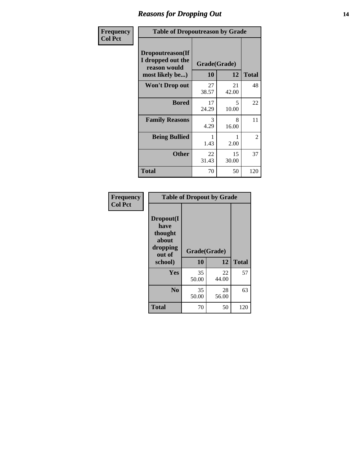### *Reasons for Dropping Out* **14**

| Frequency      | <b>Table of Dropoutreason by Grade</b>                                   |                    |             |              |
|----------------|--------------------------------------------------------------------------|--------------------|-------------|--------------|
| <b>Col Pct</b> | Dropoutreason(If<br>I dropped out the<br>reason would<br>most likely be) | Grade(Grade)<br>10 | 12          | <b>Total</b> |
|                | <b>Won't Drop out</b>                                                    | 27<br>38.57        | 21<br>42.00 | 48           |
|                | <b>Bored</b>                                                             | 17<br>24.29        | 5<br>10.00  | 22           |
|                | <b>Family Reasons</b>                                                    | 3<br>4.29          | 8<br>16.00  | 11           |
|                | <b>Being Bullied</b>                                                     | 1.43               | 2.00        | 2            |
|                | <b>Other</b>                                                             | 22<br>31.43        | 15<br>30.00 | 37           |
|                | <b>Total</b>                                                             | 70                 | 50          | 120          |

| Frequency<br><b>Col Pct</b> | <b>Table of Dropout by Grade</b>                                       |                    |              |     |  |
|-----------------------------|------------------------------------------------------------------------|--------------------|--------------|-----|--|
|                             | Dropout(I<br>have<br>thought<br>about<br>dropping<br>out of<br>school) | Grade(Grade)<br>10 | <b>Total</b> |     |  |
|                             | Yes                                                                    | 35<br>50.00        | 22<br>44.00  | 57  |  |
|                             | N <sub>0</sub>                                                         | 35<br>50.00        | 28<br>56.00  | 63  |  |
|                             | <b>Total</b>                                                           | 70                 | 50           | 120 |  |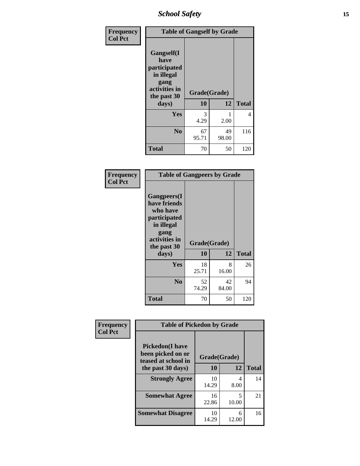*School Safety* **15**

| Frequency      | <b>Table of Gangself by Grade</b>                                                                 |                          |             |              |
|----------------|---------------------------------------------------------------------------------------------------|--------------------------|-------------|--------------|
| <b>Col Pct</b> | Gangself(I<br>have<br>participated<br>in illegal<br>gang<br>activities in<br>the past 30<br>days) | Grade(Grade)<br>10<br>12 |             | <b>Total</b> |
|                | Yes                                                                                               | 3<br>4.29                | 1<br>2.00   | 4            |
|                | N <sub>0</sub>                                                                                    | 67<br>95.71              | 49<br>98.00 | 116          |
|                | <b>Total</b>                                                                                      | 70                       | 50          | 120          |

| Frequency<br><b>Col Pct</b> | <b>Table of Gangpeers by Grade</b>                                                                                             |                    |             |              |
|-----------------------------|--------------------------------------------------------------------------------------------------------------------------------|--------------------|-------------|--------------|
|                             | <b>Gangpeers</b> (I<br>have friends<br>who have<br>participated<br>in illegal<br>gang<br>activities in<br>the past 30<br>days) | Grade(Grade)<br>10 | 12          | <b>Total</b> |
|                             | <b>Yes</b>                                                                                                                     | 18<br>25.71        | 8<br>16.00  | 26           |
|                             | N <sub>0</sub>                                                                                                                 | 52<br>74.29        | 42<br>84.00 | 94           |
|                             | Total                                                                                                                          | 70                 | 50          | 120          |

| Frequency      |                                                                    | <b>Table of Pickedon by Grade</b> |            |              |  |  |
|----------------|--------------------------------------------------------------------|-----------------------------------|------------|--------------|--|--|
| <b>Col Pct</b> | <b>Pickedon(I have</b><br>been picked on or<br>teased at school in | Grade(Grade)                      |            |              |  |  |
|                | the past 30 days)                                                  | 10                                | 12         | <b>Total</b> |  |  |
|                | <b>Strongly Agree</b>                                              | 10<br>14.29                       | 4<br>8.00  | 14           |  |  |
|                | <b>Somewhat Agree</b>                                              | 16<br>22.86                       | 5<br>10.00 | 21           |  |  |
|                | <b>Somewhat Disagree</b>                                           | 10<br>14.29                       | 6<br>12.00 | 16           |  |  |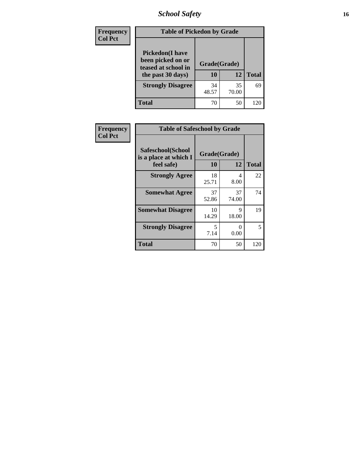*School Safety* **16**

| <b>Frequency</b> | <b>Table of Pickedon by Grade</b>                                                        |                    |             |              |  |  |  |
|------------------|------------------------------------------------------------------------------------------|--------------------|-------------|--------------|--|--|--|
| <b>Col Pct</b>   | <b>Pickedon</b> (I have<br>been picked on or<br>teased at school in<br>the past 30 days) | Grade(Grade)<br>10 | 12          | <b>Total</b> |  |  |  |
|                  | <b>Strongly Disagree</b>                                                                 | 34<br>48.57        | 35<br>70.00 | 69           |  |  |  |
|                  | Total                                                                                    | 70                 | 50          | 120          |  |  |  |

| <b>Frequency</b> | <b>Table of Safeschool by Grade</b>        |              |             |              |  |  |  |
|------------------|--------------------------------------------|--------------|-------------|--------------|--|--|--|
| <b>Col Pct</b>   | Safeschool(School<br>is a place at which I | Grade(Grade) |             |              |  |  |  |
|                  | feel safe)                                 | 10           | 12          | <b>Total</b> |  |  |  |
|                  | <b>Strongly Agree</b>                      | 18<br>25.71  | 4<br>8.00   | 22           |  |  |  |
|                  | <b>Somewhat Agree</b>                      | 37<br>52.86  | 37<br>74.00 | 74           |  |  |  |
|                  | <b>Somewhat Disagree</b>                   | 10<br>14.29  | 9<br>18.00  | 19           |  |  |  |
|                  | <b>Strongly Disagree</b>                   | 5<br>7.14    | 0<br>0.00   | 5            |  |  |  |
|                  | <b>Total</b>                               | 70           | 50          | 120          |  |  |  |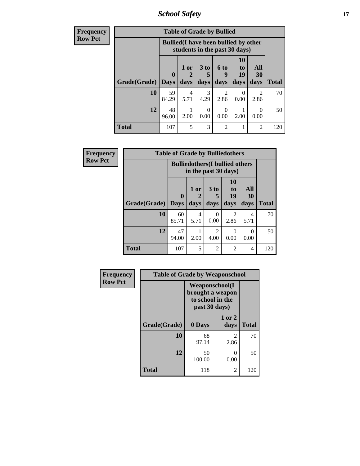*School Safety* **17**

| <b>Frequency</b> | <b>Table of Grade by Bullied</b>                                              |             |                        |                      |                        |                |                  |              |  |  |  |
|------------------|-------------------------------------------------------------------------------|-------------|------------------------|----------------------|------------------------|----------------|------------------|--------------|--|--|--|
| <b>Row Pct</b>   | <b>Bullied</b> (I have been bullied by other<br>students in the past 30 days) |             |                        |                      |                        |                |                  |              |  |  |  |
|                  |                                                                               | $\mathbf 0$ | 1 or                   | 3 <sub>to</sub><br>5 | <b>6 to</b><br>9       | 10<br>to<br>19 | All<br><b>30</b> |              |  |  |  |
|                  | Grade(Grade)   Days                                                           |             | days                   | days                 | days                   | days           | days             | <b>Total</b> |  |  |  |
|                  | 10                                                                            | 59<br>84.29 | $\overline{4}$<br>5.71 | 3<br>4.29            | $\mathfrak{D}$<br>2.86 | 0<br>0.00      | 2<br>2.86        | 70           |  |  |  |
|                  | 12                                                                            | 48<br>96.00 | 2.00                   | $\Omega$<br>0.00     | $\Omega$<br>0.00       | 2.00           | $\Omega$<br>0.00 | 50           |  |  |  |
|                  | <b>Total</b>                                                                  | 107         | 5                      | 3                    | $\overline{2}$         |                | $\overline{2}$   | 120          |  |  |  |

| <b>Frequency</b> |              | <b>Table of Grade by Bulliedothers</b> |                                                                |                                     |                               |                          |       |
|------------------|--------------|----------------------------------------|----------------------------------------------------------------|-------------------------------------|-------------------------------|--------------------------|-------|
| <b>Row Pct</b>   |              |                                        | <b>Bulliedothers</b> (I bullied others<br>in the past 30 days) |                                     |                               |                          |       |
|                  | Grade(Grade) | $\mathbf 0$<br><b>Days</b>             | 1 or<br>days                                                   | 3 <sub>to</sub><br>5<br>days        | <b>10</b><br>to<br>19<br>days | All<br><b>30</b><br>days | Total |
|                  | 10           | 60<br>85.71                            | $\overline{4}$<br>5.71                                         | 0<br>0.00                           | $\mathfrak{D}$<br>2.86        | 4<br>5.71                | 70    |
|                  | 12           | 47<br>94.00                            | 2.00                                                           | $\mathcal{D}_{\mathcal{L}}$<br>4.00 | $\Omega$<br>0.00              | 0<br>0.00                | 50    |
|                  | <b>Total</b> | 107                                    | 5                                                              | 2                                   | $\overline{2}$                | 4                        | 120   |

| Frequency      | <b>Table of Grade by Weaponschool</b> |                                                                                 |                        |              |
|----------------|---------------------------------------|---------------------------------------------------------------------------------|------------------------|--------------|
| <b>Row Pct</b> |                                       | <b>Weaponschool</b> (I<br>brought a weapon<br>to school in the<br>past 30 days) |                        |              |
|                | Grade(Grade)                          | 0 Days                                                                          | 1 or 2<br>days         | <b>Total</b> |
|                | 10                                    | 68<br>97.14                                                                     | $\mathfrak{D}$<br>2.86 | 70           |
|                | 12                                    | 50<br>100.00                                                                    | 0<br>0.00              | 50           |
|                | <b>Total</b>                          | 118                                                                             | 2                      | 120          |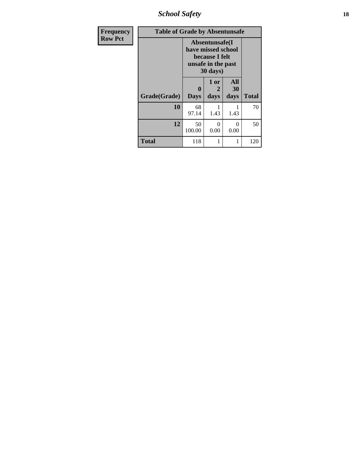*School Safety* **18**

| <b>Frequency</b> | <b>Table of Grade by Absentunsafe</b> |                         |                                                                                                    |                          |              |  |  |  |  |
|------------------|---------------------------------------|-------------------------|----------------------------------------------------------------------------------------------------|--------------------------|--------------|--|--|--|--|
| <b>Row Pct</b>   |                                       |                         | Absentunsafe(I)<br>have missed school<br>because I felt<br>unsafe in the past<br>$30 \text{ days}$ |                          |              |  |  |  |  |
|                  | Grade(Grade)                          | $\bf{0}$<br><b>Days</b> | 1 or<br>2<br>days                                                                                  | <b>All</b><br>30<br>days | <b>Total</b> |  |  |  |  |
|                  | 10                                    | 68<br>97.14             | 1.43                                                                                               | 1.43                     | 70           |  |  |  |  |
|                  | 12                                    | 50<br>100.00            | 0<br>0.00                                                                                          | 0<br>0.00                | 50           |  |  |  |  |
|                  | <b>Total</b>                          | 118                     |                                                                                                    |                          | 120          |  |  |  |  |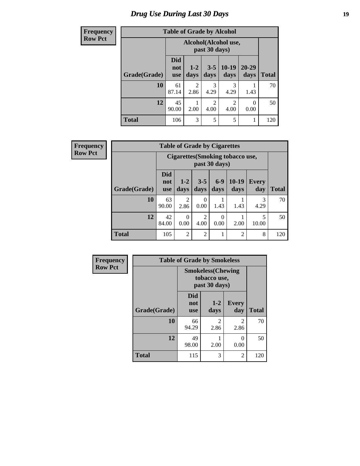# *Drug Use During Last 30 Days* **19**

| <b>Frequency</b> | <b>Table of Grade by Alcohol</b> |                                       |                        |                        |                        |                   |              |  |
|------------------|----------------------------------|---------------------------------------|------------------------|------------------------|------------------------|-------------------|--------------|--|
| <b>Row Pct</b>   |                                  | Alcohol(Alcohol use,<br>past 30 days) |                        |                        |                        |                   |              |  |
|                  | Grade(Grade)                     | <b>Did</b><br>not<br><b>use</b>       | $1-2$<br>days          | $3 - 5$<br>days        | $10-19$<br>days        | $20 - 29$<br>days | <b>Total</b> |  |
|                  | 10                               | 61<br>87.14                           | $\overline{2}$<br>2.86 | 3<br>4.29              | 3<br>4.29              | 1.43              | 70           |  |
|                  | 12                               | 45<br>90.00                           | 2.00                   | $\overline{2}$<br>4.00 | $\overline{2}$<br>4.00 | $\Omega$<br>0.00  | 50           |  |
|                  | <b>Total</b>                     | 106                                   | 3                      | 5                      | 5                      | 1                 | 120          |  |

| Frequency      |              | <b>Table of Grade by Cigarettes</b>                     |                  |                        |               |                 |                     |              |  |
|----------------|--------------|---------------------------------------------------------|------------------|------------------------|---------------|-----------------|---------------------|--------------|--|
| <b>Row Pct</b> |              | <b>Cigarettes(Smoking tobacco use,</b><br>past 30 days) |                  |                        |               |                 |                     |              |  |
|                | Grade(Grade) | <b>Did</b><br>not<br><b>use</b>                         | $1 - 2$<br>days  | $3 - 5$<br>days        | $6-9$<br>days | $10-19$<br>days | <b>Every</b><br>day | <b>Total</b> |  |
|                | 10           | 63<br>90.00                                             | 2<br>2.86        | 0<br>0.00              | 1.43          | 1.43            | 3<br>4.29           | 70           |  |
|                | 12           | 42<br>84.00                                             | $\Omega$<br>0.00 | $\overline{2}$<br>4.00 | 0<br>0.00     | 2.00            | 5<br>10.00          | 50           |  |
|                | <b>Total</b> | 105                                                     | $\overline{c}$   | $\overline{c}$         |               | $\overline{2}$  | 8                   | 120          |  |

| Frequency      | <b>Table of Grade by Smokeless</b> |                                                            |                        |                        |              |  |
|----------------|------------------------------------|------------------------------------------------------------|------------------------|------------------------|--------------|--|
| <b>Row Pct</b> |                                    | <b>Smokeless</b> (Chewing<br>tobacco use,<br>past 30 days) |                        |                        |              |  |
|                | Grade(Grade)                       | Did<br>not<br><b>use</b>                                   | $1 - 2$<br>days        | Every<br>day           | <b>Total</b> |  |
|                | 10                                 | 66<br>94.29                                                | $\mathfrak{D}$<br>2.86 | $\mathfrak{D}$<br>2.86 | 70           |  |
|                | 12                                 | 49<br>98.00                                                | 2.00                   | 0<br>0.00              | 50           |  |
|                | <b>Total</b>                       | 115                                                        | 3                      | $\overline{c}$         | 120          |  |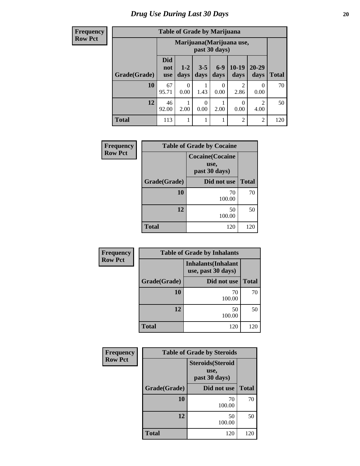| <b>Frequency</b> |
|------------------|
| <b>Row Pct</b>   |

| <b>Table of Grade by Marijuana</b> |                                 |                                                                                                             |      |           |                        |           |     |  |  |  |
|------------------------------------|---------------------------------|-------------------------------------------------------------------------------------------------------------|------|-----------|------------------------|-----------|-----|--|--|--|
|                                    |                                 | Marijuana (Marijuana use,<br>past 30 days)                                                                  |      |           |                        |           |     |  |  |  |
| Grade(Grade)                       | <b>Did</b><br>not<br><b>use</b> | $10-19$<br>$20 - 29$<br>$6-9$<br>$1 - 2$<br>$3 - 5$<br><b>Total</b><br>days<br>days<br>days<br>days<br>days |      |           |                        |           |     |  |  |  |
| 10                                 | 67<br>95.71                     | $\theta$<br>0.00                                                                                            | 1.43 | 0<br>0.00 | $\overline{2}$<br>2.86 | 0<br>0.00 | 70  |  |  |  |
| 12                                 | 46<br>92.00                     | 2<br>0<br>0<br>0.00<br>2.00<br>0.00<br>2.00<br>4.00                                                         |      |           |                        |           |     |  |  |  |
| <b>Total</b>                       | 113                             | 1                                                                                                           | 1    | 1         | $\overline{c}$         | 2         | 120 |  |  |  |

| Frequency      | <b>Table of Grade by Cocaine</b> |                                                  |              |  |
|----------------|----------------------------------|--------------------------------------------------|--------------|--|
| <b>Row Pct</b> |                                  | <b>Cocaine</b> (Cocaine<br>use,<br>past 30 days) |              |  |
|                | Grade(Grade)                     | Did not use                                      | <b>Total</b> |  |
|                | 10                               | 70<br>100.00                                     | 70           |  |
|                | 12                               | 50<br>100.00                                     | 50           |  |
|                | <b>Total</b>                     | 120                                              | 120          |  |

| Frequency      | <b>Table of Grade by Inhalants</b> |                                                  |              |  |  |
|----------------|------------------------------------|--------------------------------------------------|--------------|--|--|
| <b>Row Pct</b> |                                    | <b>Inhalants</b> (Inhalant<br>use, past 30 days) |              |  |  |
|                | Grade(Grade)                       | Did not use                                      | <b>Total</b> |  |  |
|                | 10                                 | 70<br>100.00                                     | 70           |  |  |
|                | 12                                 | 50<br>100.00                                     | 50           |  |  |
|                | <b>Total</b>                       | 120                                              | 120          |  |  |

| Frequency      | <b>Table of Grade by Steroids</b> |                                                   |              |  |  |
|----------------|-----------------------------------|---------------------------------------------------|--------------|--|--|
| <b>Row Pct</b> |                                   | <b>Steroids</b> (Steroid<br>use,<br>past 30 days) |              |  |  |
|                | Grade(Grade)                      | Did not use                                       | <b>Total</b> |  |  |
|                | 10                                | 70<br>100.00                                      | 70           |  |  |
|                | 12                                | 50<br>100.00                                      | 50           |  |  |
|                | <b>Total</b>                      | 120                                               | 120          |  |  |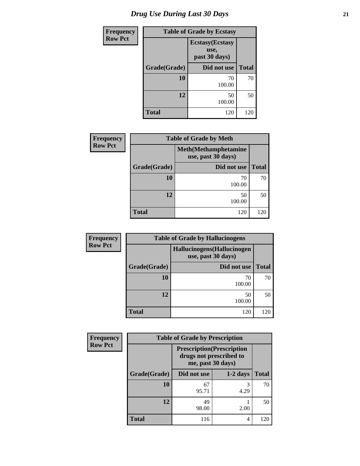| <b>Frequency</b> | <b>Table of Grade by Ecstasy</b> |                                                  |              |  |  |
|------------------|----------------------------------|--------------------------------------------------|--------------|--|--|
| <b>Row Pct</b>   |                                  | <b>Ecstasy</b> (Ecstasy<br>use,<br>past 30 days) |              |  |  |
|                  | Grade(Grade)<br>Did not use      |                                                  | <b>Total</b> |  |  |
|                  | 10                               | 70<br>100.00                                     | 70           |  |  |
|                  | 12                               | 50<br>100.00                                     | 50           |  |  |
|                  | Total                            | 120                                              | 120          |  |  |

| <b>Frequency</b> |                                                    | <b>Table of Grade by Meth</b> |              |  |  |
|------------------|----------------------------------------------------|-------------------------------|--------------|--|--|
| <b>Row Pct</b>   | <b>Meth</b> (Methamphetamine<br>use, past 30 days) |                               |              |  |  |
|                  | Grade(Grade)                                       | Did not use                   | <b>Total</b> |  |  |
|                  | 10                                                 | 70<br>100.00                  | 70           |  |  |
|                  | 12                                                 | 50<br>100.00                  | 50           |  |  |
|                  | <b>Total</b>                                       | 120                           | 120          |  |  |

| <b>Frequency</b> | <b>Table of Grade by Hallucinogens</b>            |              |              |  |  |
|------------------|---------------------------------------------------|--------------|--------------|--|--|
| <b>Row Pct</b>   | Hallucinogens (Hallucinogen<br>use, past 30 days) |              |              |  |  |
|                  | Grade(Grade)                                      | Did not use  | <b>Total</b> |  |  |
|                  | 10                                                | 70<br>100.00 | 70           |  |  |
|                  | 12                                                | 50<br>100.00 | 50           |  |  |
|                  | <b>Total</b>                                      | 120          | 120          |  |  |

| Frequency      | <b>Table of Grade by Prescription</b> |                   |                                                              |              |  |
|----------------|---------------------------------------|-------------------|--------------------------------------------------------------|--------------|--|
| <b>Row Pct</b> |                                       | me, past 30 days) | <b>Prescription</b> (Prescription<br>drugs not prescribed to |              |  |
|                | Grade(Grade)                          | Did not use       | $1-2$ days                                                   | <b>Total</b> |  |
|                | 10                                    | 67<br>95.71       | 3<br>4.29                                                    | 70           |  |
|                | 12                                    | 49<br>98.00       | 2.00                                                         | 50           |  |
|                | <b>Total</b>                          | 116               | 4                                                            |              |  |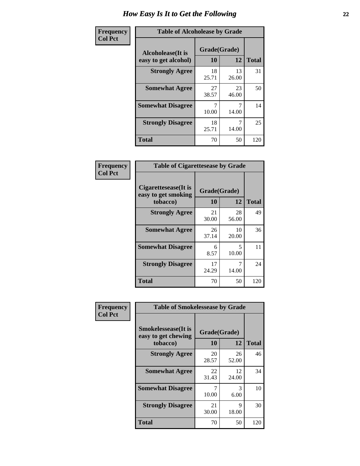| Frequency      | <b>Table of Alcoholease by Grade</b>              |                    |             |              |  |
|----------------|---------------------------------------------------|--------------------|-------------|--------------|--|
| <b>Col Pct</b> | <b>Alcoholease</b> (It is<br>easy to get alcohol) | Grade(Grade)<br>10 | 12          | <b>Total</b> |  |
|                | <b>Strongly Agree</b>                             | 18<br>25.71        | 13<br>26.00 | 31           |  |
|                | <b>Somewhat Agree</b>                             | 27<br>38.57        | 23<br>46.00 | 50           |  |
|                | <b>Somewhat Disagree</b>                          | 7<br>10.00         | 7<br>14.00  | 14           |  |
|                | <b>Strongly Disagree</b>                          | 18<br>25.71        | 14.00       | 25           |  |
|                | <b>Total</b>                                      | 70                 | 50          | 120          |  |

| Frequency      | <b>Table of Cigarettesease by Grade</b>                  |                    |             |              |  |
|----------------|----------------------------------------------------------|--------------------|-------------|--------------|--|
| <b>Col Pct</b> | Cigarettesease (It is<br>easy to get smoking<br>tobacco) | Grade(Grade)<br>10 | 12          | <b>Total</b> |  |
|                | <b>Strongly Agree</b>                                    | 21<br>30.00        | 28<br>56.00 | 49           |  |
|                | <b>Somewhat Agree</b>                                    | 26<br>37.14        | 10<br>20.00 | 36           |  |
|                | <b>Somewhat Disagree</b>                                 | 6<br>8.57          | 5<br>10.00  | 11           |  |
|                | <b>Strongly Disagree</b>                                 | 17<br>24.29        | 14.00       | 24           |  |
|                | Total                                                    | 70                 | 50          | 120          |  |

| Frequency      | <b>Table of Smokelessease by Grade</b>             |              |             |              |
|----------------|----------------------------------------------------|--------------|-------------|--------------|
| <b>Col Pct</b> | <b>Smokelessease</b> (It is<br>easy to get chewing | Grade(Grade) |             |              |
|                | tobacco)                                           | 10           | 12          | <b>Total</b> |
|                | <b>Strongly Agree</b>                              | 20<br>28.57  | 26<br>52.00 | 46           |
|                | <b>Somewhat Agree</b>                              | 22<br>31.43  | 12<br>24.00 | 34           |
|                | <b>Somewhat Disagree</b>                           | 10.00        | 3<br>6.00   | 10           |
|                | <b>Strongly Disagree</b>                           | 21<br>30.00  | 9<br>18.00  | 30           |
|                | Total                                              | 70           | 50          | 120          |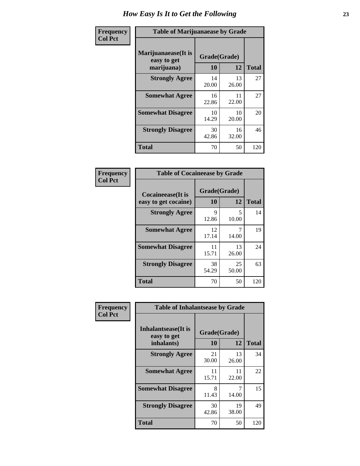| Frequency      | <b>Table of Marijuanaease by Grade</b>           |                    |             |              |
|----------------|--------------------------------------------------|--------------------|-------------|--------------|
| <b>Col Pct</b> | Marijuanaease(It is<br>easy to get<br>marijuana) | Grade(Grade)<br>10 | 12          | <b>Total</b> |
|                | <b>Strongly Agree</b>                            | 14<br>20.00        | 13<br>26.00 | 27           |
|                | <b>Somewhat Agree</b>                            | 16<br>22.86        | 11<br>22.00 | 27           |
|                | <b>Somewhat Disagree</b>                         | 10<br>14.29        | 10<br>20.00 | 20           |
|                | <b>Strongly Disagree</b>                         | 30<br>42.86        | 16<br>32.00 | 46           |
|                | <b>Total</b>                                     | 70                 | 50          | 120          |

| <b>Table of Cocaineease by Grade</b>              |                    |              |     |  |  |
|---------------------------------------------------|--------------------|--------------|-----|--|--|
| <b>Cocaineease</b> (It is<br>easy to get cocaine) | Grade(Grade)<br>10 | <b>Total</b> |     |  |  |
| <b>Strongly Agree</b>                             | 9<br>12.86         | 5<br>10.00   | 14  |  |  |
| <b>Somewhat Agree</b>                             | 12<br>17.14        | 14.00        | 19  |  |  |
| <b>Somewhat Disagree</b>                          | 11<br>15.71        | 13<br>26.00  | 24  |  |  |
| <b>Strongly Disagree</b>                          | 38<br>54.29        | 25<br>50.00  | 63  |  |  |
| <b>Total</b>                                      | 70                 | 50           | 120 |  |  |

| Frequency      | <b>Table of Inhalantsease by Grade</b>                   |                    |             |              |  |  |  |  |
|----------------|----------------------------------------------------------|--------------------|-------------|--------------|--|--|--|--|
| <b>Col Pct</b> | <b>Inhalantsease</b> (It is<br>easy to get<br>inhalants) | Grade(Grade)<br>10 | 12          | <b>Total</b> |  |  |  |  |
|                | <b>Strongly Agree</b>                                    | 21<br>30.00        | 13<br>26.00 | 34           |  |  |  |  |
|                | <b>Somewhat Agree</b>                                    | 11<br>15.71        | 11<br>22.00 | 22           |  |  |  |  |
|                | <b>Somewhat Disagree</b>                                 | 8<br>11.43         | 14.00       | 15           |  |  |  |  |
|                | <b>Strongly Disagree</b>                                 | 30<br>42.86        | 19<br>38.00 | 49           |  |  |  |  |
|                | <b>Total</b>                                             | 70                 | 50          | 120          |  |  |  |  |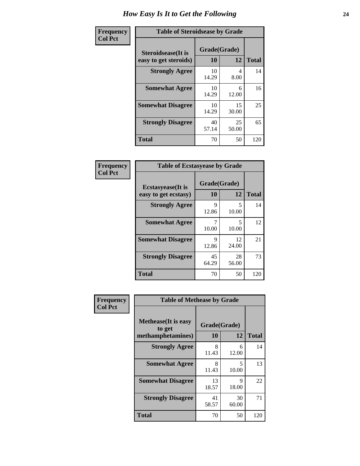| Frequency      | <b>Table of Steroidsease by Grade</b>               |             |                    |     |  |  |  |
|----------------|-----------------------------------------------------|-------------|--------------------|-----|--|--|--|
| <b>Col Pct</b> | <b>Steroidsease</b> (It is<br>easy to get steroids) | 10          | Grade(Grade)<br>12 |     |  |  |  |
|                | <b>Strongly Agree</b>                               | 10<br>14.29 | 4<br>8.00          | 14  |  |  |  |
|                | <b>Somewhat Agree</b>                               | 10<br>14.29 | 6<br>12.00         | 16  |  |  |  |
|                | <b>Somewhat Disagree</b>                            | 10<br>14.29 | 15<br>30.00        | 25  |  |  |  |
|                | <b>Strongly Disagree</b>                            | 40<br>57.14 | 25<br>50.00        | 65  |  |  |  |
|                | <b>Total</b>                                        | 70          | 50                 | 120 |  |  |  |

| <b>Frequency</b> |  |
|------------------|--|
| <b>Col Pct</b>   |  |

| <b>Table of Ecstasyease by Grade</b>              |             |                    |     |  |  |  |
|---------------------------------------------------|-------------|--------------------|-----|--|--|--|
| <b>Ecstasyease</b> (It is<br>easy to get ecstasy) | 10          | Grade(Grade)<br>12 |     |  |  |  |
| <b>Strongly Agree</b>                             | 9<br>12.86  | 5<br>10.00         | 14  |  |  |  |
| <b>Somewhat Agree</b>                             | 10.00       | 5<br>10.00         | 12  |  |  |  |
| <b>Somewhat Disagree</b>                          | 9<br>12.86  | 12<br>24.00        | 21  |  |  |  |
| <b>Strongly Disagree</b>                          | 45<br>64.29 | 28<br>56.00        | 73  |  |  |  |
| <b>Total</b>                                      | 70          | 50                 | 120 |  |  |  |

| Frequency      | <b>Table of Methease by Grade</b>                          |                    |                                   |              |  |  |  |
|----------------|------------------------------------------------------------|--------------------|-----------------------------------|--------------|--|--|--|
| <b>Col Pct</b> | <b>Methease</b> (It is easy<br>to get<br>methamphetamines) | Grade(Grade)<br>10 | 12                                | <b>Total</b> |  |  |  |
|                | <b>Strongly Agree</b>                                      | 8<br>11.43         | 6<br>12.00                        | 14           |  |  |  |
|                | <b>Somewhat Agree</b>                                      | 8<br>11.43         | $\overline{\phantom{0}}$<br>10.00 | 13           |  |  |  |
|                | <b>Somewhat Disagree</b>                                   | 13<br>18.57        | 9<br>18.00                        | 22           |  |  |  |
|                | <b>Strongly Disagree</b>                                   | 41<br>58.57        | 30<br>60.00                       | 71           |  |  |  |
|                | <b>Total</b>                                               | 70                 | 50                                | 120          |  |  |  |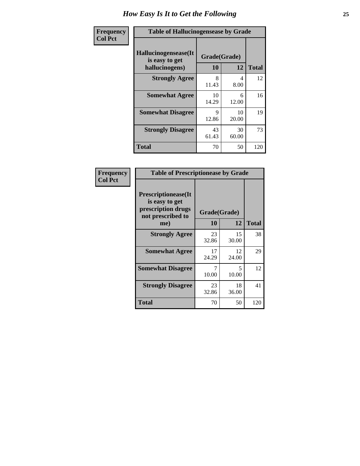| <b>Frequency</b> | <b>Table of Hallucinogensease by Grade</b>               |                    |             |              |  |  |  |
|------------------|----------------------------------------------------------|--------------------|-------------|--------------|--|--|--|
| <b>Col Pct</b>   | Hallucinogensease(It<br>is easy to get<br>hallucinogens) | Grade(Grade)<br>10 | 12          | <b>Total</b> |  |  |  |
|                  | <b>Strongly Agree</b>                                    | 8<br>11.43         | 4<br>8.00   | 12           |  |  |  |
|                  | <b>Somewhat Agree</b>                                    | 10<br>14.29        | 6<br>12.00  | 16           |  |  |  |
|                  | <b>Somewhat Disagree</b>                                 | Q<br>12.86         | 10<br>20.00 | 19           |  |  |  |
|                  | <b>Strongly Disagree</b>                                 | 43<br>61.43        | 30<br>60.00 | 73           |  |  |  |
|                  | <b>Total</b>                                             | 70                 | 50          | 120          |  |  |  |

| Frequency<br>  Col Pct |
|------------------------|

| <b>Table of Prescriptionease by Grade</b>                                                |              |             |              |  |  |
|------------------------------------------------------------------------------------------|--------------|-------------|--------------|--|--|
| <b>Prescriptionease</b> (It<br>is easy to get<br>prescription drugs<br>not prescribed to | Grade(Grade) |             |              |  |  |
| me)                                                                                      | 10           | 12          | <b>Total</b> |  |  |
| <b>Strongly Agree</b>                                                                    | 23<br>32.86  | 15<br>30.00 | 38           |  |  |
| <b>Somewhat Agree</b>                                                                    | 17<br>24.29  | 12<br>24.00 | 29           |  |  |
| <b>Somewhat Disagree</b>                                                                 | 10.00        | 5.<br>10.00 | 12           |  |  |
| <b>Strongly Disagree</b>                                                                 | 23<br>32.86  | 18<br>36.00 | 41           |  |  |
| Total                                                                                    | 70           | 50          | 120          |  |  |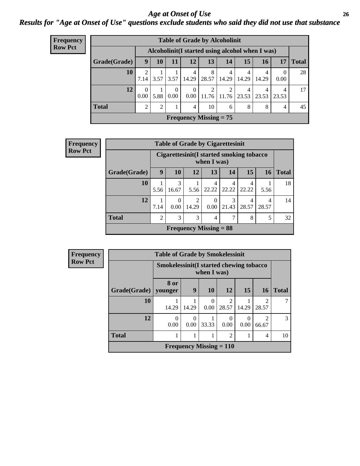*Age at Onset of Use* **26** *Results for "Age at Onset of Use" questions exclude students who said they did not use that substance*

| <b>Frequency</b> | <b>Table of Grade by Alcoholinit</b> |                        |                                                  |                  |                  |                      |                      |            |            |                         |              |  |
|------------------|--------------------------------------|------------------------|--------------------------------------------------|------------------|------------------|----------------------|----------------------|------------|------------|-------------------------|--------------|--|
| <b>Row Pct</b>   |                                      |                        | Alcoholinit (I started using alcohol when I was) |                  |                  |                      |                      |            |            |                         |              |  |
|                  | Grade(Grade)                         | 9                      | 10                                               | 11               | 12               | 13                   | 14                   | 15         | 16         | 17                      | <b>Total</b> |  |
|                  | 10                                   | $\mathfrak{D}$<br>7.14 |                                                  | $3.57$   $3.57$  | 4<br>14.29 l     | 8<br>$28.57$   14.29 | 4                    | 4<br>14.29 | 4<br>14.29 | $\Omega$<br>0.00        | 28           |  |
|                  | 12                                   | $\Omega$<br>0.00       | 5.88                                             | $\Omega$<br>0.00 | $\Omega$<br>0.00 | 2                    | 2<br>$11.76$   11.76 | 4<br>23.53 | 4<br>23.53 | $\overline{4}$<br>23.53 | 17           |  |
|                  | <b>Total</b>                         | $\mathfrak{D}$         | 2                                                |                  | $\overline{4}$   | 10                   | 6                    | 8          | 8          | 4                       | 45           |  |
|                  | Frequency Missing $= 75$             |                        |                                                  |                  |                  |                      |                      |            |            |                         |              |  |

| Frequency      | <b>Table of Grade by Cigarettesinit</b> |                                                          |                  |            |                          |            |            |            |              |
|----------------|-----------------------------------------|----------------------------------------------------------|------------------|------------|--------------------------|------------|------------|------------|--------------|
| <b>Row Pct</b> |                                         | Cigarettesinit (I started smoking tobacco<br>when I was) |                  |            |                          |            |            |            |              |
|                | Grade(Grade)                            | 9                                                        | 10               | 12         | 13                       | 14         | 15         | 16         | <b>Total</b> |
|                | 10                                      | 5.56                                                     | 3<br>16.67       | 5.56       | 4<br>22.22               | 4<br>22.22 | 4<br>22.22 | 5.56       | 18           |
|                | 12                                      | 7.14                                                     | $\theta$<br>0.00 | 2<br>14.29 | $\Omega$<br>$0.00\vert$  | 3<br>21.43 | 4<br>28.57 | 4<br>28.57 | 14           |
|                | <b>Total</b>                            | 2                                                        | 3                | 3          | 4                        | 7          | 8          | 5          | 32           |
|                |                                         |                                                          |                  |            | Frequency Missing $= 88$ |            |            |            |              |

| <b>Frequency</b> | <b>Table of Grade by Smokelessinit</b> |                 |                                                        |                                |                         |           |                         |              |
|------------------|----------------------------------------|-----------------|--------------------------------------------------------|--------------------------------|-------------------------|-----------|-------------------------|--------------|
| <b>Row Pct</b>   |                                        |                 | Smokelessinit(I started chewing tobacco<br>when I was) |                                |                         |           |                         |              |
|                  | Grade(Grade)                           | 8 or<br>vounger | 9                                                      | <b>10</b>                      | 12                      | 15        | <b>16</b>               | <b>Total</b> |
|                  | 10                                     | 14.29           | 14.29                                                  | 0<br>0.00                      | $\overline{c}$<br>28.57 | 14.29     | $\mathfrak{D}$<br>28.57 |              |
|                  | 12                                     | 0<br>0.00       | $\Omega$<br>0.00                                       | 33.33                          | $\theta$<br>0.00        | 0<br>0.00 | $\mathfrak{D}$<br>66.67 | 3            |
|                  | <b>Total</b>                           |                 |                                                        | 1                              | $\overline{2}$          | 1         | 4                       | 10           |
|                  |                                        |                 |                                                        | <b>Frequency Missing = 110</b> |                         |           |                         |              |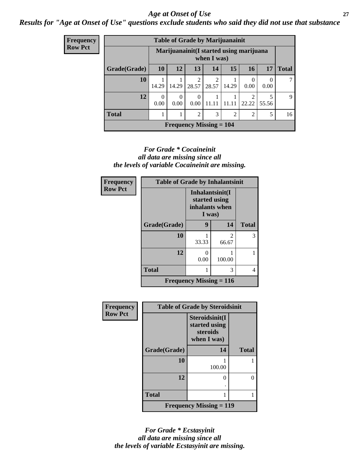#### *Age at Onset of Use* **27**

*Results for "Age at Onset of Use" questions exclude students who said they did not use that substance*

| <b>Frequency</b> |
|------------------|
| <b>Row Pct</b>   |

| <b>Table of Grade by Marijuanainit</b>      |                  |                                                         |                         |            |                |                |            |              |
|---------------------------------------------|------------------|---------------------------------------------------------|-------------------------|------------|----------------|----------------|------------|--------------|
|                                             |                  | Marijuanainit (I started using marijuana<br>when I was) |                         |            |                |                |            |              |
| Grade(Grade)                                | <b>10</b>        | 12                                                      | 13                      | 14         | 15             | 16             | 17         | <b>Total</b> |
| 10                                          | 14.29            | 14.29                                                   | $\overline{2}$<br>28.57 | 2<br>28.57 | 14.29          | 0.00           | 0.00       | 7            |
| 12                                          | $\theta$<br>0.00 | 0<br>0.00                                               | $\theta$<br>0.00        | 11.11      | 11.11          | ◠<br>22.22     | 5<br>55.56 | 9            |
| <b>Total</b>                                |                  |                                                         | $\overline{c}$          | 3          | $\overline{c}$ | $\mathfrak{D}$ | 5          | 16           |
| <b>Frequency Missing = <math>104</math></b> |                  |                                                         |                         |            |                |                |            |              |

#### *For Grade \* Cocaineinit all data are missing since all the levels of variable Cocaineinit are missing.*

| Frequency      | <b>Table of Grade by Inhalantsinit</b> |                                                              |                         |              |
|----------------|----------------------------------------|--------------------------------------------------------------|-------------------------|--------------|
| <b>Row Pct</b> |                                        | Inhalantsinit(I<br>started using<br>inhalants when<br>I was) |                         |              |
|                | Grade(Grade)                           | 9                                                            | 14                      | <b>Total</b> |
|                | 10                                     | 33.33                                                        | $\mathfrak{D}$<br>66.67 | 3            |
|                | 12                                     | $\mathbf{0}$<br>0.00                                         | 100.00                  |              |
|                | <b>Total</b>                           |                                                              | 3                       | 4            |
|                |                                        | Frequency Missing $= 116$                                    |                         |              |

| Frequency      | <b>Table of Grade by Steroidsinit</b> |                                                            |              |  |
|----------------|---------------------------------------|------------------------------------------------------------|--------------|--|
| <b>Row Pct</b> |                                       | Steroidsinit(I<br>started using<br>steroids<br>when I was) |              |  |
|                | Grade(Grade)                          | 14                                                         | <b>Total</b> |  |
|                | 10                                    | 100.00                                                     |              |  |
|                | 12                                    | $\mathbf{O}$                                               |              |  |
|                | <b>Total</b>                          |                                                            |              |  |
|                |                                       | <b>Frequency Missing = 119</b>                             |              |  |

*For Grade \* Ecstasyinit all data are missing since all the levels of variable Ecstasyinit are missing.*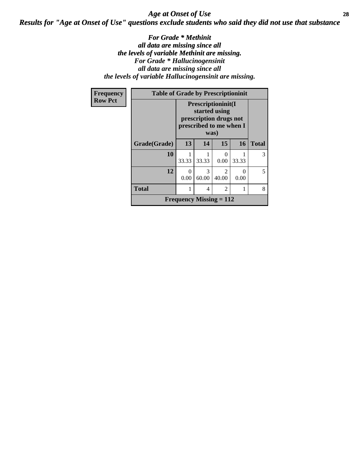### *Age at Onset of Use* **28** *Results for "Age at Onset of Use" questions exclude students who said they did not use that substance*

*For Grade \* Methinit all data are missing since all the levels of variable Methinit are missing. For Grade \* Hallucinogensinit all data are missing since all the levels of variable Hallucinogensinit are missing.*

| Frequency      |              | <b>Table of Grade by Prescriptioninit</b>                                                        |            |                  |           |              |
|----------------|--------------|--------------------------------------------------------------------------------------------------|------------|------------------|-----------|--------------|
| <b>Row Pct</b> |              | Prescriptioninit(I<br>started using<br>prescription drugs not<br>prescribed to me when I<br>was) |            |                  |           |              |
|                | Grade(Grade) | 13                                                                                               | 14         | 15               | 16        | <b>Total</b> |
|                | 10           | 33.33                                                                                            | 33.33      | $\Omega$<br>0.00 | 33.33     | 3            |
|                | 12           | 0.00                                                                                             | 3<br>60.00 | 2<br>40.00       | 0<br>0.00 | 5            |
|                | <b>Total</b> |                                                                                                  | 4          | $\overline{2}$   | 1         | 8            |
|                |              | <b>Frequency Missing = 112</b>                                                                   |            |                  |           |              |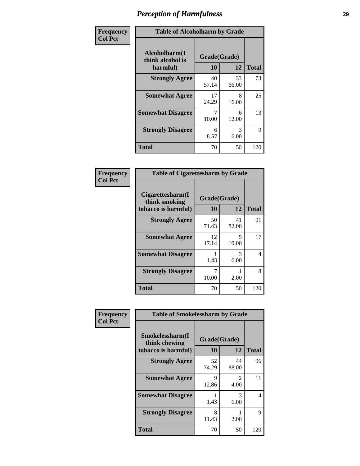| Frequency      | <b>Table of Alcoholharm by Grade</b>          |                    |             |              |
|----------------|-----------------------------------------------|--------------------|-------------|--------------|
| <b>Col Pct</b> | Alcoholharm(I<br>think alcohol is<br>harmful) | Grade(Grade)<br>10 | 12          | <b>Total</b> |
|                | <b>Strongly Agree</b>                         | 40<br>57.14        | 33<br>66.00 | 73           |
|                | <b>Somewhat Agree</b>                         | 17<br>24.29        | 8<br>16.00  | 25           |
|                | <b>Somewhat Disagree</b>                      | 7<br>10.00         | 6<br>12.00  | 13           |
|                | <b>Strongly Disagree</b>                      | 6<br>8.57          | 3<br>6.00   | 9            |
|                | <b>Total</b>                                  | 70                 | 50          | 120          |

| <b>Table of Cigarettesharm by Grade</b>                  |                    |             |              |  |
|----------------------------------------------------------|--------------------|-------------|--------------|--|
| Cigarettesharm(I<br>think smoking<br>tobacco is harmful) | Grade(Grade)<br>10 | 12          | <b>Total</b> |  |
| <b>Strongly Agree</b>                                    | 50<br>71.43        | 41<br>82.00 | 91           |  |
| <b>Somewhat Agree</b>                                    | 12<br>17.14        | 5<br>10.00  | 17           |  |
| <b>Somewhat Disagree</b>                                 | 1.43               | 3<br>6.00   | 4            |  |
| <b>Strongly Disagree</b>                                 | 7<br>10.00         | 2.00        | 8            |  |
| <b>Total</b>                                             | 70                 | 50          | 120          |  |

| Frequency      | <b>Table of Smokelessharm by Grade</b>                  |                    |             |              |
|----------------|---------------------------------------------------------|--------------------|-------------|--------------|
| <b>Col Pct</b> | Smokelessharm(I<br>think chewing<br>tobacco is harmful) | Grade(Grade)<br>10 | 12          | <b>Total</b> |
|                | <b>Strongly Agree</b>                                   | 52<br>74.29        | 44<br>88.00 | 96           |
|                | <b>Somewhat Agree</b>                                   | 9<br>12.86         | 2<br>4.00   | 11           |
|                | <b>Somewhat Disagree</b>                                | 1.43               | 3<br>6.00   | 4            |
|                | <b>Strongly Disagree</b>                                | 8<br>11.43         | 2.00        | 9            |
|                | <b>Total</b>                                            | 70                 | 50          | 120          |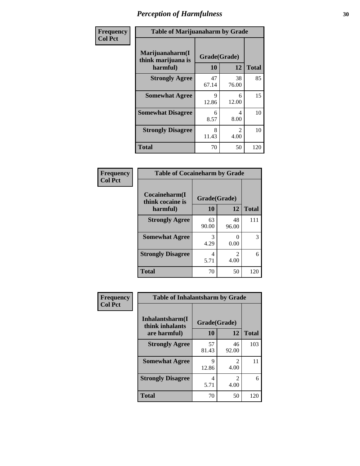| Frequency      | <b>Table of Marijuanaharm by Grade</b>            |                    |                        |              |
|----------------|---------------------------------------------------|--------------------|------------------------|--------------|
| <b>Col Pct</b> | Marijuanaharm(I<br>think marijuana is<br>harmful) | Grade(Grade)<br>10 | 12                     | <b>Total</b> |
|                | <b>Strongly Agree</b>                             | 47<br>67.14        | 38<br>76.00            | 85           |
|                | <b>Somewhat Agree</b>                             | 9<br>12.86         | 6<br>12.00             | 15           |
|                | <b>Somewhat Disagree</b>                          | 6<br>8.57          | 4<br>8.00              | 10           |
|                | <b>Strongly Disagree</b>                          | 8<br>11.43         | $\mathfrak{D}$<br>4.00 | 10           |
|                | <b>Total</b>                                      | 70                 | 50                     | 120          |

#### **Frequency Col Pct**

| <b>Table of Cocaineharm by Grade</b> |              |                        |              |  |
|--------------------------------------|--------------|------------------------|--------------|--|
| Cocaineharm(I<br>think cocaine is    | Grade(Grade) |                        |              |  |
| harmful)                             | 10           | 12                     | <b>Total</b> |  |
| <b>Strongly Agree</b>                | 63<br>90.00  | 48<br>96.00            | 111          |  |
| <b>Somewhat Agree</b>                | 3<br>4.29    | 0<br>0.00              | 3            |  |
| <b>Strongly Disagree</b>             | 4<br>5.71    | $\mathfrak{D}$<br>4.00 | 6            |  |
| <b>Total</b>                         | 70           | 50                     | 120          |  |

| <b>Table of Inhalantsharm by Grade</b> |              |                        |              |  |
|----------------------------------------|--------------|------------------------|--------------|--|
| Inhalantsharm(I)<br>think inhalants    | Grade(Grade) |                        |              |  |
| are harmful)                           | 10           | 12                     | <b>Total</b> |  |
| <b>Strongly Agree</b>                  | 57<br>81.43  | 46<br>92.00            | 103          |  |
| <b>Somewhat Agree</b>                  | 9<br>12.86   | 2<br>4.00              | 11           |  |
| <b>Strongly Disagree</b>               | 4<br>5.71    | $\mathfrak{D}$<br>4.00 |              |  |
| Total                                  | 70           | 50                     | 120          |  |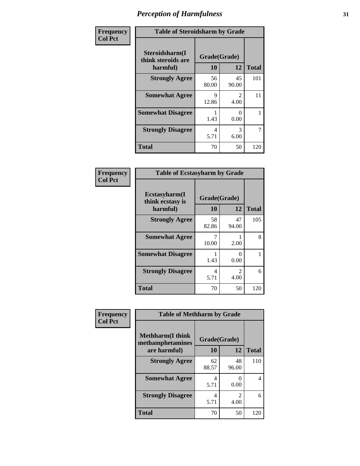| Frequency      | <b>Table of Steroidsharm by Grade</b>            |                    |                        |              |
|----------------|--------------------------------------------------|--------------------|------------------------|--------------|
| <b>Col Pct</b> | Steroidsharm(I<br>think steroids are<br>harmful) | Grade(Grade)<br>10 | 12                     | <b>Total</b> |
|                | <b>Strongly Agree</b>                            | 56<br>80.00        | 45<br>90.00            | 101          |
|                | <b>Somewhat Agree</b>                            | 9<br>12.86         | $\mathfrak{D}$<br>4.00 | 11           |
|                | <b>Somewhat Disagree</b>                         | 1.43               | 0<br>0.00              |              |
|                | <b>Strongly Disagree</b>                         | 4<br>5.71          | 3<br>6.00              | 7            |
|                | <b>Total</b>                                     | 70                 | 50                     | 120          |

| <b>Table of Ecstasyharm by Grade</b>          |                    |                        |              |  |  |
|-----------------------------------------------|--------------------|------------------------|--------------|--|--|
| Ecstasyharm(I<br>think ecstasy is<br>harmful) | Grade(Grade)<br>10 | 12                     | <b>Total</b> |  |  |
| <b>Strongly Agree</b>                         | 58<br>82.86        | 47<br>94.00            | 105          |  |  |
| <b>Somewhat Agree</b>                         | 7<br>10.00         | 2.00                   | 8            |  |  |
| <b>Somewhat Disagree</b>                      | 1<br>1.43          | 0<br>0.00              | 1            |  |  |
| <b>Strongly Disagree</b>                      | 4<br>5.71          | $\mathfrak{D}$<br>4.00 | 6            |  |  |
| <b>Total</b>                                  | 70                 | 50                     | 120          |  |  |

| Frequency      | <b>Table of Methharm by Grade</b> |              |       |              |
|----------------|-----------------------------------|--------------|-------|--------------|
| <b>Col Pct</b> | <b>Methharm</b> (I think          | Grade(Grade) |       |              |
|                | methamphetamines                  |              |       |              |
|                | are harmful)                      | 10           | 12    | <b>Total</b> |
|                | <b>Strongly Agree</b>             | 62           | 48    | 110          |
|                |                                   | 88.57        | 96.00 |              |
|                | <b>Somewhat Agree</b>             | 4            | 0     | 4            |
|                |                                   | 5.71         | 0.00  |              |
|                | <b>Strongly Disagree</b>          | 4            | 2     | 6            |
|                |                                   | 5.71         | 4.00  |              |
|                | <b>Total</b>                      | 70           | 50    | 120          |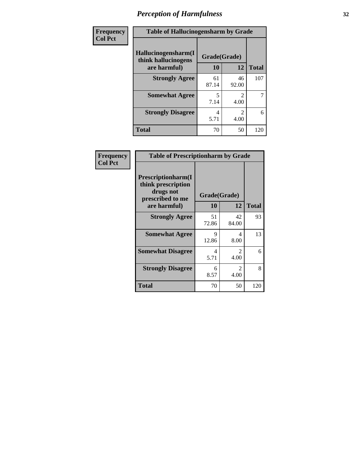| Frequency | <b>Table of Hallucinogensharm by Grade</b>                 |                    |                        |              |
|-----------|------------------------------------------------------------|--------------------|------------------------|--------------|
| Col Pct   | Hallucinogensharm(I<br>think hallucinogens<br>are harmful) | Grade(Grade)<br>10 | 12                     | <b>Total</b> |
|           | <b>Strongly Agree</b>                                      | 61<br>87.14        | 46<br>92.00            | 107          |
|           | <b>Somewhat Agree</b>                                      | 5<br>7.14          | $\mathcal{L}$<br>4.00  | 7            |
|           | <b>Strongly Disagree</b>                                   | 4<br>5.71          | $\overline{c}$<br>4.00 | 6            |
|           | <b>Total</b>                                               | 70                 | 50                     | 120          |

| Frequency      | <b>Table of Prescriptionharm by Grade</b>                                 |              |                       |              |
|----------------|---------------------------------------------------------------------------|--------------|-----------------------|--------------|
| <b>Col Pct</b> | Prescriptionharm(I<br>think prescription<br>drugs not<br>prescribed to me | Grade(Grade) |                       |              |
|                | are harmful)                                                              | <b>10</b>    | 12                    | <b>Total</b> |
|                | <b>Strongly Agree</b>                                                     | 51<br>72.86  | 42<br>84.00           | 93           |
|                | <b>Somewhat Agree</b>                                                     | 9<br>12.86   | 4<br>8.00             | 13           |
|                | <b>Somewhat Disagree</b>                                                  | 4<br>5.71    | 2<br>4.00             | 6            |
|                | <b>Strongly Disagree</b>                                                  | 6<br>8.57    | $\mathcal{L}$<br>4.00 | 8            |
|                | Total                                                                     | 70           | 50                    | 120          |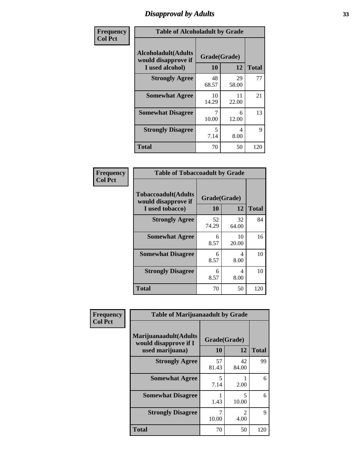# *Disapproval by Adults* **33**

| Frequency      | <b>Table of Alcoholadult by Grade</b>                                 |                    |             |              |
|----------------|-----------------------------------------------------------------------|--------------------|-------------|--------------|
| <b>Col Pct</b> | <b>Alcoholadult</b> (Adults<br>would disapprove if<br>I used alcohol) | Grade(Grade)<br>10 | 12          | <b>Total</b> |
|                | <b>Strongly Agree</b>                                                 | 48<br>68.57        | 29<br>58.00 | 77           |
|                | <b>Somewhat Agree</b>                                                 | 10<br>14.29        | 11<br>22.00 | 21           |
|                | <b>Somewhat Disagree</b>                                              | 7<br>10.00         | 6<br>12.00  | 13           |
|                | <b>Strongly Disagree</b>                                              | 5<br>7.14          | 4<br>8.00   | 9            |
|                | <b>Total</b>                                                          | 70                 | 50          | 120          |

| <b>Table of Tobaccoadult by Grade</b>                                                             |             |             |                    |  |  |
|---------------------------------------------------------------------------------------------------|-------------|-------------|--------------------|--|--|
| <b>Tobaccoadult</b> (Adults<br>Grade(Grade)<br>would disapprove if<br>10<br>12<br>I used tobacco) |             |             |                    |  |  |
| <b>Strongly Agree</b>                                                                             | 52<br>74.29 | 32<br>64.00 | <b>Total</b><br>84 |  |  |
| <b>Somewhat Agree</b>                                                                             | 6<br>8.57   | 10<br>20.00 | 16                 |  |  |
| <b>Somewhat Disagree</b>                                                                          | 6<br>8.57   | 4<br>8.00   | 10                 |  |  |
| <b>Strongly Disagree</b>                                                                          | 6<br>8.57   | 4<br>8.00   | 10                 |  |  |
| <b>Total</b>                                                                                      | 70          | 50          | 120                |  |  |

| Frequency<br><b>Col Pct</b> | <b>Table of Marijuanaadult by Grade</b>                           |                    |                        |              |
|-----------------------------|-------------------------------------------------------------------|--------------------|------------------------|--------------|
|                             | Marijuanaadult(Adults<br>would disapprove if I<br>used marijuana) | Grade(Grade)<br>10 | 12                     | <b>Total</b> |
|                             | <b>Strongly Agree</b>                                             | 57<br>81.43        | 42<br>84.00            | 99           |
|                             | <b>Somewhat Agree</b>                                             | 5<br>7.14          | 2.00                   | 6            |
|                             | <b>Somewhat Disagree</b>                                          | 1.43               | 5<br>10.00             | 6            |
|                             | <b>Strongly Disagree</b>                                          | 10.00              | $\mathfrak{D}$<br>4.00 | $\mathbf Q$  |
|                             | <b>Total</b>                                                      | 70                 | 50                     | 120          |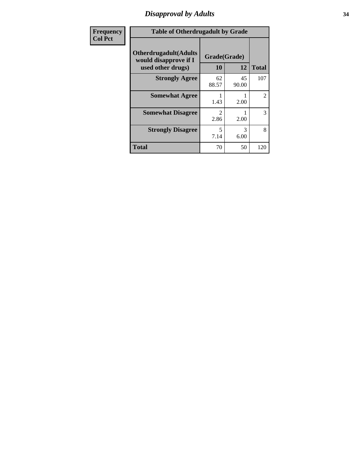### *Disapproval by Adults* **34**

| <b>Frequency</b> | <b>Table of Otherdrugadult by Grade</b>                                     |                    |             |              |
|------------------|-----------------------------------------------------------------------------|--------------------|-------------|--------------|
| <b>Col Pct</b>   | <b>Otherdrugadult</b> (Adults<br>would disapprove if I<br>used other drugs) | Grade(Grade)<br>10 | 12          | <b>Total</b> |
|                  | <b>Strongly Agree</b>                                                       | 62<br>88.57        | 45<br>90.00 | 107          |
|                  | <b>Somewhat Agree</b>                                                       | 1.43               | 2.00        | 2            |
|                  | <b>Somewhat Disagree</b>                                                    | 2<br>2.86          | 2.00        | 3            |
|                  | <b>Strongly Disagree</b>                                                    | 5<br>7.14          | 3<br>6.00   | 8            |
|                  | <b>Total</b>                                                                | 70                 | 50          | 120          |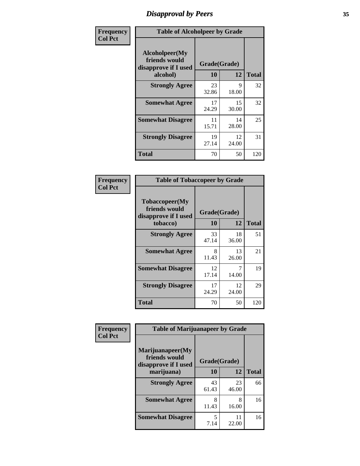# *Disapproval by Peers* **35**

| Frequency      | <b>Table of Alcoholpeer by Grade</b>                    |              |             |              |
|----------------|---------------------------------------------------------|--------------|-------------|--------------|
| <b>Col Pct</b> | Alcoholpeer(My<br>friends would<br>disapprove if I used | Grade(Grade) |             |              |
|                | alcohol)                                                | 10           | 12          | <b>Total</b> |
|                | <b>Strongly Agree</b>                                   | 23<br>32.86  | 9<br>18.00  | 32           |
|                | <b>Somewhat Agree</b>                                   | 17<br>24.29  | 15<br>30.00 | 32           |
|                | <b>Somewhat Disagree</b>                                | 11<br>15.71  | 14<br>28.00 | 25           |
|                | <b>Strongly Disagree</b>                                | 19<br>27.14  | 12<br>24.00 | 31           |
|                | Total                                                   | 70           | 50          | 120          |

| Frequency      | <b>Table of Tobaccopeer by Grade</b>                                |                    |             |              |
|----------------|---------------------------------------------------------------------|--------------------|-------------|--------------|
| <b>Col Pct</b> | Tobaccopeer(My<br>friends would<br>disapprove if I used<br>tobacco) | Grade(Grade)<br>10 | 12          | <b>Total</b> |
|                | <b>Strongly Agree</b>                                               | 33<br>47.14        | 18<br>36.00 | 51           |
|                | <b>Somewhat Agree</b>                                               | 8<br>11.43         | 13<br>26.00 | 21           |
|                | <b>Somewhat Disagree</b>                                            | 12<br>17.14        | 7<br>14.00  | 19           |
|                | <b>Strongly Disagree</b>                                            | 17<br>24.29        | 12<br>24.00 | 29           |
|                | Total                                                               | 70                 | 50          | 120          |

| Frequency      | <b>Table of Marijuanapeer by Grade</b>                    |              |             |              |
|----------------|-----------------------------------------------------------|--------------|-------------|--------------|
| <b>Col Pct</b> | Marijuanapeer(My<br>friends would<br>disapprove if I used | Grade(Grade) |             |              |
|                | marijuana)                                                | 10           | 12          | <b>Total</b> |
|                | <b>Strongly Agree</b>                                     | 43<br>61.43  | 23<br>46.00 | 66           |
|                | <b>Somewhat Agree</b>                                     | 8<br>11.43   | 8<br>16.00  | 16           |
|                | <b>Somewhat Disagree</b>                                  | 5<br>7.14    | 11<br>22.00 | 16           |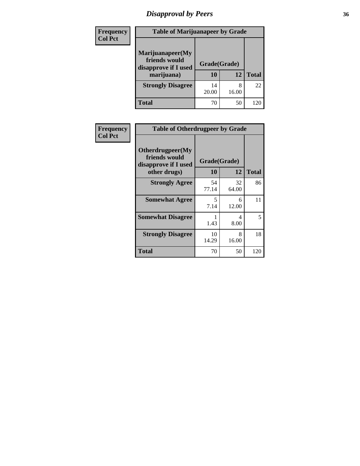# *Disapproval by Peers* **36**

| Frequency<br><b>Col Pct</b> | <b>Table of Marijuanapeer by Grade</b>                                  |                          |            |              |
|-----------------------------|-------------------------------------------------------------------------|--------------------------|------------|--------------|
|                             | Marijuanapeer(My<br>friends would<br>disapprove if I used<br>marijuana) | Grade(Grade)<br>10<br>12 |            | <b>Total</b> |
|                             | <b>Strongly Disagree</b>                                                | 14<br>20.00              | 8<br>16.00 | 22           |
|                             | Total                                                                   | 70                       | 50         | 120          |

| Frequency      | <b>Table of Otherdrugpeer by Grade</b>                                    |                    |             |              |
|----------------|---------------------------------------------------------------------------|--------------------|-------------|--------------|
| <b>Col Pct</b> | Otherdrugpeer(My<br>friends would<br>disapprove if I used<br>other drugs) | Grade(Grade)<br>10 | 12          | <b>Total</b> |
|                | <b>Strongly Agree</b>                                                     | 54<br>77.14        | 32<br>64.00 | 86           |
|                | <b>Somewhat Agree</b>                                                     | 5<br>7.14          | 6<br>12.00  | 11           |
|                | <b>Somewhat Disagree</b>                                                  | 1.43               | 4<br>8.00   | 5            |
|                | <b>Strongly Disagree</b>                                                  | 10<br>14.29        | 8<br>16.00  | 18           |
|                | <b>Total</b>                                                              | 70                 | 50          | 120          |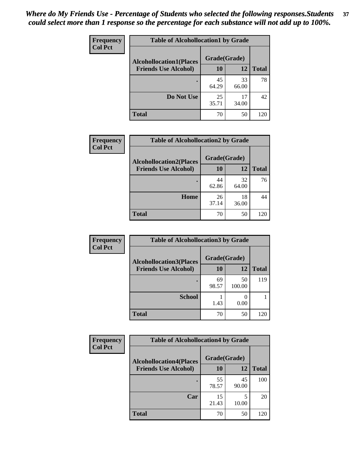| Frequency<br><b>Col Pct</b> | <b>Table of Alcohollocation1 by Grade</b> |              |             |              |  |
|-----------------------------|-------------------------------------------|--------------|-------------|--------------|--|
|                             | <b>Alcohollocation1(Places</b>            | Grade(Grade) |             |              |  |
|                             | <b>Friends Use Alcohol)</b>               | 10           | 12          | <b>Total</b> |  |
|                             |                                           | 45<br>64.29  | 33<br>66.00 | 78           |  |
|                             | Do Not Use                                | 25<br>35.71  | 17<br>34.00 | 42           |  |
|                             | <b>Total</b>                              | 70           | 50          | 120          |  |

| Frequency      | <b>Table of Alcohollocation2 by Grade</b>                     |                           |             |              |
|----------------|---------------------------------------------------------------|---------------------------|-------------|--------------|
| <b>Col Pct</b> | <b>Alcohollocation2(Places</b><br><b>Friends Use Alcohol)</b> | Grade(Grade)<br><b>10</b> | <b>12</b>   | <b>Total</b> |
|                |                                                               | 44<br>62.86               | 32<br>64.00 | 76           |
|                | Home                                                          | 26<br>37.14               | 18<br>36.00 | 44           |
|                | <b>Total</b>                                                  | 70                        | 50          | 120          |

| Frequency<br><b>Col Pct</b> | <b>Table of Alcohollocation 3 by Grade</b>                    |                    |              |              |
|-----------------------------|---------------------------------------------------------------|--------------------|--------------|--------------|
|                             | <b>Alcohollocation3(Places</b><br><b>Friends Use Alcohol)</b> | Grade(Grade)<br>10 | 12           | <b>Total</b> |
|                             |                                                               | 69<br>98.57        | 50<br>100.00 | 119          |
|                             | <b>School</b>                                                 | 1.43               | 0.00         |              |
|                             | <b>Total</b>                                                  | 70                 | 50           | 120          |

| <b>Frequency</b> | <b>Table of Alcohollocation4 by Grade</b> |              |             |              |
|------------------|-------------------------------------------|--------------|-------------|--------------|
| <b>Col Pct</b>   | <b>Alcohollocation4(Places</b>            | Grade(Grade) |             |              |
|                  | <b>Friends Use Alcohol)</b>               | 10           | 12          | <b>Total</b> |
|                  |                                           | 55<br>78.57  | 45<br>90.00 | 100          |
|                  | Car                                       | 15<br>21.43  | 5<br>10.00  | 20           |
|                  | <b>Total</b>                              | 70           | 50          | 120          |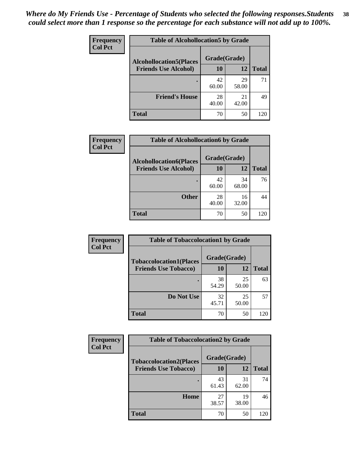| <b>Frequency</b><br><b>Col Pct</b> | <b>Table of Alcohollocation5 by Grade</b>      |             |             |              |  |
|------------------------------------|------------------------------------------------|-------------|-------------|--------------|--|
|                                    | Grade(Grade)<br><b>Alcohollocation5(Places</b> |             |             |              |  |
|                                    | <b>Friends Use Alcohol)</b>                    | 10          | 12          | <b>Total</b> |  |
|                                    |                                                | 42<br>60.00 | 29<br>58.00 | 71           |  |
|                                    | <b>Friend's House</b>                          | 28<br>40.00 | 21<br>42.00 | 49           |  |
|                                    | <b>Total</b>                                   | 70          | 50          | 120          |  |

| <b>Frequency</b> | <b>Table of Alcohollocation6 by Grade</b> |              |             |              |
|------------------|-------------------------------------------|--------------|-------------|--------------|
| <b>Col Pct</b>   | <b>Alcohollocation6(Places</b>            | Grade(Grade) |             |              |
|                  | <b>Friends Use Alcohol)</b>               | 10           | 12          | <b>Total</b> |
|                  |                                           | 42<br>60.00  | 34<br>68.00 | 76           |
|                  | <b>Other</b>                              | 28<br>40.00  | 16<br>32.00 | 44           |
|                  | <b>Total</b>                              | 70           | 50          | 120          |

| <b>Frequency</b> | <b>Table of Tobaccolocation1 by Grade</b> |              |             |              |
|------------------|-------------------------------------------|--------------|-------------|--------------|
| <b>Col Pct</b>   | <b>Tobaccolocation1(Places</b>            | Grade(Grade) |             |              |
|                  | <b>Friends Use Tobacco)</b>               | 10           | 12          | <b>Total</b> |
|                  |                                           | 38<br>54.29  | 25<br>50.00 | 63           |
|                  | Do Not Use                                | 32<br>45.71  | 25<br>50.00 | 57           |
|                  | <b>Total</b>                              | 70           | 50          | 120          |

| <b>Frequency</b> | <b>Table of Tobaccolocation2 by Grade</b> |              |             |              |  |
|------------------|-------------------------------------------|--------------|-------------|--------------|--|
| <b>Col Pct</b>   | <b>Tobaccolocation2(Places</b>            | Grade(Grade) |             |              |  |
|                  | <b>Friends Use Tobacco)</b>               | 10           | 12          | <b>Total</b> |  |
|                  |                                           | 43<br>61.43  | 31<br>62.00 | 74           |  |
|                  | Home                                      | 27<br>38.57  | 19<br>38.00 | 46           |  |
|                  | <b>Total</b>                              | 70           | 50          | 120          |  |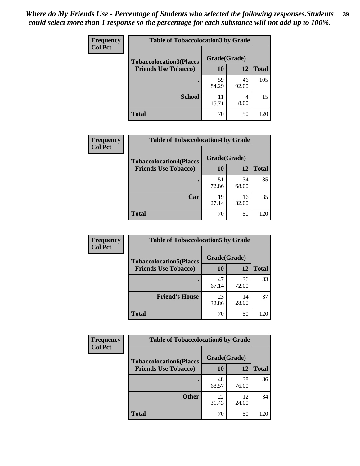| Frequency      | <b>Table of Tobaccolocation 3 by Grade</b> |              |             |              |  |
|----------------|--------------------------------------------|--------------|-------------|--------------|--|
| <b>Col Pct</b> | <b>Tobaccolocation3(Places</b>             | Grade(Grade) |             |              |  |
|                | <b>Friends Use Tobacco)</b>                | 10           | 12          | <b>Total</b> |  |
|                |                                            | 59<br>84.29  | 46<br>92.00 | 105          |  |
|                | <b>School</b>                              | 11<br>15.71  | 4<br>8.00   | 15           |  |
|                | <b>Total</b>                               | 70           | 50          | 120          |  |

| <b>Frequency</b> | <b>Table of Tobaccolocation4 by Grade</b> |              |             |              |
|------------------|-------------------------------------------|--------------|-------------|--------------|
| <b>Col Pct</b>   | <b>Tobaccolocation4(Places</b>            | Grade(Grade) |             |              |
|                  | <b>Friends Use Tobacco)</b>               | 10           | 12          | <b>Total</b> |
|                  |                                           | 51<br>72.86  | 34<br>68.00 | 85           |
|                  | Car                                       | 19<br>27.14  | 16<br>32.00 | 35           |
|                  | <b>Total</b>                              | 70           | 50          | 120          |

| Frequency      | <b>Table of Tobaccolocation5 by Grade</b> |              |             |              |
|----------------|-------------------------------------------|--------------|-------------|--------------|
| <b>Col Pct</b> | <b>Tobaccolocation5(Places</b>            | Grade(Grade) |             |              |
|                | <b>Friends Use Tobacco)</b>               | 10           | 12          | <b>Total</b> |
|                |                                           | 47<br>67.14  | 36<br>72.00 | 83           |
|                | <b>Friend's House</b>                     | 23<br>32.86  | 14<br>28.00 | 37           |
|                | <b>Total</b>                              | 70           | 50          | 120          |

| Frequency      | <b>Table of Tobaccolocation6 by Grade</b> |              |             |              |  |
|----------------|-------------------------------------------|--------------|-------------|--------------|--|
| <b>Col Pct</b> | <b>Tobaccolocation6(Places</b>            | Grade(Grade) |             |              |  |
|                | <b>Friends Use Tobacco)</b>               | 10           | 12          | <b>Total</b> |  |
|                |                                           | 48<br>68.57  | 38<br>76.00 | 86           |  |
|                | <b>Other</b>                              | 22<br>31.43  | 12<br>24.00 | 34           |  |
|                | <b>Total</b>                              | 70           | 50          | 120          |  |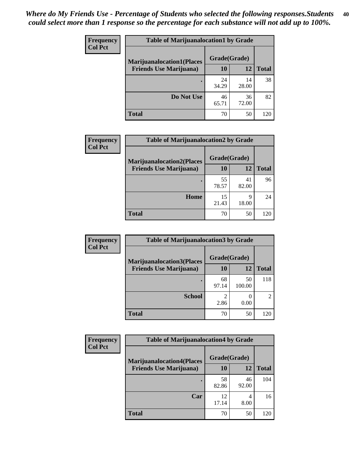| <b>Frequency</b> | <b>Table of Marijuanalocation1 by Grade</b> |              |             |              |
|------------------|---------------------------------------------|--------------|-------------|--------------|
| <b>Col Pct</b>   | <b>Marijuanalocation1(Places</b>            | Grade(Grade) |             |              |
|                  | <b>Friends Use Marijuana</b> )              | <b>10</b>    | 12          | <b>Total</b> |
|                  |                                             | 24<br>34.29  | 14<br>28.00 | 38           |
|                  | Do Not Use                                  | 46<br>65.71  | 36<br>72.00 | 82           |
|                  | <b>Total</b>                                | 70           | 50          | 120          |

| Frequency      | <b>Table of Marijuanalocation2 by Grade</b> |              |             |              |
|----------------|---------------------------------------------|--------------|-------------|--------------|
| <b>Col Pct</b> | <b>Marijuanalocation2(Places</b>            | Grade(Grade) |             |              |
|                | <b>Friends Use Marijuana</b> )              | 10           | 12          | <b>Total</b> |
|                |                                             | 55<br>78.57  | 41<br>82.00 | 96           |
|                | Home                                        | 15<br>21.43  | q<br>18.00  | 24           |
|                | <b>Total</b>                                | 70           | 50          | 120          |

| Frequency<br><b>Col Pct</b> | <b>Table of Marijuanalocation3 by Grade</b> |              |              |                |
|-----------------------------|---------------------------------------------|--------------|--------------|----------------|
|                             | <b>Marijuanalocation3(Places</b>            | Grade(Grade) |              |                |
|                             | <b>Friends Use Marijuana</b> )              | 10           | 12           | Total          |
|                             |                                             | 68<br>97.14  | 50<br>100.00 | 118            |
|                             | <b>School</b>                               | 2.86         | 0.00         | $\mathfrak{D}$ |
|                             | <b>Total</b>                                | 70           | 50           | 120            |

| <b>Frequency</b> | <b>Table of Marijuanalocation4 by Grade</b> |              |             |              |
|------------------|---------------------------------------------|--------------|-------------|--------------|
| <b>Col Pct</b>   | <b>Marijuanalocation4(Places</b>            | Grade(Grade) |             |              |
|                  | <b>Friends Use Marijuana</b> )              | 10           | 12          | <b>Total</b> |
|                  |                                             | 58<br>82.86  | 46<br>92.00 | 104          |
|                  | Car                                         | 12<br>17.14  | 4<br>8.00   | 16           |
|                  | <b>Total</b>                                | 70           | 50          | (20)         |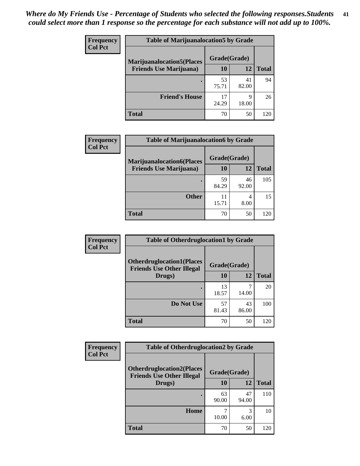| <b>Frequency</b> | <b>Table of Marijuanalocation5 by Grade</b>       |             |             |              |
|------------------|---------------------------------------------------|-------------|-------------|--------------|
| <b>Col Pct</b>   | Grade(Grade)<br><b>Marijuanalocation5(Places)</b> |             |             |              |
|                  | <b>Friends Use Marijuana</b> )                    | 10          | 12          | <b>Total</b> |
|                  |                                                   | 53<br>75.71 | 41<br>82.00 | 94           |
|                  | <b>Friend's House</b>                             | 17<br>24.29 | Q<br>18.00  | 26           |
|                  | <b>Total</b>                                      | 70          | 50          | 120          |

| <b>Frequency</b> | <b>Table of Marijuanalocation6 by Grade</b>                        |                    |             |              |
|------------------|--------------------------------------------------------------------|--------------------|-------------|--------------|
| <b>Col Pct</b>   | <b>Marijuanalocation6(Places</b><br><b>Friends Use Marijuana</b> ) | Grade(Grade)<br>10 | 12          | <b>Total</b> |
|                  |                                                                    |                    |             |              |
|                  |                                                                    | 59<br>84.29        | 46<br>92.00 | 105          |
|                  | <b>Other</b>                                                       | 11<br>15.71        | 4<br>8.00   | 15           |
|                  | <b>Total</b>                                                       | 70                 | 50          | 120          |

| <b>Frequency</b> | <b>Table of Otherdruglocation1 by Grade</b>                          |              |             |              |
|------------------|----------------------------------------------------------------------|--------------|-------------|--------------|
| <b>Col Pct</b>   | <b>Otherdruglocation1(Places</b><br><b>Friends Use Other Illegal</b> | Grade(Grade) |             |              |
|                  | Drugs)                                                               | 10           | 12          | <b>Total</b> |
|                  |                                                                      | 13<br>18.57  | 14.00       | 20           |
|                  | Do Not Use                                                           | 57<br>81.43  | 43<br>86.00 | 100          |
|                  | <b>Total</b>                                                         | 70           | 50          | 120          |

| <b>Frequency</b> | <b>Table of Otherdruglocation2 by Grade</b>                          |              |             |              |
|------------------|----------------------------------------------------------------------|--------------|-------------|--------------|
| <b>Col Pct</b>   | <b>Otherdruglocation2(Places</b><br><b>Friends Use Other Illegal</b> | Grade(Grade) |             |              |
|                  | Drugs)                                                               | 10           | 12          | <b>Total</b> |
|                  |                                                                      | 63<br>90.00  | 47<br>94.00 | 110          |
|                  | Home                                                                 | 10.00        | 3<br>6.00   | 10           |
|                  | <b>Total</b>                                                         | 70           | 50          | 120          |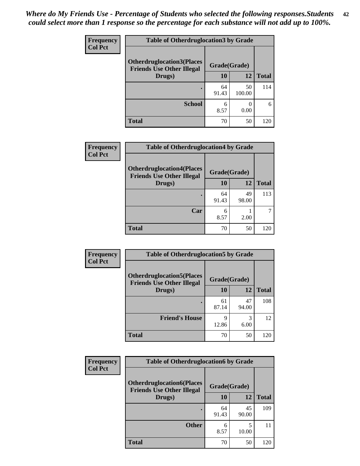| <b>Frequency</b> | <b>Table of Otherdruglocation 3 by Grade</b>                         |              |              |              |
|------------------|----------------------------------------------------------------------|--------------|--------------|--------------|
| <b>Col Pct</b>   | <b>Otherdruglocation3(Places</b><br><b>Friends Use Other Illegal</b> | Grade(Grade) |              |              |
|                  | Drugs)                                                               | 10           | 12           | <b>Total</b> |
|                  |                                                                      | 64<br>91.43  | 50<br>100.00 | 114          |
|                  | <b>School</b>                                                        | 6<br>8.57    | 0.00         |              |
|                  | <b>Total</b>                                                         | 70           | 50           | 120          |

| <b>Frequency</b> | <b>Table of Otherdruglocation4 by Grade</b>                          |             |              |              |
|------------------|----------------------------------------------------------------------|-------------|--------------|--------------|
| <b>Col Pct</b>   | <b>Otherdruglocation4(Places</b><br><b>Friends Use Other Illegal</b> |             | Grade(Grade) |              |
|                  | Drugs)                                                               | 10          | 12           | <b>Total</b> |
|                  |                                                                      | 64<br>91.43 | 49<br>98.00  | 113          |
|                  | Car                                                                  | 6<br>8.57   | 2.00         |              |
|                  | <b>Total</b>                                                         | 70          | 50           | 120          |

| <b>Frequency</b> | <b>Table of Otherdruglocation5 by Grade</b>                          |              |             |              |
|------------------|----------------------------------------------------------------------|--------------|-------------|--------------|
| <b>Col Pct</b>   | <b>Otherdruglocation5(Places</b><br><b>Friends Use Other Illegal</b> | Grade(Grade) |             |              |
|                  | Drugs)                                                               | <b>10</b>    | 12          | <b>Total</b> |
|                  |                                                                      | 61<br>87.14  | 47<br>94.00 | 108          |
|                  | <b>Friend's House</b>                                                | 9<br>12.86   | 3<br>6.00   | 12           |
|                  | <b>Total</b>                                                         | 70           | 50          | 120          |

| <b>Frequency</b> | <b>Table of Otherdruglocation6 by Grade</b><br><b>Col Pct</b><br><b>Otherdruglocation6(Places</b><br>Grade(Grade)<br><b>Friends Use Other Illegal</b> |             |             |              |
|------------------|-------------------------------------------------------------------------------------------------------------------------------------------------------|-------------|-------------|--------------|
|                  |                                                                                                                                                       |             |             |              |
|                  | Drugs)                                                                                                                                                | 10          | 12          | <b>Total</b> |
|                  |                                                                                                                                                       | 64<br>91.43 | 45<br>90.00 | 109          |
|                  | <b>Other</b>                                                                                                                                          | 6<br>8.57   | 10.00       | 11           |
|                  | <b>Total</b>                                                                                                                                          | 70          | 50          | 120          |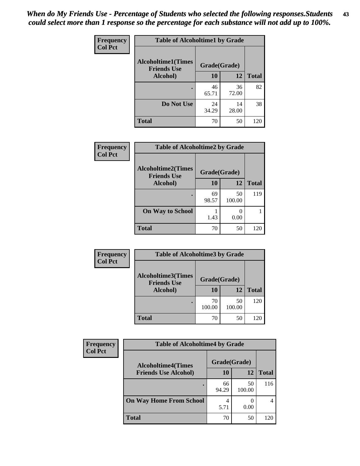| Frequency      | <b>Table of Alcoholtime1 by Grade</b>           |              |             |              |  |
|----------------|-------------------------------------------------|--------------|-------------|--------------|--|
| <b>Col Pct</b> | <b>Alcoholtime1(Times</b><br><b>Friends Use</b> | Grade(Grade) |             |              |  |
|                | Alcohol)                                        | 10           | 12          | <b>Total</b> |  |
|                | ٠                                               | 46<br>65.71  | 36<br>72.00 | 82           |  |
|                | Do Not Use                                      | 24<br>34.29  | 14<br>28.00 | 38           |  |
|                | <b>Total</b>                                    | 70           | 50          | 120          |  |

| Frequency      | <b>Table of Alcoholtime2 by Grade</b>           |              |              |              |  |
|----------------|-------------------------------------------------|--------------|--------------|--------------|--|
| <b>Col Pct</b> | <b>Alcoholtime2(Times</b><br><b>Friends Use</b> | Grade(Grade) |              |              |  |
|                | Alcohol)                                        | 10           | 12           | <b>Total</b> |  |
|                |                                                 | 69<br>98.57  | 50<br>100.00 | 119          |  |
|                | <b>On Way to School</b>                         | 1.43         | 0.00         |              |  |
|                | <b>Total</b>                                    | 70           | 50           | 120          |  |

| Frequency      | <b>Table of Alcoholtime3 by Grade</b>           |              |              |              |  |
|----------------|-------------------------------------------------|--------------|--------------|--------------|--|
| <b>Col Pct</b> | <b>Alcoholtime3(Times</b><br><b>Friends Use</b> | Grade(Grade) |              |              |  |
|                | Alcohol)                                        | 10           | 12           | <b>Total</b> |  |
|                |                                                 | 70<br>100.00 | 50<br>100.00 | 120          |  |
|                | <b>Total</b>                                    | 70           | 50           | 120          |  |

| <b>Frequency</b> | <b>Table of Alcoholtime4 by Grade</b> |              |              |       |
|------------------|---------------------------------------|--------------|--------------|-------|
| <b>Col Pct</b>   | <b>Alcoholtime4(Times</b>             | Grade(Grade) |              |       |
|                  | <b>Friends Use Alcohol)</b>           | 10           | 12           | Total |
|                  |                                       | 66<br>94.29  | 50<br>100.00 | 116   |
|                  | <b>On Way Home From School</b>        | 5.71         | 0.00         |       |
|                  | <b>Total</b>                          | 70           | 50           | 120   |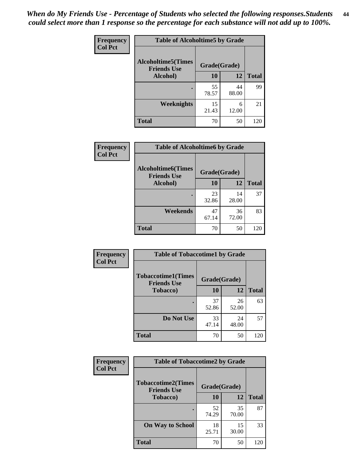*When do My Friends Use - Percentage of Students who selected the following responses.Students could select more than 1 response so the percentage for each substance will not add up to 100%.* **44**

| Frequency      | <b>Table of Alcoholtime5 by Grade</b>           |              |             |              |
|----------------|-------------------------------------------------|--------------|-------------|--------------|
| <b>Col Pct</b> | <b>Alcoholtime5(Times</b><br><b>Friends Use</b> | Grade(Grade) |             |              |
|                | Alcohol)                                        | 10           | 12          | <b>Total</b> |
|                |                                                 | 55<br>78.57  | 44<br>88.00 | 99           |
|                | <b>Weeknights</b>                               | 15<br>21.43  | 6<br>12.00  | 21           |
|                | <b>Total</b>                                    | 70           | 50          | 120          |

| Frequency      | <b>Table of Alcoholtime6 by Grade</b>           |              |             |              |
|----------------|-------------------------------------------------|--------------|-------------|--------------|
| <b>Col Pct</b> | <b>Alcoholtime6(Times</b><br><b>Friends Use</b> | Grade(Grade) |             |              |
|                | Alcohol)                                        | 10           | 12          | <b>Total</b> |
|                |                                                 | 23<br>32.86  | 14<br>28.00 | 37           |
|                | Weekends                                        | 47<br>67.14  | 36<br>72.00 | 83           |
|                | <b>Total</b>                                    | 70           | 50          | 120          |

| <b>Frequency</b><br><b>Col Pct</b> | <b>Table of Tobaccotime1 by Grade</b>           |              |             |              |
|------------------------------------|-------------------------------------------------|--------------|-------------|--------------|
|                                    | <b>Tobaccotime1(Times</b><br><b>Friends Use</b> | Grade(Grade) |             |              |
|                                    | <b>Tobacco</b> )                                | 10           | 12          | <b>Total</b> |
|                                    |                                                 | 37<br>52.86  | 26<br>52.00 | 63           |
|                                    | Do Not Use                                      | 33<br>47.14  | 24<br>48.00 | 57           |
|                                    | <b>Total</b>                                    | 70           | 50          | 120          |

| Frequency      | <b>Table of Tobaccotime2 by Grade</b>           |              |             |              |
|----------------|-------------------------------------------------|--------------|-------------|--------------|
| <b>Col Pct</b> | <b>Tobaccotime2(Times</b><br><b>Friends Use</b> | Grade(Grade) |             |              |
|                | <b>Tobacco</b> )                                | 10           | 12          | <b>Total</b> |
|                | ٠                                               | 52<br>74.29  | 35<br>70.00 | 87           |
|                | <b>On Way to School</b>                         | 18<br>25.71  | 15<br>30.00 | 33           |
|                | <b>Total</b>                                    | 70           | 50          | 120          |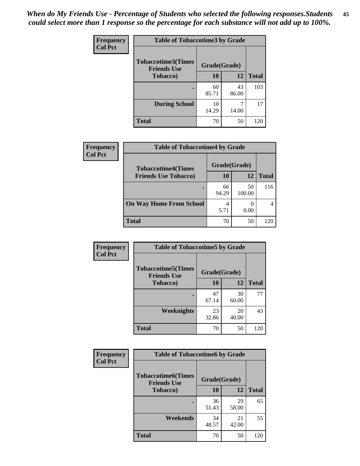| Frequency      | <b>Table of Tobaccotime3 by Grade</b>           |              |             |              |
|----------------|-------------------------------------------------|--------------|-------------|--------------|
| <b>Col Pct</b> | <b>Tobaccotime3(Times</b><br><b>Friends Use</b> | Grade(Grade) |             |              |
|                | <b>Tobacco</b> )                                | 10           | 12          | <b>Total</b> |
|                |                                                 | 60<br>85.71  | 43<br>86.00 | 103          |
|                | <b>During School</b>                            | 10<br>14.29  | 14.00       | 17           |
|                | <b>Total</b>                                    | 70           | 50          | 120          |

 $\overline{\phantom{a}}$ 

| <b>Frequency</b><br><b>Col Pct</b> | <b>Table of Tobaccotime4 by Grade</b> |              |              |              |
|------------------------------------|---------------------------------------|--------------|--------------|--------------|
|                                    | <b>Tobaccotime4(Times</b>             | Grade(Grade) |              |              |
|                                    | <b>Friends Use Tobacco)</b>           | 10           | 12           | <b>Total</b> |
|                                    |                                       | 66<br>94.29  | 50<br>100.00 | 116          |
|                                    | <b>On Way Home From School</b>        | 4<br>5.71    | 0.00         |              |
|                                    | <b>Total</b>                          | 70           | 50           | 120          |

| Frequency      | <b>Table of Tobaccotime5 by Grade</b>           |              |             |              |
|----------------|-------------------------------------------------|--------------|-------------|--------------|
| <b>Col Pct</b> | <b>Tobaccotime5(Times</b><br><b>Friends Use</b> | Grade(Grade) |             |              |
|                | <b>Tobacco</b> )                                | 10           | 12          | <b>Total</b> |
|                |                                                 | 47<br>67.14  | 30<br>60.00 | 77           |
|                | Weeknights                                      | 23<br>32.86  | 20<br>40.00 | 43           |
|                | <b>Total</b>                                    | 70           | 50          | 120          |

| Frequency      | <b>Table of Tobaccotime6 by Grade</b>           |              |             |              |
|----------------|-------------------------------------------------|--------------|-------------|--------------|
| <b>Col Pct</b> | <b>Tobaccotime6(Times</b><br><b>Friends Use</b> | Grade(Grade) |             |              |
|                | <b>Tobacco</b> )                                | 10           | 12          | <b>Total</b> |
|                |                                                 | 36<br>51.43  | 29<br>58.00 | 65           |
|                | Weekends                                        | 34<br>48.57  | 21<br>42.00 | 55           |
|                | <b>Total</b>                                    | 70           | 50          | 120          |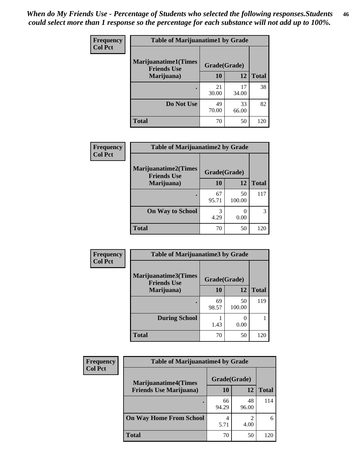| Frequency      | <b>Table of Marijuanatime1 by Grade</b>           |              |             |              |
|----------------|---------------------------------------------------|--------------|-------------|--------------|
| <b>Col Pct</b> | <b>Marijuanatime1(Times</b><br><b>Friends Use</b> | Grade(Grade) |             |              |
|                | Marijuana)                                        | 10           | 12          | <b>Total</b> |
|                |                                                   | 21<br>30.00  | 17<br>34.00 | 38           |
|                | Do Not Use                                        | 49<br>70.00  | 33<br>66.00 | 82           |
|                | <b>Total</b>                                      | 70           | 50          | 120          |

| Frequency      | <b>Table of Marijuanatime2 by Grade</b>           |              |              |              |
|----------------|---------------------------------------------------|--------------|--------------|--------------|
| <b>Col Pct</b> | <b>Marijuanatime2(Times</b><br><b>Friends Use</b> | Grade(Grade) |              |              |
|                | Marijuana)                                        | 10           | 12           | <b>Total</b> |
|                |                                                   | 67<br>95.71  | 50<br>100.00 | 117          |
|                | <b>On Way to School</b>                           | 3<br>4.29    | 0<br>0.00    | 3            |
|                | <b>Total</b>                                      | 70           | 50           | 120          |

| Frequency<br><b>Col Pct</b> | <b>Table of Marijuanatime3 by Grade</b>    |              |              |              |
|-----------------------------|--------------------------------------------|--------------|--------------|--------------|
|                             | Marijuanatime3(Times<br><b>Friends Use</b> | Grade(Grade) |              |              |
|                             | Marijuana)                                 | 10           | 12           | <b>Total</b> |
|                             |                                            | 69<br>98.57  | 50<br>100.00 | 119          |
|                             | <b>During School</b>                       | 1.43         | 0<br>0.00    |              |
|                             | <b>Total</b>                               | 70           | 50           | 120          |

| <b>Frequency</b><br><b>Col Pct</b> | <b>Table of Marijuanatime4 by Grade</b> |              |             |       |
|------------------------------------|-----------------------------------------|--------------|-------------|-------|
|                                    | <b>Marijuanatime4(Times</b>             | Grade(Grade) |             |       |
|                                    | <b>Friends Use Marijuana</b> )          | 10           | 12          | Total |
|                                    |                                         | 66<br>94.29  | 48<br>96.00 | 114   |
|                                    | <b>On Way Home From School</b>          | 4<br>5.71    | 4.00        | 6     |
|                                    | <b>Total</b>                            | 70           | 50          | 120   |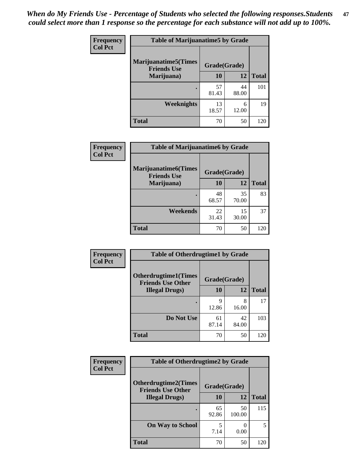| Frequency      | <b>Table of Marijuanatime5 by Grade</b>            |              |             |              |
|----------------|----------------------------------------------------|--------------|-------------|--------------|
| <b>Col Pct</b> | <b>Marijuanatime5</b> (Times<br><b>Friends Use</b> | Grade(Grade) |             |              |
|                | Marijuana)                                         | 10           | 12          | <b>Total</b> |
|                |                                                    | 57<br>81.43  | 44<br>88.00 | 101          |
|                | Weeknights                                         | 13<br>18.57  | 6<br>12.00  | 19           |
|                | <b>Total</b>                                       | 70           | 50          | 120          |

| <b>Frequency</b> | <b>Table of Marijuanatime6 by Grade</b>    |              |             |              |
|------------------|--------------------------------------------|--------------|-------------|--------------|
| <b>Col Pct</b>   | Marijuanatime6(Times<br><b>Friends Use</b> | Grade(Grade) |             |              |
|                  | Marijuana)                                 | 10           | 12          | <b>Total</b> |
|                  |                                            | 48<br>68.57  | 35<br>70.00 | 83           |
|                  | Weekends                                   | 22<br>31.43  | 15<br>30.00 | 37           |
|                  | <b>Total</b>                               | 70           | 50          | 120          |

| Frequency      | <b>Table of Otherdrugtime1 by Grade</b>                 |              |             |              |
|----------------|---------------------------------------------------------|--------------|-------------|--------------|
| <b>Col Pct</b> | <b>Otherdrugtime1(Times</b><br><b>Friends Use Other</b> | Grade(Grade) |             |              |
|                | <b>Illegal Drugs</b> )                                  | 10           | 12          | <b>Total</b> |
|                |                                                         | 9<br>12.86   | 8<br>16.00  | 17           |
|                | Do Not Use                                              | 61<br>87.14  | 42<br>84.00 | 103          |
|                | Total                                                   | 70           | 50          | 120          |

| Frequency      | <b>Table of Otherdrugtime2 by Grade</b>                 |              |              |              |
|----------------|---------------------------------------------------------|--------------|--------------|--------------|
| <b>Col Pct</b> | <b>Otherdrugtime2(Times</b><br><b>Friends Use Other</b> | Grade(Grade) |              |              |
|                | <b>Illegal Drugs</b> )                                  | 10           | 12           | <b>Total</b> |
|                |                                                         | 65<br>92.86  | 50<br>100.00 | 115          |
|                | <b>On Way to School</b>                                 | 5<br>7.14    | 0.00         | 5            |
|                | Total                                                   | 70           | 50           | 120          |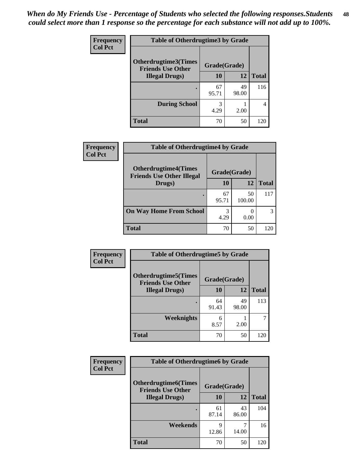| <b>Frequency</b> | <b>Table of Otherdrugtime3 by Grade</b>          |              |             |              |
|------------------|--------------------------------------------------|--------------|-------------|--------------|
| <b>Col Pct</b>   | Otherdrugtime3(Times<br><b>Friends Use Other</b> | Grade(Grade) |             |              |
|                  | <b>Illegal Drugs</b> )                           | 10           | 12          | <b>Total</b> |
|                  |                                                  | 67<br>95.71  | 49<br>98.00 | 116          |
|                  | <b>During School</b>                             | 3<br>4.29    | 2.00        | 4            |
|                  | <b>Total</b>                                     | 70           | 50          | 120          |

| Frequency      | <b>Table of Otherdrugtime4 by Grade</b>                         |              |              |              |
|----------------|-----------------------------------------------------------------|--------------|--------------|--------------|
| <b>Col Pct</b> | <b>Otherdrugtime4(Times</b><br><b>Friends Use Other Illegal</b> | Grade(Grade) |              |              |
|                | Drugs)                                                          | 10           | 12           | <b>Total</b> |
|                | $\bullet$                                                       | 67<br>95.71  | 50<br>100.00 | 117          |
|                | <b>On Way Home From School</b>                                  | 3<br>4.29    | 0.00         | 3            |
|                | <b>Total</b>                                                    | 70           | 50           | 120          |

| <b>Frequency</b> | <b>Table of Otherdrugtime5 by Grade</b>                  |              |             |              |
|------------------|----------------------------------------------------------|--------------|-------------|--------------|
| <b>Col Pct</b>   | <b>Otherdrugtime5</b> (Times<br><b>Friends Use Other</b> | Grade(Grade) |             |              |
|                  | <b>Illegal Drugs</b> )                                   | 10           | 12          | <b>Total</b> |
|                  |                                                          | 64<br>91.43  | 49<br>98.00 | 113          |
|                  | Weeknights                                               | 6<br>8.57    | 2.00        |              |
|                  | <b>Total</b>                                             | 70           | 50          | 120          |

| <b>Frequency</b><br><b>Col Pct</b> | <b>Table of Otherdrugtime6 by Grade</b>                 |              |             |              |
|------------------------------------|---------------------------------------------------------|--------------|-------------|--------------|
|                                    | <b>Otherdrugtime6(Times</b><br><b>Friends Use Other</b> | Grade(Grade) |             |              |
|                                    | <b>Illegal Drugs</b> )                                  | 10           | 12          | <b>Total</b> |
|                                    |                                                         | 61<br>87.14  | 43<br>86.00 | 104          |
|                                    | Weekends                                                | 9<br>12.86   | 14.00       | 16           |
|                                    | <b>Total</b>                                            | 70           | 50          | 120          |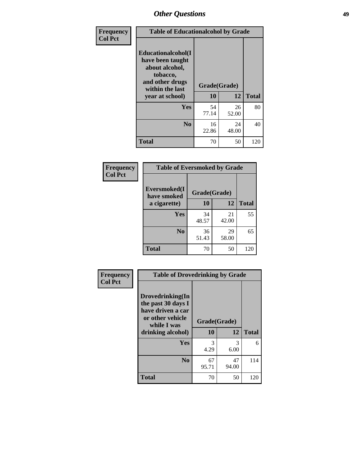| Frequency      | <b>Table of Educationalcohol by Grade</b>                                                                  |              |             |              |  |  |
|----------------|------------------------------------------------------------------------------------------------------------|--------------|-------------|--------------|--|--|
| <b>Col Pct</b> | Educationalcohol(I<br>have been taught<br>about alcohol,<br>tobacco,<br>and other drugs<br>within the last | Grade(Grade) |             |              |  |  |
|                | year at school)                                                                                            | 10           | 12          | <b>Total</b> |  |  |
|                | <b>Yes</b>                                                                                                 | 54<br>77.14  | 26<br>52.00 | 80           |  |  |
|                | N <sub>0</sub>                                                                                             | 16<br>22.86  | 24<br>48.00 | 40           |  |  |
|                | <b>Total</b>                                                                                               | 70           | 50          | 120          |  |  |

| Frequency      | <b>Table of Eversmoked by Grade</b> |              |             |              |  |  |
|----------------|-------------------------------------|--------------|-------------|--------------|--|--|
| <b>Col Pct</b> | Eversmoked(I<br>have smoked         | Grade(Grade) |             |              |  |  |
|                | a cigarette)                        | 10           | 12          | <b>Total</b> |  |  |
|                | Yes                                 | 34<br>48.57  | 21<br>42.00 | 55           |  |  |
|                | N <sub>0</sub>                      | 36<br>51.43  | 29<br>58.00 | 65           |  |  |
|                | <b>Total</b>                        | 70           | 50          | 120          |  |  |

| Frequency      | <b>Table of Drovedrinking by Grade</b>                                                                              |                    |             |              |  |  |  |
|----------------|---------------------------------------------------------------------------------------------------------------------|--------------------|-------------|--------------|--|--|--|
| <b>Col Pct</b> | Drovedrinking(In<br>the past 30 days I<br>have driven a car<br>or other vehicle<br>while I was<br>drinking alcohol) | Grade(Grade)<br>10 | 12          | <b>Total</b> |  |  |  |
|                | <b>Yes</b>                                                                                                          | 3<br>4.29          | 3<br>6.00   | 6            |  |  |  |
|                | N <sub>0</sub>                                                                                                      | 67<br>95.71        | 47<br>94.00 | 114          |  |  |  |
|                | <b>Total</b>                                                                                                        | 70                 | 50          | 120          |  |  |  |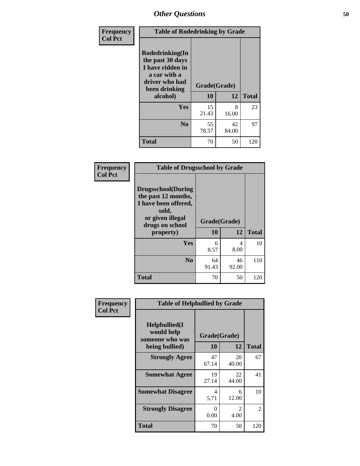| Frequency<br><b>Col Pct</b> | <b>Table of Rodedrinking by Grade</b>                                                                                         |             |                                    |     |  |  |
|-----------------------------|-------------------------------------------------------------------------------------------------------------------------------|-------------|------------------------------------|-----|--|--|
|                             | <b>Rodedrinking(In</b><br>the past 30 days<br>I have ridden in<br>a car with a<br>driver who had<br>been drinking<br>alcohol) | 10          | Grade(Grade)<br>12<br><b>Total</b> |     |  |  |
|                             | <b>Yes</b>                                                                                                                    | 15<br>21.43 | 8<br>16.00                         | 23  |  |  |
|                             | N <sub>0</sub>                                                                                                                | 55<br>78.57 | 42<br>84.00                        | 97  |  |  |
|                             | <b>Total</b>                                                                                                                  | 70          | 50                                 | 120 |  |  |

### **Frequency Col Pct**

| <b>Table of Drugsschool by Grade</b>                                                                                      |              |       |              |  |  |
|---------------------------------------------------------------------------------------------------------------------------|--------------|-------|--------------|--|--|
| <b>Drugsschool</b> (During<br>the past 12 months,<br>I have been offered,<br>sold,<br>or given illegal<br>drugs on school | Grade(Grade) |       |              |  |  |
| property)                                                                                                                 | 10           | 12    | <b>Total</b> |  |  |
| Yes                                                                                                                       | 6            | 4     | 10           |  |  |
|                                                                                                                           |              |       |              |  |  |
|                                                                                                                           | 8.57         | 8.00  |              |  |  |
| N <sub>0</sub>                                                                                                            | 64           | 46    | 110          |  |  |
|                                                                                                                           | 91.43        | 92.00 |              |  |  |

| Frequency      | <b>Table of Helpbullied by Grade</b>                                   |                           |             |              |  |  |  |
|----------------|------------------------------------------------------------------------|---------------------------|-------------|--------------|--|--|--|
| <b>Col Pct</b> | $Helpb$ ullied $(I$<br>would help<br>someone who was<br>being bullied) | Grade(Grade)<br><b>10</b> | 12          | <b>Total</b> |  |  |  |
|                | <b>Strongly Agree</b>                                                  | 47<br>67.14               | 20<br>40.00 | 67           |  |  |  |
|                | <b>Somewhat Agree</b>                                                  | 19<br>27.14               | 22<br>44.00 | 41           |  |  |  |
|                | <b>Somewhat Disagree</b>                                               | 4<br>5.71                 | 6<br>12.00  | 10           |  |  |  |
|                | <b>Strongly Disagree</b>                                               | 0<br>0.00                 | 2<br>4.00   | 2            |  |  |  |
|                | Total                                                                  | 70                        | 50          | 120          |  |  |  |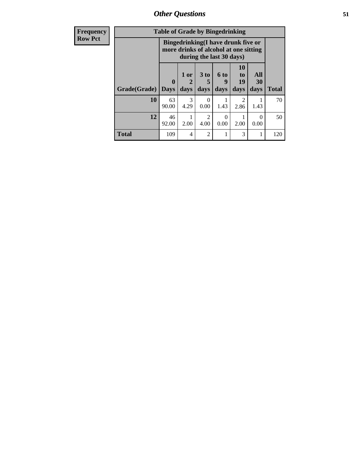*Other Questions* **51**

| <b>Frequency</b> | <b>Table of Grade by Bingedrinking</b> |                                                                                                         |                |                              |                     |                        |                   |              |
|------------------|----------------------------------------|---------------------------------------------------------------------------------------------------------|----------------|------------------------------|---------------------|------------------------|-------------------|--------------|
| <b>Row Pct</b>   |                                        | Bingedrinking(I have drunk five or<br>more drinks of alcohol at one sitting<br>during the last 30 days) |                |                              |                     |                        |                   |              |
|                  | Grade(Grade)                           | $\bf{0}$<br><b>Days</b>                                                                                 | $1$ or<br>days | 3 <sub>to</sub><br>5<br>days | $6$ to<br>9<br>days | 10<br>to<br>19<br>days | All<br>30<br>days | <b>Total</b> |
|                  | 10                                     | 63<br>90.00                                                                                             | 3<br>4.29      | $\Omega$<br>0.00             | 1.43                | 2.86                   | 1.43              | 70           |
|                  | 12                                     | 46<br>92.00                                                                                             | 2.00           | $\mathcal{L}$<br>4.00        | 0<br>0.00           | 2.00                   | $\Omega$<br>0.00  | 50           |
|                  | <b>Total</b>                           | 109                                                                                                     | 4              | $\mathfrak{D}$               |                     | 3                      |                   | 120          |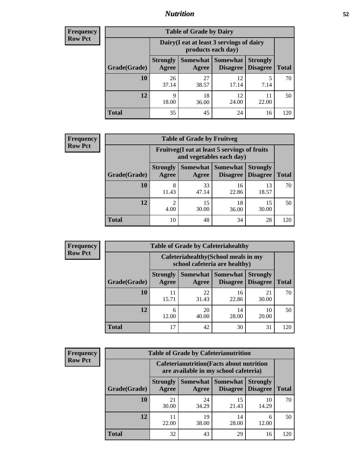## *Nutrition* **52**

| <b>Frequency</b><br>Row Pct |
|-----------------------------|
|                             |

| <b>Table of Grade by Dairy</b> |                                                                                                                                             |             |             |           |     |  |  |
|--------------------------------|---------------------------------------------------------------------------------------------------------------------------------------------|-------------|-------------|-----------|-----|--|--|
|                                | Dairy (I eat at least 3 servings of dairy<br>products each day)                                                                             |             |             |           |     |  |  |
| Grade(Grade)                   | Somewhat  <br><b>Somewhat</b><br><b>Strongly</b><br><b>Strongly</b><br><b>Disagree</b><br><b>Agree</b><br>Disagree<br><b>Total</b><br>Agree |             |             |           |     |  |  |
| 10                             | 26<br>37.14                                                                                                                                 | 27<br>38.57 | 12<br>17.14 | 5<br>7.14 | 70  |  |  |
| 12                             | 9<br>18.00                                                                                                                                  | 18<br>36.00 | 12<br>24.00 | 22.00     | 50  |  |  |
| <b>Total</b>                   | 35                                                                                                                                          | 45          | 24          | 16        | 120 |  |  |

| <b>Frequency</b> |
|------------------|
| <b>Row Pct</b>   |

| y | <b>Table of Grade by Fruitveg</b> |                          |                                                                          |                                   |                                    |              |  |  |
|---|-----------------------------------|--------------------------|--------------------------------------------------------------------------|-----------------------------------|------------------------------------|--------------|--|--|
|   |                                   |                          | Fruitveg(I eat at least 5 servings of fruits<br>and vegetables each day) |                                   |                                    |              |  |  |
|   | Grade(Grade)                      | <b>Strongly</b><br>Agree | Agree                                                                    | Somewhat   Somewhat  <br>Disagree | <b>Strongly</b><br><b>Disagree</b> | <b>Total</b> |  |  |
|   | 10                                | 8<br>11.43               | 33<br>47.14                                                              | 16<br>22.86                       | 13<br>18.57                        | 70           |  |  |
|   | 12                                | 4.00                     | 15<br>30.00                                                              | 18<br>36.00                       | 15<br>30.00                        | 50           |  |  |
|   | <b>Total</b>                      | 10                       | 48                                                                       | 34                                | 28                                 | 120          |  |  |

| <b>Frequency</b> | <b>Table of Grade by Cafeteriahealthy</b> |                                                                       |             |                                      |                                    |              |  |  |
|------------------|-------------------------------------------|-----------------------------------------------------------------------|-------------|--------------------------------------|------------------------------------|--------------|--|--|
| <b>Row Pct</b>   |                                           | Cafeteriahealthy (School meals in my<br>school cafeteria are healthy) |             |                                      |                                    |              |  |  |
|                  | Grade(Grade)                              | <b>Strongly</b><br>Agree                                              | Agree       | Somewhat Somewhat<br><b>Disagree</b> | <b>Strongly</b><br><b>Disagree</b> | <b>Total</b> |  |  |
|                  | 10                                        | 11<br>15.71                                                           | 22<br>31.43 | 16<br>22.86                          | 21<br>30.00                        | 70           |  |  |
|                  | 12                                        | 6<br>12.00                                                            | 20<br>40.00 | 14<br>28.00                          | 10<br>20.00                        | 50           |  |  |
|                  | Total                                     | 17                                                                    | 42          | 30                                   | 31                                 | 120          |  |  |

| <b>Frequency</b> |
|------------------|
| <b>Row Pct</b>   |

| <b>Table of Grade by Cafeterianutrition</b>                                               |                          |                   |                 |                                        |              |  |
|-------------------------------------------------------------------------------------------|--------------------------|-------------------|-----------------|----------------------------------------|--------------|--|
| <b>Cafeterianutrition</b> (Facts about nutrition<br>are available in my school cafeteria) |                          |                   |                 |                                        |              |  |
| Grade(Grade)                                                                              | <b>Strongly</b><br>Agree | Somewhat<br>Agree | <b>Somewhat</b> | <b>Strongly</b><br>Disagree   Disagree | <b>Total</b> |  |
| 10                                                                                        | 21<br>30.00              | 24<br>34.29       | 15<br>21.43     | 10<br>14.29                            | 70           |  |
| 12                                                                                        | 11<br>22.00              | 19<br>38.00       | 14<br>28.00     | 6<br>12.00                             | 50           |  |
| Total                                                                                     | 32                       | 43                | 29              | 16                                     | 120          |  |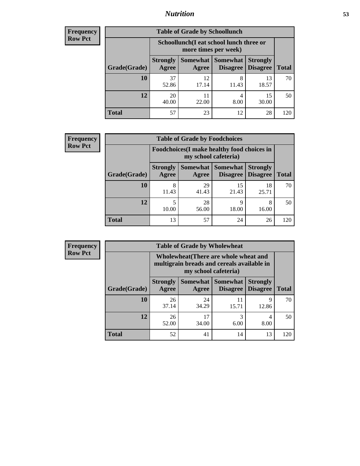## *Nutrition* **53**

| Frequency |
|-----------|
| Row Pct   |

| <b>Table of Grade by Schoollunch</b> |                          |                                                                 |                               |                                    |              |  |  |
|--------------------------------------|--------------------------|-----------------------------------------------------------------|-------------------------------|------------------------------------|--------------|--|--|
|                                      |                          | Schoollunch(I eat school lunch three or<br>more times per week) |                               |                                    |              |  |  |
| Grade(Grade)                         | <b>Strongly</b><br>Agree | Agree                                                           | Somewhat Somewhat<br>Disagree | <b>Strongly</b><br><b>Disagree</b> | <b>Total</b> |  |  |
| 10                                   | 37<br>52.86              | 12<br>17.14                                                     | 8<br>11.43                    | 13<br>18.57                        | 70           |  |  |
| 12                                   | 20<br>40.00              | 11<br>22.00                                                     | 4<br>8.00                     | 15<br>30.00                        | 50           |  |  |
| <b>Total</b>                         | 57                       | 23                                                              | 12                            | 28                                 | 120          |  |  |

| <b>Frequency</b> |  |
|------------------|--|
| <b>Row Pct</b>   |  |

| <b>Table of Grade by Foodchoices</b>                                       |                          |             |                                               |                                    |              |  |
|----------------------------------------------------------------------------|--------------------------|-------------|-----------------------------------------------|------------------------------------|--------------|--|
| <b>Foodchoices</b> (I make healthy food choices in<br>my school cafeteria) |                          |             |                                               |                                    |              |  |
| Grade(Grade)                                                               | <b>Strongly</b><br>Agree | Agree       | <b>Somewhat   Somewhat</b><br><b>Disagree</b> | <b>Strongly</b><br><b>Disagree</b> | <b>Total</b> |  |
| 10                                                                         | 8<br>11.43               | 29<br>41.43 | 15<br>21.43                                   | 18<br>25.71                        | 70           |  |
| 12                                                                         | 10.00                    | 28<br>56.00 | Q<br>18.00                                    | 8<br>16.00                         | 50           |  |
| <b>Total</b>                                                               | 13                       | 57          | 24                                            | 26                                 | 120          |  |

| <b>Frequency</b> |
|------------------|
| <b>Row Pct</b>   |

| y | <b>Table of Grade by Wholewheat</b> |                                                                                                             |             |                                               |                                    |              |  |
|---|-------------------------------------|-------------------------------------------------------------------------------------------------------------|-------------|-----------------------------------------------|------------------------------------|--------------|--|
|   |                                     | Wholewheat (There are whole wheat and<br>multigrain breads and cereals available in<br>my school cafeteria) |             |                                               |                                    |              |  |
|   | Grade(Grade)                        | <b>Strongly</b><br>Agree                                                                                    | Agree       | <b>Somewhat   Somewhat</b><br><b>Disagree</b> | <b>Strongly</b><br><b>Disagree</b> | <b>Total</b> |  |
|   | 10                                  | 26<br>37.14                                                                                                 | 24<br>34.29 | 11<br>15.71                                   | 9<br>12.86                         | 70           |  |
|   | 12                                  | 26<br>52.00                                                                                                 | 17<br>34.00 | 3<br>6.00                                     | 4<br>8.00                          | 50           |  |
|   | <b>Total</b>                        | 52                                                                                                          | 41          | 14                                            | 13                                 | 120          |  |

E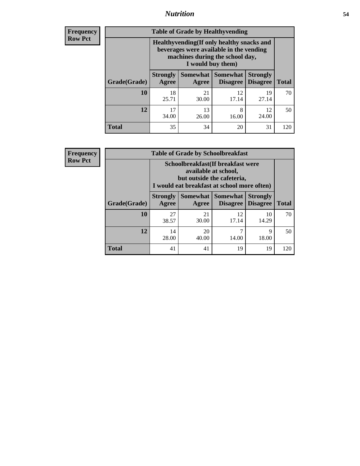## *Nutrition* **54**

**Frequency Row Pct**

| <b>Table of Grade by Healthyvending</b> |                                                                                                                                               |             |                                        |                                    |              |  |  |
|-----------------------------------------|-----------------------------------------------------------------------------------------------------------------------------------------------|-------------|----------------------------------------|------------------------------------|--------------|--|--|
|                                         | Healthyvending (If only healthy snacks and<br>beverages were available in the vending<br>machines during the school day,<br>I would buy them) |             |                                        |                                    |              |  |  |
| Grade(Grade)                            | <b>Strongly</b><br>Agree                                                                                                                      | Agree       | Somewhat   Somewhat<br><b>Disagree</b> | <b>Strongly</b><br><b>Disagree</b> | <b>Total</b> |  |  |
| 10                                      | 18<br>25.71                                                                                                                                   | 21<br>30.00 | 12<br>17.14                            | 19<br>27.14                        | 70           |  |  |
| 12                                      | 17<br>34.00                                                                                                                                   | 13<br>26.00 | 8<br>16.00                             | 12<br>24.00                        | 50           |  |  |
| <b>Total</b>                            | 35                                                                                                                                            | 34          | 20                                     | 31                                 | 120          |  |  |

**Frequency Row Pct**

| <b>Table of Grade by Schoolbreakfast</b> |                                                                                                                                         |             |             |             |     |  |  |
|------------------------------------------|-----------------------------------------------------------------------------------------------------------------------------------------|-------------|-------------|-------------|-----|--|--|
|                                          | Schoolbreakfast (If breakfast were<br>available at school,<br>but outside the cafeteria,<br>I would eat breakfast at school more often) |             |             |             |     |  |  |
| Grade(Grade)                             | <b>Somewhat   Somewhat</b><br><b>Strongly</b><br><b>Strongly</b><br><b>Disagree</b><br>Agree<br><b>Disagree</b><br>Agree                |             |             |             |     |  |  |
| 10                                       | 27<br>38.57                                                                                                                             | 21<br>30.00 | 12<br>17.14 | 10<br>14.29 | 70  |  |  |
| 12                                       | 14<br>28.00                                                                                                                             | 20<br>40.00 | 7<br>14.00  | 9<br>18.00  | 50  |  |  |
| <b>Total</b>                             | 41                                                                                                                                      | 41          | 19          | 19          | 120 |  |  |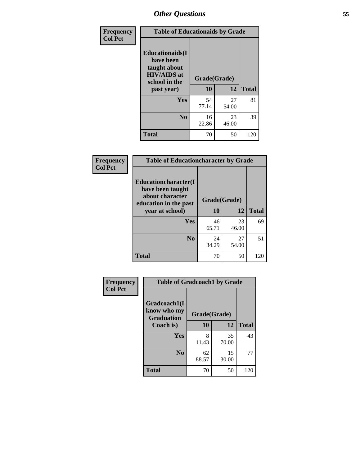| Frequency<br><b>Col Pct</b> | <b>Table of Educationaids by Grade</b>                                                                    |                    |             |              |  |  |
|-----------------------------|-----------------------------------------------------------------------------------------------------------|--------------------|-------------|--------------|--|--|
|                             | <b>Educationaids</b> (I<br>have been<br>taught about<br><b>HIV/AIDS</b> at<br>school in the<br>past year) | Grade(Grade)<br>10 | 12          | <b>Total</b> |  |  |
|                             | Yes                                                                                                       | 54<br>77.14        | 27<br>54.00 | 81           |  |  |
|                             | N <sub>0</sub>                                                                                            | 16<br>22.86        | 23<br>46.00 | 39           |  |  |
|                             | <b>Total</b>                                                                                              | 70                 | 50          | 120          |  |  |

| Frequency      | <b>Table of Educationcharacter by Grade</b>                                                  |              |             |              |  |  |  |
|----------------|----------------------------------------------------------------------------------------------|--------------|-------------|--------------|--|--|--|
| <b>Col Pct</b> | <b>Educationcharacter(I)</b><br>have been taught<br>about character<br>education in the past | Grade(Grade) |             |              |  |  |  |
|                | year at school)                                                                              |              | 12          | <b>Total</b> |  |  |  |
|                | Yes                                                                                          | 46<br>65.71  | 23<br>46.00 | 69           |  |  |  |
|                | N <sub>0</sub>                                                                               | 24<br>34.29  | 27<br>54.00 | 51           |  |  |  |
|                | <b>Total</b>                                                                                 | 70           | 50          | 120          |  |  |  |

| <b>Frequency</b><br><b>Col Pct</b> | <b>Table of Gradcoach1 by Grade</b> |              |             |              |  |  |  |
|------------------------------------|-------------------------------------|--------------|-------------|--------------|--|--|--|
|                                    | Gradcoach1(I<br>know who my         | Grade(Grade) |             |              |  |  |  |
|                                    | <b>Graduation</b><br>Coach is)      | 10           | 12          | <b>Total</b> |  |  |  |
|                                    | Yes                                 | 8<br>11.43   | 35<br>70.00 | 43           |  |  |  |
|                                    | N <sub>0</sub>                      | 62<br>88.57  | 15<br>30.00 | 77           |  |  |  |
|                                    | <b>Total</b>                        | 70           | 50          | 120          |  |  |  |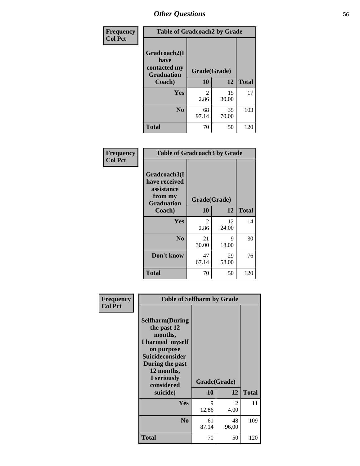| Frequency      | <b>Table of Gradcoach2 by Grade</b> |              |             |              |
|----------------|-------------------------------------|--------------|-------------|--------------|
| <b>Col Pct</b> |                                     |              |             |              |
|                | Gradcoach2(I<br>have                |              |             |              |
|                | contacted my<br><b>Graduation</b>   | Grade(Grade) |             |              |
|                | Coach)                              | 10           | 12          | <b>Total</b> |
|                | Yes                                 | 2<br>2.86    | 15<br>30.00 | 17           |
|                | N <sub>0</sub>                      | 68<br>97.14  | 35<br>70.00 | 103          |
|                | <b>Total</b>                        | 70           | 50          | 120          |

| <b>Frequency</b><br><b>Col Pct</b> | <b>Table of Gradcoach3 by Grade</b>                                         |              |             |              |
|------------------------------------|-----------------------------------------------------------------------------|--------------|-------------|--------------|
|                                    | Gradcoach3(I<br>have received<br>assistance<br>from my<br><b>Graduation</b> | Grade(Grade) |             |              |
|                                    | Coach)                                                                      | 10           | 12          | <b>Total</b> |
|                                    | Yes                                                                         | 2<br>2.86    | 12<br>24.00 | 14           |
|                                    | N <sub>0</sub>                                                              | 21<br>30.00  | 9<br>18.00  | 30           |
|                                    | Don't know                                                                  | 47<br>67.14  | 29<br>58.00 | 76           |
|                                    | <b>Total</b>                                                                | 70           | 50          | 120          |

| Frequency<br><b>Col Pct</b> | <b>Table of Selfharm by Grade</b>                                                                                                                                                      |                    |                        |              |
|-----------------------------|----------------------------------------------------------------------------------------------------------------------------------------------------------------------------------------|--------------------|------------------------|--------------|
|                             | <b>Selfharm</b> (During<br>the past 12<br>months,<br>I harmed myself<br>on purpose<br><b>Suicideconsider</b><br>During the past<br>12 months,<br>I seriously<br>considered<br>suicide) | Grade(Grade)<br>10 | 12                     | <b>Total</b> |
|                             | Yes                                                                                                                                                                                    | 9<br>12.86         | $\mathfrak{D}$<br>4.00 | 11           |
|                             | N <sub>0</sub>                                                                                                                                                                         | 61<br>87.14        | 48<br>96.00            | 109          |
|                             | Total                                                                                                                                                                                  | 70                 | 50                     | 120          |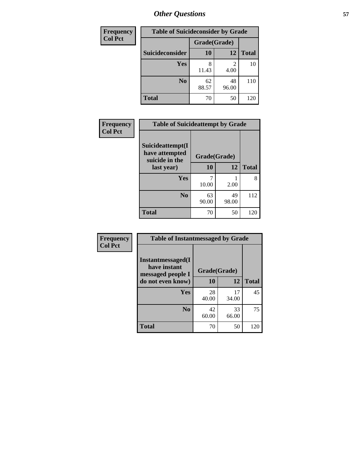| <b>Frequency</b> | <b>Table of Suicideconsider by Grade</b> |              |             |              |
|------------------|------------------------------------------|--------------|-------------|--------------|
| <b>Col Pct</b>   |                                          | Grade(Grade) |             |              |
|                  | Suicideconsider                          | 10           | 12          | <b>Total</b> |
|                  | Yes                                      | 8<br>11.43   | 2<br>4.00   | 10           |
|                  | N <sub>0</sub>                           | 62<br>88.57  | 48<br>96.00 | 110          |
|                  | <b>Total</b>                             | 70           | 50          | 120          |

| Frequency      | <b>Table of Suicideattempt by Grade</b>              |              |             |              |
|----------------|------------------------------------------------------|--------------|-------------|--------------|
| <b>Col Pct</b> | Suicideattempt(I<br>have attempted<br>suicide in the | Grade(Grade) |             |              |
|                | last year)                                           | 10           | 12          | <b>Total</b> |
|                | Yes                                                  | 10.00        | 2.00        | 8            |
|                | N <sub>0</sub>                                       | 63<br>90.00  | 49<br>98.00 | 112          |
|                | <b>Total</b>                                         | 70           | 50          | 120          |

| Frequency      | <b>Table of Instantmessaged by Grade</b>               |              |             |              |  |  |  |
|----------------|--------------------------------------------------------|--------------|-------------|--------------|--|--|--|
| <b>Col Pct</b> | Instantmessaged(I<br>have instant<br>messaged people I | Grade(Grade) |             |              |  |  |  |
|                | do not even know)                                      | 10           | 12          | <b>Total</b> |  |  |  |
|                | Yes                                                    | 28<br>40.00  | 17<br>34.00 | 45           |  |  |  |
|                | N <sub>0</sub>                                         | 42<br>60.00  | 33<br>66.00 | 75           |  |  |  |
|                | <b>Total</b>                                           | 70           | 50          | 120          |  |  |  |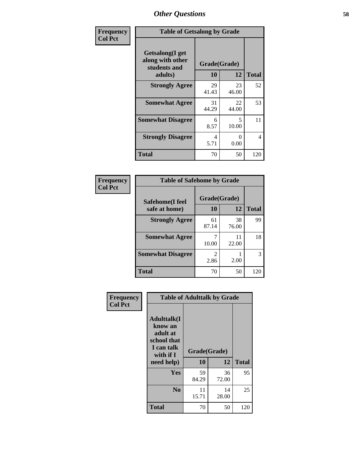| Frequency      | <b>Table of Getsalong by Grade</b>                          |             |                                   |              |  |  |
|----------------|-------------------------------------------------------------|-------------|-----------------------------------|--------------|--|--|
| <b>Col Pct</b> | <b>Getsalong</b> (I get<br>along with other<br>students and |             | Grade(Grade)                      |              |  |  |
|                | adults)                                                     | 10          | 12                                | <b>Total</b> |  |  |
|                | <b>Strongly Agree</b>                                       | 29<br>41.43 | 23<br>46.00                       | 52           |  |  |
|                | <b>Somewhat Agree</b>                                       | 31<br>44.29 | 22<br>44.00                       | 53           |  |  |
|                | <b>Somewhat Disagree</b>                                    | 6<br>8.57   | $\overline{\mathcal{L}}$<br>10.00 | 11           |  |  |
|                | <b>Strongly Disagree</b>                                    | 4<br>5.71   | 0<br>0.00                         | 4            |  |  |
|                | <b>Total</b>                                                | 70          | 50                                | 120          |  |  |

| Frequency      | <b>Table of Safehome by Grade</b>       |                        |             |              |  |  |  |
|----------------|-----------------------------------------|------------------------|-------------|--------------|--|--|--|
| <b>Col Pct</b> | <b>Safehome(I feel</b><br>safe at home) | Grade(Grade)<br>10     | 12          | <b>Total</b> |  |  |  |
|                | <b>Strongly Agree</b>                   | 61<br>87.14            | 38<br>76.00 | 99           |  |  |  |
|                | <b>Somewhat Agree</b>                   | 10.00                  | 11<br>22.00 | 18           |  |  |  |
|                | <b>Somewhat Disagree</b>                | $\mathfrak{D}$<br>2.86 | 2.00        | 3            |  |  |  |
|                | <b>Total</b>                            | 70                     | 50          | 120          |  |  |  |

| <b>Frequency</b><br><b>Col Pct</b> | <b>Table of Adulttalk by Grade</b>                                                                |                    |             |              |  |  |
|------------------------------------|---------------------------------------------------------------------------------------------------|--------------------|-------------|--------------|--|--|
|                                    | <b>Adulttalk(I</b><br>know an<br>adult at<br>school that<br>I can talk<br>with if I<br>need help) | Grade(Grade)<br>10 | 12          | <b>Total</b> |  |  |
|                                    | Yes                                                                                               | 59<br>84.29        | 36<br>72.00 | 95           |  |  |
|                                    | N <sub>0</sub>                                                                                    | 11<br>15.71        | 14<br>28.00 | 25           |  |  |
|                                    | <b>Total</b>                                                                                      | 70                 | 50          | 120          |  |  |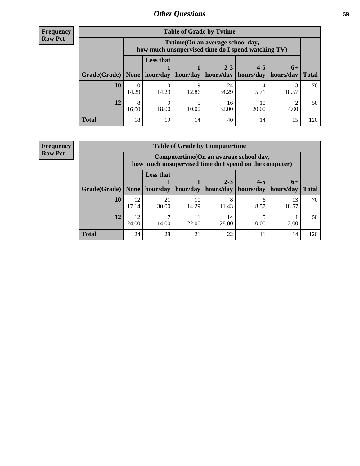**Frequency Row Pct**

| <b>Table of Grade by Tytime</b> |             |                                                                                        |       |                                             |             |                     |              |  |
|---------------------------------|-------------|----------------------------------------------------------------------------------------|-------|---------------------------------------------|-------------|---------------------|--------------|--|
|                                 |             | Tvtime(On an average school day,<br>how much unsupervised time do I spend watching TV) |       |                                             |             |                     |              |  |
| Grade(Grade)   None             |             | <b>Less that</b><br>hour/day                                                           |       | $2 - 3$<br>hour/day   hours/day   hours/day | $4 - 5$     | $6+$<br>  hours/day | <b>Total</b> |  |
| 10                              | 10<br>14.29 | 10<br>14.29                                                                            | 12.86 | 24<br>34.29                                 | 5.71        | 13<br>18.57         | 70           |  |
| 12                              | 8<br>16.00  | Q<br>18.00                                                                             | 10.00 | 16<br>32.00                                 | 10<br>20.00 | 4.00                | 50           |  |
| <b>Total</b>                    | 18          | 19                                                                                     | 14    | 40                                          | 14          | 15                  | 120          |  |

**Frequency Row Pct**

| <b>Table of Grade by Computertime</b> |             |                                                                                                   |                     |             |           |             |              |  |
|---------------------------------------|-------------|---------------------------------------------------------------------------------------------------|---------------------|-------------|-----------|-------------|--------------|--|
|                                       |             | Computertime (On an average school day,<br>how much unsupervised time do I spend on the computer) |                     |             |           |             |              |  |
|                                       |             | <b>Less that</b>                                                                                  |                     | $2 - 3$     | $4 - 5$   | $6+$        |              |  |
| Grade(Grade)                          | None        |                                                                                                   | hour/day   hour/day | hours/day   | hours/day | hours/day   | <b>Total</b> |  |
| 10                                    | 12<br>17.14 | 21<br>30.00                                                                                       | 10<br>14.29         | 8<br>11.43  | 6<br>8.57 | 13<br>18.57 | 70           |  |
| 12                                    | 12<br>24.00 | 14.00                                                                                             | 11<br>22.00         | 14<br>28.00 | 10.00     | 2.00        | 50           |  |
| <b>Total</b>                          | 24          | 28                                                                                                | 21                  | 22          | 11        | 14          | 120          |  |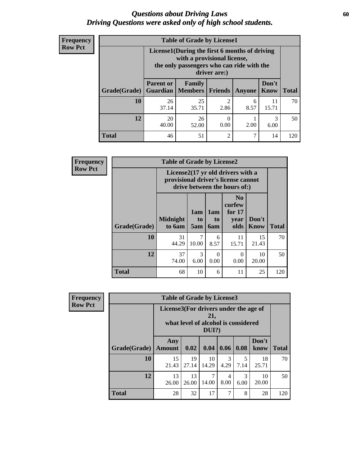## *Questions about Driving Laws* **60** *Driving Questions were asked only of high school students.*

| <b>Frequency</b> |
|------------------|
| <b>Row Pct</b>   |

| <b>Table of Grade by License1</b> |                                                                                                                                           |                     |                  |               |               |              |  |  |  |
|-----------------------------------|-------------------------------------------------------------------------------------------------------------------------------------------|---------------------|------------------|---------------|---------------|--------------|--|--|--|
|                                   | License1(During the first 6 months of driving<br>with a provisional license,<br>the only passengers who can ride with the<br>driver are:) |                     |                  |               |               |              |  |  |  |
| Grade(Grade)                      | <b>Parent or</b><br><b>Guardian</b>                                                                                                       | Family<br>  Members | <b>Friends</b>   | <b>Anyone</b> | Don't<br>Know | <b>Total</b> |  |  |  |
| 10                                | 26<br>37.14                                                                                                                               | 25<br>35.71         | 2<br>2.86        | 6<br>8.57     | 11<br>15.71   | 70           |  |  |  |
| 12                                | 20<br>40.00                                                                                                                               | 26<br>52.00         | $\theta$<br>0.00 | 2.00          | 3<br>6.00     | 50           |  |  |  |
| Total                             | 46                                                                                                                                        | 51                  | 2                | 7             | 14            | 120          |  |  |  |

| <b>Frequency</b> | <b>Table of Grade by License2</b> |                           |                                                                                                          |                         |                                                      |                      |              |
|------------------|-----------------------------------|---------------------------|----------------------------------------------------------------------------------------------------------|-------------------------|------------------------------------------------------|----------------------|--------------|
| <b>Row Pct</b>   |                                   |                           | License2(17 yr old drivers with a<br>provisional driver's license cannot<br>drive between the hours of:) |                         |                                                      |                      |              |
|                  | Grade(Grade)                      | <b>Midnight</b><br>to 6am | 1am<br>to<br>5am                                                                                         | 1am<br>to<br><b>6am</b> | N <sub>0</sub><br>curfew<br>for $17$<br>year<br>olds | Don't<br><b>Know</b> | <b>Total</b> |
|                  | 10                                | 31<br>44.29               | 7<br>10.00                                                                                               | 6<br>8.57               | 11<br>15.71                                          | 15<br>21.43          | 70           |
|                  | 12                                | 37<br>74.00               | 3<br>6.00                                                                                                | $\Omega$<br>0.00        | $\Omega$<br>0.00                                     | 10<br>20.00          | 50           |
|                  | <b>Total</b>                      | 68                        | 10                                                                                                       | 6                       | 11                                                   | 25                   | 120          |

| Frequency      | <b>Table of Grade by License3</b> |                                       |             |                                                        |                       |           |               |              |
|----------------|-----------------------------------|---------------------------------------|-------------|--------------------------------------------------------|-----------------------|-----------|---------------|--------------|
| <b>Row Pct</b> |                                   | License3(For drivers under the age of |             | 21,<br>what level of alcohol is considered<br>$DUI$ ?) |                       |           |               |              |
|                | Grade(Grade)                      | Any<br><b>Amount</b>                  | 0.02        | 0.04                                                   | 0.06                  | 0.08      | Don't<br>know | <b>Total</b> |
|                | <b>10</b>                         | 15<br>21.43                           | 19<br>27.14 | 10<br>14.29                                            | $\mathcal{R}$<br>4.29 | 5<br>7.14 | 18<br>25.71   | 70           |
|                | 12                                | 13<br>26.00                           | 13<br>26.00 | 7<br>14.00                                             | 4<br>8.00             | 3<br>6.00 | 10<br>20.00   | 50           |
|                | <b>Total</b>                      | 28                                    | 32          | 17                                                     | 7                     | 8         | 28            | 120          |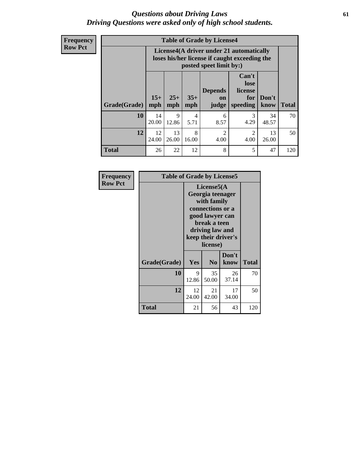## *Questions about Driving Laws* **61** *Driving Questions were asked only of high school students.*

**Frequency Row Pct**

| <b>Table of Grade by License4</b> |              |                                                                                                                      |              |                               |                                             |               |              |  |
|-----------------------------------|--------------|----------------------------------------------------------------------------------------------------------------------|--------------|-------------------------------|---------------------------------------------|---------------|--------------|--|
|                                   |              | License4(A driver under 21 automatically<br>loses his/her license if caught exceeding the<br>posted speet limit by:) |              |                               |                                             |               |              |  |
| Grade(Grade)                      | $15+$<br>mph | $25+$<br>mph                                                                                                         | $35+$<br>mph | <b>Depends</b><br>on<br>judge | Can't<br>lose<br>license<br>for<br>speeding | Don't<br>know | <b>Total</b> |  |
| 10                                | 14<br>20.00  | 9<br>12.86                                                                                                           | 4<br>5.71    | 6<br>8.57                     | 3<br>4.29                                   | 34<br>48.57   | 70           |  |
| 12                                | 12<br>24.00  | 13<br>26.00                                                                                                          | 8<br>16.00   | $\mathfrak{D}$<br>4.00        | $\mathfrak{D}$<br>4.00                      | 13<br>26.00   | 50           |  |
| <b>Total</b>                      | 26           | 22                                                                                                                   | 12           | 8                             | 5                                           | 47            | 120          |  |

| Frequency      | <b>Table of Grade by License5</b> |             |                                                                                                                                                             |               |              |  |
|----------------|-----------------------------------|-------------|-------------------------------------------------------------------------------------------------------------------------------------------------------------|---------------|--------------|--|
| <b>Row Pct</b> |                                   |             | License5(A)<br>Georgia teenager<br>with family<br>connections or a<br>good lawyer can<br>break a teen<br>driving law and<br>keep their driver's<br>license) |               |              |  |
|                | Grade(Grade)                      | Yes         | N <sub>0</sub>                                                                                                                                              | Don't<br>know | <b>Total</b> |  |
|                | 10                                | 9<br>12.86  | 35<br>50.00                                                                                                                                                 | 26<br>37.14   | 70           |  |
|                | 12                                | 12<br>24.00 | 21<br>42.00                                                                                                                                                 | 17<br>34.00   | 50           |  |
|                | <b>Total</b>                      | 21          | 56                                                                                                                                                          | 43            | 120          |  |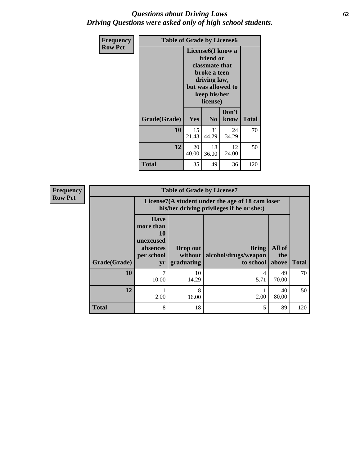## *Questions about Driving Laws* **62** *Driving Questions were asked only of high school students.*

| <b>Frequency</b> | <b>Table of Grade by License6</b> |                                                                                                                                                 |                |               |              |
|------------------|-----------------------------------|-------------------------------------------------------------------------------------------------------------------------------------------------|----------------|---------------|--------------|
| <b>Row Pct</b>   |                                   | License <sub>6</sub> (I know a<br>friend or<br>classmate that<br>broke a teen<br>driving law,<br>but was allowed to<br>keep his/her<br>license) |                |               |              |
|                  | Grade(Grade)                      | <b>Yes</b>                                                                                                                                      | N <sub>0</sub> | Don't<br>know | <b>Total</b> |
|                  | 10                                | 15<br>21.43                                                                                                                                     | 31<br>44.29    | 24<br>34.29   | 70           |
|                  | 12                                | 20<br>40.00                                                                                                                                     | 18<br>36.00    | 12<br>24.00   | 50           |
|                  | <b>Total</b>                      | 35                                                                                                                                              | 49             | 36            | 120          |

| <b>Frequency</b> | <b>Table of Grade by License7</b> |                                                                                               |                                     |                                                   |                        |              |  |  |
|------------------|-----------------------------------|-----------------------------------------------------------------------------------------------|-------------------------------------|---------------------------------------------------|------------------------|--------------|--|--|
| <b>Row Pct</b>   |                                   | License7(A student under the age of 18 cam loser<br>his/her driving privileges if he or she:) |                                     |                                                   |                        |              |  |  |
|                  | Grade(Grade)                      | <b>Have</b><br>more than<br>10<br>unexcused<br>absences<br>per school<br>yr                   | Drop out<br>without  <br>graduating | <b>Bring</b><br>alcohol/drugs/weapon<br>to school | All of<br>the<br>above | <b>Total</b> |  |  |
|                  | <b>10</b>                         | 7<br>10.00                                                                                    | 10<br>14.29                         | 4<br>5.71                                         | 49<br>70.00            | 70           |  |  |
|                  | 12                                | 2.00                                                                                          | 8<br>16.00                          | 2.00                                              | 40<br>80.00            | 50           |  |  |
|                  | <b>Total</b>                      | 8                                                                                             | 18                                  | 5                                                 | 89                     | 120          |  |  |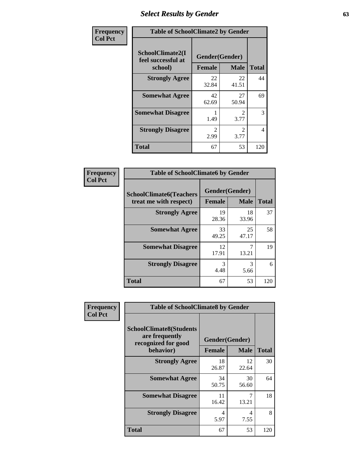# *Select Results by Gender* **63**

| Frequency      | <b>Table of SchoolClimate2 by Gender</b> |                                     |                                     |              |  |
|----------------|------------------------------------------|-------------------------------------|-------------------------------------|--------------|--|
| <b>Col Pct</b> | SchoolClimate2(I<br>feel successful at   | Gender(Gender)                      |                                     | <b>Total</b> |  |
|                | school)<br><b>Strongly Agree</b>         | <b>Female</b><br>22<br>32.84        | <b>Male</b><br>22<br>41.51          | 44           |  |
|                | <b>Somewhat Agree</b>                    | 42<br>62.69                         | 27<br>50.94                         | 69           |  |
|                | <b>Somewhat Disagree</b>                 | 1.49                                | $\mathcal{D}_{\mathcal{L}}$<br>3.77 | 3            |  |
|                | <b>Strongly Disagree</b>                 | $\mathcal{D}_{\mathcal{L}}$<br>2.99 | $\mathcal{D}_{\mathcal{L}}$<br>3.77 | 4            |  |
|                | <b>Total</b>                             | 67                                  | 53                                  | 120          |  |

| Frequency      | <b>Table of SchoolClimate6 by Gender</b>                 |                          |             |              |  |  |  |
|----------------|----------------------------------------------------------|--------------------------|-------------|--------------|--|--|--|
| <b>Col Pct</b> | <b>SchoolClimate6(Teachers</b><br>treat me with respect) | Gender(Gender)<br>Female | <b>Male</b> | <b>Total</b> |  |  |  |
|                | <b>Strongly Agree</b>                                    | 19<br>28.36              | 18<br>33.96 | 37           |  |  |  |
|                | <b>Somewhat Agree</b>                                    | 33<br>49.25              | 25<br>47.17 | 58           |  |  |  |
|                | <b>Somewhat Disagree</b>                                 | 12<br>17.91              | 7<br>13.21  | 19           |  |  |  |
|                | <b>Strongly Disagree</b>                                 | 3<br>4.48                | 3<br>5.66   | 6            |  |  |  |
|                | <b>Total</b>                                             | 67                       | 53          | 120          |  |  |  |

| Frequency      | <b>Table of SchoolClimate8 by Gender</b>                                             |                                 |             |              |  |
|----------------|--------------------------------------------------------------------------------------|---------------------------------|-------------|--------------|--|
| <b>Col Pct</b> | <b>SchoolClimate8(Students</b><br>are frequently<br>recognized for good<br>behavior) | Gender(Gender)<br><b>Female</b> | <b>Male</b> | <b>Total</b> |  |
|                | <b>Strongly Agree</b>                                                                | 18<br>26.87                     | 12<br>22.64 | 30           |  |
|                | <b>Somewhat Agree</b>                                                                | 34<br>50.75                     | 30<br>56.60 | 64           |  |
|                | <b>Somewhat Disagree</b>                                                             | 11<br>16.42                     | 7<br>13.21  | 18           |  |
|                | <b>Strongly Disagree</b>                                                             | 4<br>5.97                       | 4<br>7.55   | 8            |  |
|                | Total                                                                                | 67                              | 53          | 120          |  |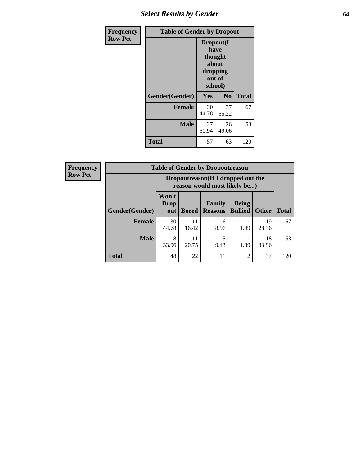# *Select Results by Gender* **64**

| Frequency      | <b>Table of Gender by Dropout</b> |                                                                        |                |              |  |
|----------------|-----------------------------------|------------------------------------------------------------------------|----------------|--------------|--|
| <b>Row Pct</b> |                                   | Dropout(I<br>have<br>thought<br>about<br>dropping<br>out of<br>school) |                |              |  |
|                | Gender(Gender)                    | Yes                                                                    | N <sub>0</sub> | <b>Total</b> |  |
|                | <b>Female</b>                     | 30<br>44.78                                                            | 37<br>55.22    | 67           |  |
|                | <b>Male</b>                       | 27<br>50.94                                                            | 26<br>49.06    | 53           |  |
|                | <b>Total</b>                      | 57                                                                     | 63             | 120          |  |

| <b>Frequency</b> | <b>Table of Gender by Dropoutreason</b> |                             |                                                                     |                          |                                |              |              |
|------------------|-----------------------------------------|-----------------------------|---------------------------------------------------------------------|--------------------------|--------------------------------|--------------|--------------|
| <b>Row Pct</b>   |                                         |                             | Dropoutreason (If I dropped out the<br>reason would most likely be) |                          |                                |              |              |
|                  | Gender(Gender)                          | Won't<br><b>Drop</b><br>out | <b>Bored</b>                                                        | Family<br><b>Reasons</b> | <b>Being</b><br><b>Bullied</b> | <b>Other</b> | <b>Total</b> |
|                  | <b>Female</b>                           | 30<br>44.78                 | 11<br>16.42                                                         | 6<br>8.96                | 1.49                           | 19<br>28.36  | 67           |
|                  | <b>Male</b>                             | 18<br>33.96                 | 11<br>20.75                                                         | 9.43                     | 1.89                           | 18<br>33.96  | 53           |
|                  | <b>Total</b>                            | 48                          | 22                                                                  | 11                       | $\overline{c}$                 | 37           | 120          |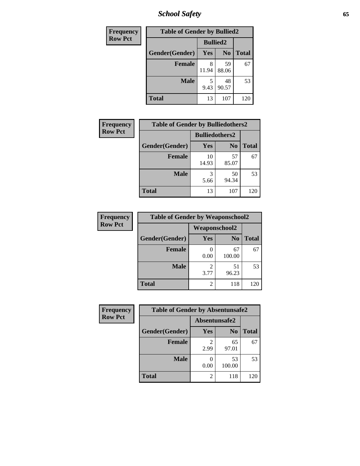*School Safety* **65**

| Frequency      | <b>Table of Gender by Bullied2</b> |                 |                |              |  |
|----------------|------------------------------------|-----------------|----------------|--------------|--|
| <b>Row Pct</b> |                                    | <b>Bullied2</b> |                |              |  |
|                | Gender(Gender)                     | Yes             | N <sub>0</sub> | <b>Total</b> |  |
|                | <b>Female</b>                      | 8<br>11.94      | 59<br>88.06    | 67           |  |
|                | <b>Male</b>                        | 9.43            | 48<br>90.57    | 53           |  |
|                | <b>Total</b>                       | 13              | 107            | 120          |  |

| Frequency      | <b>Table of Gender by Bulliedothers2</b> |                       |                |              |
|----------------|------------------------------------------|-----------------------|----------------|--------------|
| <b>Row Pct</b> |                                          | <b>Bulliedothers2</b> |                |              |
|                | Gender(Gender)                           | Yes                   | N <sub>0</sub> | <b>Total</b> |
|                | <b>Female</b>                            | 10<br>14.93           | 57<br>85.07    | 67           |
|                | <b>Male</b>                              | 5.66                  | 50<br>94.34    | 53           |
|                | Total                                    | 13                    | 107            | 120          |

| Frequency      | <b>Table of Gender by Weaponschool2</b> |                                     |                |              |
|----------------|-----------------------------------------|-------------------------------------|----------------|--------------|
| <b>Row Pct</b> |                                         | <b>Weaponschool2</b>                |                |              |
|                | Gender(Gender)                          | Yes                                 | N <sub>0</sub> | <b>Total</b> |
|                | <b>Female</b>                           | 0.00                                | 67<br>100.00   | 67           |
|                | <b>Male</b>                             | $\mathcal{D}_{\mathcal{L}}$<br>3.77 | 51<br>96.23    | 53           |
|                | <b>Total</b>                            | 2                                   | 118            | 120          |

| Frequency      | <b>Table of Gender by Absentunsafe2</b> |               |                |              |  |
|----------------|-----------------------------------------|---------------|----------------|--------------|--|
| <b>Row Pct</b> |                                         | Absentunsafe2 |                |              |  |
|                | Gender(Gender)                          | Yes           | N <sub>0</sub> | <b>Total</b> |  |
|                | <b>Female</b>                           | 2.99          | 65<br>97.01    | 67           |  |
|                | <b>Male</b>                             | 0.00          | 53<br>100.00   | 53           |  |
|                | <b>Total</b>                            | 2             | 118            | 120          |  |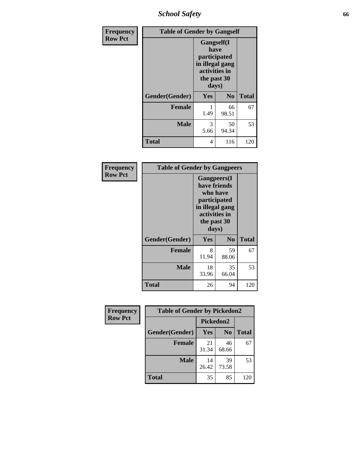*School Safety* **66**

| Frequency      | <b>Table of Gender by Gangself</b> |                                                                                                |                |              |
|----------------|------------------------------------|------------------------------------------------------------------------------------------------|----------------|--------------|
| <b>Row Pct</b> |                                    | Gangself(I<br>have<br>participated<br>in illegal gang<br>activities in<br>the past 30<br>days) |                |              |
|                | Gender(Gender)                     | Yes                                                                                            | N <sub>0</sub> | <b>Total</b> |
|                | <b>Female</b>                      | 1.49                                                                                           | 66<br>98.51    | 67           |
|                | <b>Male</b>                        | 3<br>5.66                                                                                      | 50<br>94.34    | 53           |
|                | <b>Total</b>                       | 4                                                                                              | 116            | 120          |

| Frequency      | <b>Table of Gender by Gangpeers</b> |                                                                                                                             |                |              |
|----------------|-------------------------------------|-----------------------------------------------------------------------------------------------------------------------------|----------------|--------------|
| <b>Row Pct</b> |                                     | <b>Gangpeers</b> (I<br>have friends<br>who have<br>participated<br>in illegal gang<br>activities in<br>the past 30<br>days) |                |              |
|                | Gender(Gender)                      | Yes                                                                                                                         | N <sub>0</sub> | <b>Total</b> |
|                | <b>Female</b>                       | 8<br>11.94                                                                                                                  | 59<br>88.06    | 67           |
|                | <b>Male</b>                         | 18<br>33.96                                                                                                                 | 35<br>66.04    | 53           |
|                | Total                               | 26                                                                                                                          | 94             | 120          |

| Frequency      | <b>Table of Gender by Pickedon2</b> |             |                |              |
|----------------|-------------------------------------|-------------|----------------|--------------|
| <b>Row Pct</b> |                                     | Pickedon2   |                |              |
|                | Gender(Gender)                      | <b>Yes</b>  | N <sub>0</sub> | <b>Total</b> |
|                | Female                              | 21<br>31.34 | 46<br>68.66    | 67           |
|                | <b>Male</b>                         | 14<br>26.42 | 39<br>73.58    | 53           |
|                | <b>Total</b>                        | 35          | 85             | 120          |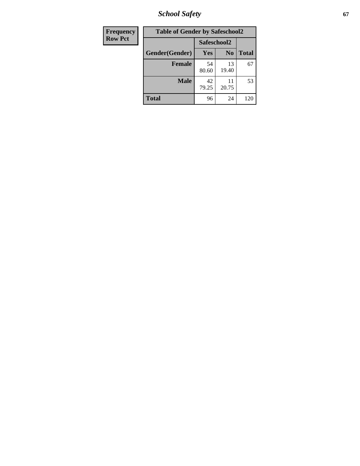*School Safety* **67**

| Frequency      | <b>Table of Gender by Safeschool2</b> |             |                |              |
|----------------|---------------------------------------|-------------|----------------|--------------|
| <b>Row Pct</b> |                                       | Safeschool2 |                |              |
|                | Gender(Gender)                        | Yes         | N <sub>0</sub> | <b>Total</b> |
|                | <b>Female</b>                         | 54<br>80.60 | 13<br>19.40    | 67           |
|                | <b>Male</b>                           | 42<br>79.25 | 20.75          | 53           |
|                | <b>Total</b>                          | 96          | 24             | 120          |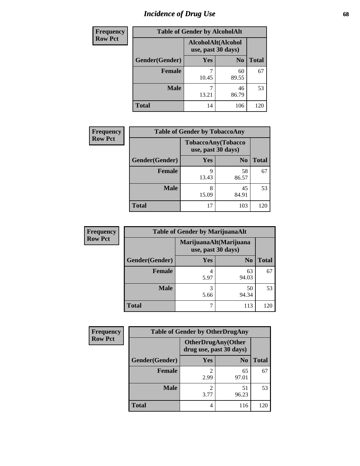# *Incidence of Drug Use* 68

| <b>Frequency</b> | <b>Table of Gender by AlcoholAlt</b> |                                          |                |              |  |
|------------------|--------------------------------------|------------------------------------------|----------------|--------------|--|
| <b>Row Pct</b>   |                                      | AlcoholAlt(Alcohol<br>use, past 30 days) |                |              |  |
|                  | Gender(Gender)                       | <b>Yes</b>                               | N <sub>0</sub> | <b>Total</b> |  |
|                  | <b>Female</b>                        | 10.45                                    | 60<br>89.55    | 67           |  |
|                  | <b>Male</b>                          | 13.21                                    | 46<br>86.79    | 53           |  |
|                  | <b>Total</b>                         | 14                                       | 106            | 120          |  |

| Frequency      | <b>Table of Gender by TobaccoAny</b> |                                                 |                |              |  |
|----------------|--------------------------------------|-------------------------------------------------|----------------|--------------|--|
| <b>Row Pct</b> |                                      | <b>TobaccoAny(Tobacco</b><br>use, past 30 days) |                |              |  |
|                | Gender(Gender)                       | Yes                                             | N <sub>0</sub> | <b>Total</b> |  |
|                | <b>Female</b>                        | 9<br>13.43                                      | 58<br>86.57    | 67           |  |
|                | <b>Male</b>                          | 8<br>15.09                                      | 45<br>84.91    | 53           |  |
|                | <b>Total</b>                         | 17                                              | 103            | 120          |  |

| <b>Frequency</b> | <b>Table of Gender by MarijuanaAlt</b> |                                              |                |              |
|------------------|----------------------------------------|----------------------------------------------|----------------|--------------|
| <b>Row Pct</b>   |                                        | MarijuanaAlt(Marijuana<br>use, past 30 days) |                |              |
|                  | Gender(Gender)                         | <b>Yes</b>                                   | N <sub>0</sub> | <b>Total</b> |
|                  | <b>Female</b>                          | 5.97                                         | 63<br>94.03    | 67           |
|                  | <b>Male</b>                            | 3<br>5.66                                    | 50<br>94.34    | 53           |
|                  | <b>Total</b>                           | 7                                            | 113            | 120          |

| <b>Frequency</b> | <b>Table of Gender by OtherDrugAny</b> |                                                      |                |              |
|------------------|----------------------------------------|------------------------------------------------------|----------------|--------------|
| <b>Row Pct</b>   |                                        | <b>OtherDrugAny(Other</b><br>drug use, past 30 days) |                |              |
|                  | Gender(Gender)                         | <b>Yes</b>                                           | N <sub>0</sub> | <b>Total</b> |
|                  | <b>Female</b>                          | 2<br>2.99                                            | 65<br>97.01    | 67           |
|                  | <b>Male</b>                            | 3.77                                                 | 51<br>96.23    | 53           |
|                  | <b>Total</b>                           | 4                                                    | 116            | 120          |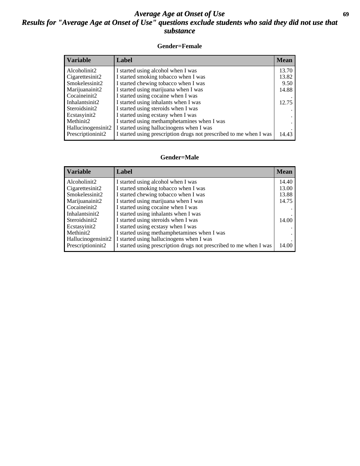## *Average Age at Onset of Use* **69** *Results for "Average Age at Onset of Use" questions exclude students who said they did not use that substance*

### **Gender=Female**

| <b>Variable</b>    | <b>Label</b>                                                       | <b>Mean</b> |
|--------------------|--------------------------------------------------------------------|-------------|
| Alcoholinit2       | I started using alcohol when I was                                 | 13.70       |
| Cigarettesinit2    | I started smoking tobacco when I was                               | 13.82       |
| Smokelessinit2     | I started chewing tobacco when I was                               | 9.50        |
| Marijuanainit2     | I started using marijuana when I was                               | 14.88       |
| Cocaineinit2       | I started using cocaine when I was                                 |             |
| Inhalantsinit2     | I started using inhalants when I was                               | 12.75       |
| Steroidsinit2      | I started using steroids when I was                                |             |
| Ecstasyinit2       | I started using ecstasy when I was                                 |             |
| Methinit2          | I started using methamphetamines when I was                        |             |
| Hallucinogensinit2 | I started using hallucinogens when I was                           |             |
| Prescription in t2 | I started using prescription drugs not prescribed to me when I was | 14.43       |

#### **Gender=Male**

| <b>Variable</b>                 | Label                                                              | <b>Mean</b> |
|---------------------------------|--------------------------------------------------------------------|-------------|
| Alcoholinit2                    | I started using alcohol when I was                                 | 14.40       |
| Cigarettesinit2                 | I started smoking tobacco when I was                               | 13.00       |
| Smokelessinit2                  | I started chewing tobacco when I was                               | 13.88       |
| Marijuanainit2                  | I started using marijuana when I was                               | 14.75       |
| Cocaineinit2                    | I started using cocaine when I was                                 |             |
| Inhalantsinit2                  | I started using inhalants when I was                               |             |
| Steroidsinit2                   | I started using steroids when I was                                | 14.00       |
| Ecstasyinit2                    | I started using ecstasy when I was                                 |             |
| Methinit2                       | I started using methamphetamines when I was                        |             |
| Hallucinogensinit2              | I started using hallucinogens when I was                           |             |
| Prescription in it <sub>2</sub> | I started using prescription drugs not prescribed to me when I was | 14.00       |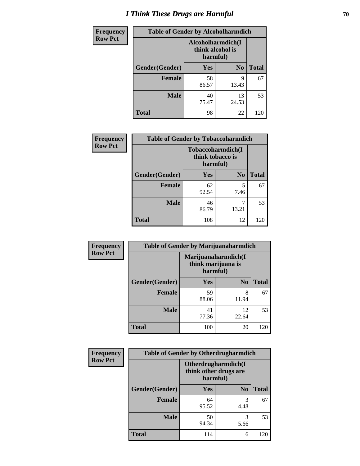# *I Think These Drugs are Harmful* **70**

| <b>Frequency</b> | <b>Table of Gender by Alcoholharmdich</b> |                                                   |                |              |
|------------------|-------------------------------------------|---------------------------------------------------|----------------|--------------|
| <b>Row Pct</b>   |                                           | Alcoholharmdich(I<br>think alcohol is<br>harmful) |                |              |
|                  | Gender(Gender)                            | Yes                                               | N <sub>0</sub> | <b>Total</b> |
|                  | <b>Female</b>                             | 58<br>86.57                                       | 9<br>13.43     | 67           |
|                  | <b>Male</b>                               | 40<br>75.47                                       | 13<br>24.53    | 53           |
|                  | <b>Total</b>                              | 98                                                | 22             | 120          |

| <b>Frequency</b> | <b>Table of Gender by Tobaccoharmdich</b> |                                                   |                |              |  |
|------------------|-------------------------------------------|---------------------------------------------------|----------------|--------------|--|
| <b>Row Pct</b>   |                                           | Tobaccoharmdich(I<br>think tobacco is<br>harmful) |                |              |  |
|                  | Gender(Gender)                            | <b>Yes</b>                                        | N <sub>0</sub> | <b>Total</b> |  |
|                  | <b>Female</b>                             | 62<br>92.54                                       | 5<br>7.46      | 67           |  |
|                  | <b>Male</b>                               | 46<br>86.79                                       | 13.21          | 53           |  |
|                  | <b>Total</b>                              | 108                                               | 12             | 120          |  |

| Frequency      | <b>Table of Gender by Marijuanaharmdich</b> |                                |                     |              |
|----------------|---------------------------------------------|--------------------------------|---------------------|--------------|
| <b>Row Pct</b> |                                             | think marijuana is<br>harmful) | Marijuanaharmdich(I |              |
|                | Gender(Gender)                              | <b>Yes</b>                     | N <sub>0</sub>      | <b>Total</b> |
|                | <b>Female</b>                               | 59<br>88.06                    | 8<br>11.94          | 67           |
|                | <b>Male</b>                                 | 41<br>77.36                    | 12<br>22.64         | 53           |
|                | <b>Total</b>                                | 100                            | 20                  | 120          |

| Frequency      | <b>Table of Gender by Otherdrugharmdich</b> |                                                          |                |              |  |
|----------------|---------------------------------------------|----------------------------------------------------------|----------------|--------------|--|
| <b>Row Pct</b> |                                             | Otherdrugharmdich(I<br>think other drugs are<br>harmful) |                |              |  |
|                | Gender(Gender)                              | <b>Yes</b>                                               | N <sub>0</sub> | <b>Total</b> |  |
|                | <b>Female</b>                               | 64<br>95.52                                              | 3<br>4.48      | 67           |  |
|                | <b>Male</b>                                 | 50<br>94.34                                              | 3<br>5.66      | 53           |  |
|                | <b>Total</b>                                | 114                                                      | 6              | 120          |  |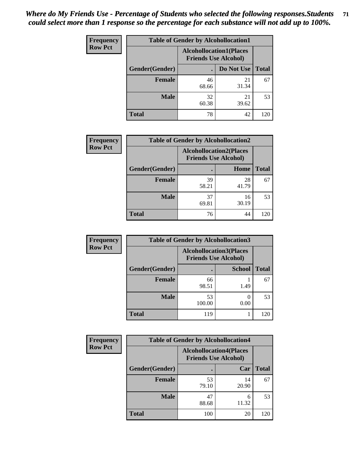| <b>Frequency</b> | <b>Table of Gender by Alcohollocation1</b> |                                                               |             |              |
|------------------|--------------------------------------------|---------------------------------------------------------------|-------------|--------------|
| <b>Row Pct</b>   |                                            | <b>Alcohollocation1(Places</b><br><b>Friends Use Alcohol)</b> |             |              |
|                  | Gender(Gender)                             |                                                               | Do Not Use  | <b>Total</b> |
|                  | <b>Female</b>                              | 46<br>68.66                                                   | 21<br>31.34 | 67           |
|                  | <b>Male</b>                                | 32<br>60.38                                                   | 21<br>39.62 | 53           |
|                  | Total                                      | 78                                                            | 42          | 120          |

| <b>Frequency</b> | <b>Table of Gender by Alcohollocation2</b> |             |                                                               |              |
|------------------|--------------------------------------------|-------------|---------------------------------------------------------------|--------------|
| <b>Row Pct</b>   |                                            |             | <b>Alcohollocation2(Places</b><br><b>Friends Use Alcohol)</b> |              |
|                  | Gender(Gender)                             |             | Home                                                          | <b>Total</b> |
|                  | <b>Female</b>                              | 39<br>58.21 | 28<br>41.79                                                   | 67           |
|                  | <b>Male</b>                                | 37<br>69.81 | 16<br>30.19                                                   | 53           |
|                  | <b>Total</b>                               | 76          | 44                                                            | 120          |

| Frequency      | <b>Table of Gender by Alcohollocation3</b> |              |                                                               |              |
|----------------|--------------------------------------------|--------------|---------------------------------------------------------------|--------------|
| <b>Row Pct</b> |                                            |              | <b>Alcohollocation3(Places</b><br><b>Friends Use Alcohol)</b> |              |
|                | Gender(Gender)                             |              | <b>School</b>                                                 | <b>Total</b> |
|                | <b>Female</b>                              | 66<br>98.51  | 1.49                                                          | 67           |
|                | <b>Male</b>                                | 53<br>100.00 | 0.00                                                          | 53           |
|                | <b>Total</b>                               | 119          |                                                               | 120          |

| <b>Frequency</b> | <b>Table of Gender by Alcohollocation4</b> |                                                               |             |              |
|------------------|--------------------------------------------|---------------------------------------------------------------|-------------|--------------|
| <b>Row Pct</b>   |                                            | <b>Alcohollocation4(Places</b><br><b>Friends Use Alcohol)</b> |             |              |
|                  | Gender(Gender)                             |                                                               | Car         | <b>Total</b> |
|                  | <b>Female</b>                              | 53<br>79.10                                                   | 14<br>20.90 | 67           |
|                  | <b>Male</b>                                | 47<br>88.68                                                   | 6<br>11.32  | 53           |
|                  | <b>Total</b>                               | 100                                                           | 20          | 120          |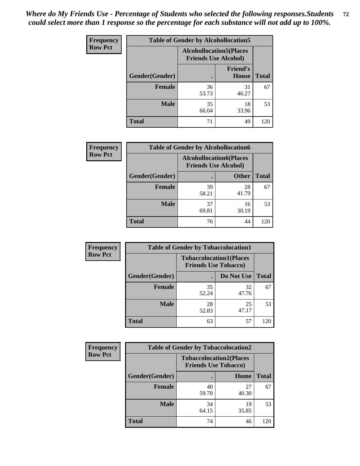| <b>Frequency</b> |                | <b>Table of Gender by Alcohollocation5</b> |                                                                |              |
|------------------|----------------|--------------------------------------------|----------------------------------------------------------------|--------------|
| <b>Row Pct</b>   |                |                                            | <b>Alcohollocation5</b> (Places<br><b>Friends Use Alcohol)</b> |              |
|                  | Gender(Gender) | $\bullet$                                  | <b>Friend's</b><br>House                                       | <b>Total</b> |
|                  | <b>Female</b>  | 36<br>53.73                                | 31<br>46.27                                                    | 67           |
|                  | <b>Male</b>    | 35<br>66.04                                | 18<br>33.96                                                    | 53           |
|                  | <b>Total</b>   | 71                                         | 49                                                             | 120          |

| Frequency      | <b>Table of Gender by Alcohollocation6</b> |                                                               |              |              |  |
|----------------|--------------------------------------------|---------------------------------------------------------------|--------------|--------------|--|
| <b>Row Pct</b> |                                            | <b>Alcohollocation6(Places</b><br><b>Friends Use Alcohol)</b> |              |              |  |
|                | Gender(Gender)                             |                                                               | <b>Other</b> | <b>Total</b> |  |
|                | <b>Female</b>                              | 39<br>58.21                                                   | 28<br>41.79  | 67           |  |
|                | <b>Male</b>                                | 37<br>69.81                                                   | 16<br>30.19  | 53           |  |
|                | <b>Total</b>                               | 76                                                            | 44           | 120          |  |

| Frequency      | <b>Table of Gender by Tobaccolocation1</b> |                                                               |             |              |  |
|----------------|--------------------------------------------|---------------------------------------------------------------|-------------|--------------|--|
| <b>Row Pct</b> |                                            | <b>Tobaccolocation1(Places</b><br><b>Friends Use Tobacco)</b> |             |              |  |
|                | <b>Gender</b> (Gender)                     |                                                               | Do Not Use  | <b>Total</b> |  |
|                | Female                                     | 35<br>52.24                                                   | 32<br>47.76 | 67           |  |
|                | <b>Male</b>                                | 28<br>52.83                                                   | 25<br>47.17 | 53           |  |
|                | <b>Total</b>                               | 63                                                            | 57          | 120          |  |

| <b>Frequency</b> | <b>Table of Gender by Tobaccolocation2</b> |                                                               |             |              |  |
|------------------|--------------------------------------------|---------------------------------------------------------------|-------------|--------------|--|
| <b>Row Pct</b>   |                                            | <b>Tobaccolocation2(Places</b><br><b>Friends Use Tobacco)</b> |             |              |  |
|                  | Gender(Gender)                             |                                                               | Home        | <b>Total</b> |  |
|                  | Female                                     | 40<br>59.70                                                   | 27<br>40.30 | 67           |  |
|                  | <b>Male</b>                                | 34<br>64.15                                                   | 19<br>35.85 | 53           |  |
|                  | <b>Total</b>                               | 74                                                            | 46          | 120          |  |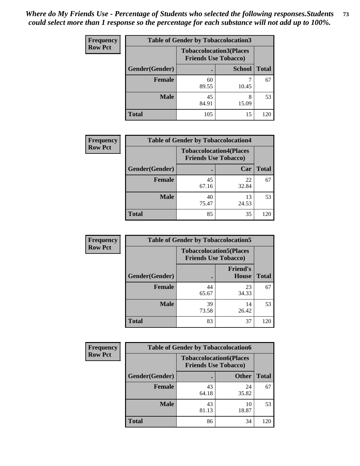| <b>Frequency</b> | <b>Table of Gender by Tobaccolocation3</b> |                                                               |               |              |  |
|------------------|--------------------------------------------|---------------------------------------------------------------|---------------|--------------|--|
| <b>Row Pct</b>   |                                            | <b>Tobaccolocation3(Places</b><br><b>Friends Use Tobacco)</b> |               |              |  |
|                  | Gender(Gender)                             |                                                               | <b>School</b> | <b>Total</b> |  |
|                  | <b>Female</b>                              | 60<br>89.55                                                   | 10.45         | 67           |  |
|                  | <b>Male</b>                                | 45<br>84.91                                                   | 8<br>15.09    | 53           |  |
|                  | Total                                      | 105                                                           | 15            | 120          |  |

| <b>Frequency</b> | <b>Table of Gender by Tobaccolocation4</b> |             |                                                               |              |
|------------------|--------------------------------------------|-------------|---------------------------------------------------------------|--------------|
| <b>Row Pct</b>   |                                            |             | <b>Tobaccolocation4(Places</b><br><b>Friends Use Tobacco)</b> |              |
|                  | Gender(Gender)                             |             | Car                                                           | <b>Total</b> |
|                  | <b>Female</b>                              | 45<br>67.16 | 22<br>32.84                                                   | 67           |
|                  | <b>Male</b>                                | 40<br>75.47 | 13<br>24.53                                                   | 53           |
|                  | <b>Total</b>                               | 85          | 35                                                            | 120          |

| <b>Frequency</b> | <b>Table of Gender by Tobaccolocation5</b>                    |             |                                 |              |
|------------------|---------------------------------------------------------------|-------------|---------------------------------|--------------|
| <b>Row Pct</b>   | <b>Tobaccolocation5(Places</b><br><b>Friends Use Tobacco)</b> |             |                                 |              |
|                  | Gender(Gender)                                                |             | <b>Friend's</b><br><b>House</b> | <b>Total</b> |
|                  | <b>Female</b>                                                 | 44<br>65.67 | 23<br>34.33                     | 67           |
|                  | <b>Male</b>                                                   | 39<br>73.58 | 14<br>26.42                     | 53           |
|                  | <b>Total</b>                                                  | 83          | 37                              | 120          |

| <b>Frequency</b> | <b>Table of Gender by Tobaccolocation6</b> |                                                               |              |              |
|------------------|--------------------------------------------|---------------------------------------------------------------|--------------|--------------|
| <b>Row Pct</b>   |                                            | <b>Tobaccolocation6(Places</b><br><b>Friends Use Tobacco)</b> |              |              |
|                  | Gender(Gender)                             |                                                               | <b>Other</b> | <b>Total</b> |
|                  | Female                                     | 43<br>64.18                                                   | 24<br>35.82  | 67           |
|                  | <b>Male</b>                                | 43<br>81.13                                                   | 10<br>18.87  | 53           |
|                  | <b>Total</b>                               | 86                                                            | 34           | 120          |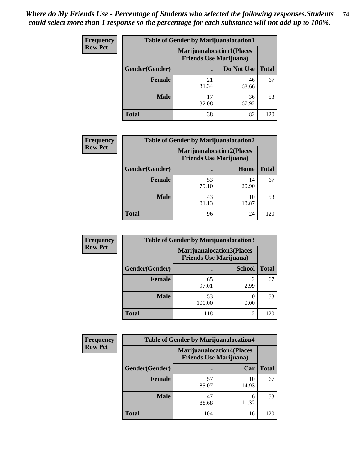| <b>Frequency</b> | <b>Table of Gender by Marijuanalocation1</b> |                                                                    |             |              |
|------------------|----------------------------------------------|--------------------------------------------------------------------|-------------|--------------|
| <b>Row Pct</b>   |                                              | <b>Marijuanalocation1(Places</b><br><b>Friends Use Marijuana</b> ) |             |              |
|                  | Gender(Gender)                               |                                                                    | Do Not Use  | <b>Total</b> |
|                  | <b>Female</b>                                | 21<br>31.34                                                        | 46<br>68.66 | 67           |
|                  | <b>Male</b>                                  | 17<br>32.08                                                        | 36<br>67.92 | 53           |
|                  | <b>Total</b>                                 | 38                                                                 | 82          | 120          |

| <b>Frequency</b> | <b>Table of Gender by Marijuanalocation2</b> |                                                                    |             |              |
|------------------|----------------------------------------------|--------------------------------------------------------------------|-------------|--------------|
| <b>Row Pct</b>   |                                              | <b>Marijuanalocation2(Places</b><br><b>Friends Use Marijuana</b> ) |             |              |
|                  | Gender(Gender)                               |                                                                    | Home        | <b>Total</b> |
|                  | Female                                       | 53<br>79.10                                                        | 14<br>20.90 | 67           |
|                  | <b>Male</b>                                  | 43<br>81.13                                                        | 10<br>18.87 | 53           |
|                  | <b>Total</b>                                 | 96                                                                 | 24          | 120          |

| Frequency      | <b>Table of Gender by Marijuanalocation3</b> |                                                                    |                |              |
|----------------|----------------------------------------------|--------------------------------------------------------------------|----------------|--------------|
| <b>Row Pct</b> |                                              | <b>Marijuanalocation3(Places</b><br><b>Friends Use Marijuana</b> ) |                |              |
|                | Gender(Gender)                               |                                                                    | <b>School</b>  | <b>Total</b> |
|                | Female                                       | 65<br>97.01                                                        | 2.99           | 67           |
|                | <b>Male</b>                                  | 53<br>100.00                                                       | 0.00           | 53           |
|                | <b>Total</b>                                 | 118                                                                | $\overline{2}$ | 120          |

| <b>Frequency</b> | <b>Table of Gender by Marijuanalocation4</b> |                                |                                   |              |  |
|------------------|----------------------------------------------|--------------------------------|-----------------------------------|--------------|--|
| <b>Row Pct</b>   |                                              | <b>Friends Use Marijuana</b> ) | <b>Marijuanalocation4(Places)</b> |              |  |
|                  | Gender(Gender)                               |                                | Car                               | <b>Total</b> |  |
|                  | <b>Female</b>                                | 57<br>85.07                    | 10<br>14.93                       | 67           |  |
|                  | <b>Male</b>                                  | 47<br>88.68                    | 6<br>11.32                        | 53           |  |
|                  | <b>Total</b>                                 | 104                            | 16                                | 20           |  |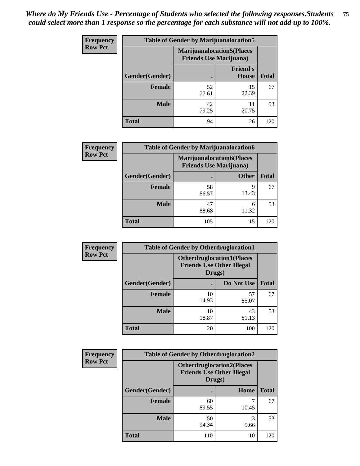| <b>Frequency</b> | <b>Table of Gender by Marijuanalocation5</b> |                                |                                   |              |
|------------------|----------------------------------------------|--------------------------------|-----------------------------------|--------------|
| <b>Row Pct</b>   |                                              | <b>Friends Use Marijuana</b> ) | <b>Marijuanalocation5</b> (Places |              |
|                  | Gender(Gender)                               |                                | <b>Friend's</b><br>House          | <b>Total</b> |
|                  | <b>Female</b>                                | 52<br>77.61                    | 15<br>22.39                       | 67           |
|                  | <b>Male</b>                                  | 42<br>79.25                    | 11<br>20.75                       | 53           |
|                  | <b>Total</b>                                 | 94                             | 26                                | 120          |

| <b>Frequency</b> | <b>Table of Gender by Marijuanalocation6</b> |                                                                    |              |              |
|------------------|----------------------------------------------|--------------------------------------------------------------------|--------------|--------------|
| <b>Row Pct</b>   |                                              | <b>Marijuanalocation6(Places</b><br><b>Friends Use Marijuana</b> ) |              |              |
|                  | <b>Gender</b> (Gender)                       |                                                                    | <b>Other</b> | <b>Total</b> |
|                  | <b>Female</b>                                | 58<br>86.57                                                        | 9<br>13.43   | 67           |
|                  | <b>Male</b>                                  | 47<br>88.68                                                        | 6<br>11.32   | 53           |
|                  | Total                                        | 105                                                                | 15           | 120          |

| <b>Frequency</b> | <b>Table of Gender by Otherdruglocation1</b> |                                                                                |             |              |
|------------------|----------------------------------------------|--------------------------------------------------------------------------------|-------------|--------------|
| <b>Row Pct</b>   |                                              | <b>Otherdruglocation1(Places</b><br><b>Friends Use Other Illegal</b><br>Drugs) |             |              |
|                  | Gender(Gender)                               |                                                                                | Do Not Use  | <b>Total</b> |
|                  | Female                                       | 10<br>14.93                                                                    | 57<br>85.07 | 67           |
|                  | <b>Male</b>                                  | 10<br>18.87                                                                    | 43<br>81.13 | 53           |
|                  | <b>Total</b>                                 | 20                                                                             | 100         | 120          |

| Frequency      | <b>Table of Gender by Otherdruglocation2</b>                                   |             |           |              |
|----------------|--------------------------------------------------------------------------------|-------------|-----------|--------------|
| <b>Row Pct</b> | <b>Otherdruglocation2(Places</b><br><b>Friends Use Other Illegal</b><br>Drugs) |             |           |              |
|                | Gender(Gender)                                                                 |             | Home      | <b>Total</b> |
|                | Female                                                                         | 60<br>89.55 | 10.45     | 67           |
|                | <b>Male</b>                                                                    | 50<br>94.34 | 3<br>5.66 | 53           |
|                | <b>Total</b>                                                                   | 110         | 10        | 120          |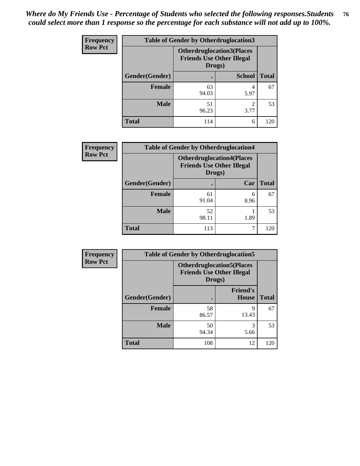| Frequency      | <b>Table of Gender by Otherdruglocation3</b> |                                                                                |               |              |
|----------------|----------------------------------------------|--------------------------------------------------------------------------------|---------------|--------------|
| <b>Row Pct</b> |                                              | <b>Otherdruglocation3(Places</b><br><b>Friends Use Other Illegal</b><br>Drugs) |               |              |
|                | Gender(Gender)                               |                                                                                | <b>School</b> | <b>Total</b> |
|                | <b>Female</b>                                | 63<br>94.03                                                                    | 5.97          | 67           |
|                | <b>Male</b>                                  | 51<br>96.23                                                                    | ∍<br>3.77     | 53           |
|                | <b>Total</b>                                 | 114                                                                            | 6             | 120          |

| <b>Frequency</b> | <b>Table of Gender by Otherdruglocation4</b> |                                                                                |           |              |
|------------------|----------------------------------------------|--------------------------------------------------------------------------------|-----------|--------------|
| <b>Row Pct</b>   |                                              | <b>Otherdruglocation4(Places</b><br><b>Friends Use Other Illegal</b><br>Drugs) |           |              |
|                  | Gender(Gender)                               |                                                                                | Car       | <b>Total</b> |
|                  | <b>Female</b>                                | 61<br>91.04                                                                    | 6<br>8.96 | 67           |
|                  | <b>Male</b>                                  | 52<br>98.11                                                                    | 1.89      | 53           |
|                  | <b>Total</b>                                 | 113                                                                            | 7         | 120          |

| Frequency      |                | <b>Table of Gender by Otherdruglocation5</b> |                                  |              |
|----------------|----------------|----------------------------------------------|----------------------------------|--------------|
| <b>Row Pct</b> |                | <b>Friends Use Other Illegal</b><br>Drugs)   | <b>Otherdruglocation5(Places</b> |              |
|                | Gender(Gender) |                                              | <b>Friend's</b><br><b>House</b>  | <b>Total</b> |
|                | <b>Female</b>  | 58<br>86.57                                  | q<br>13.43                       | 67           |
|                | <b>Male</b>    | 50<br>94.34                                  | 3<br>5.66                        | 53           |
|                | <b>Total</b>   | 108                                          | 12                               | 120          |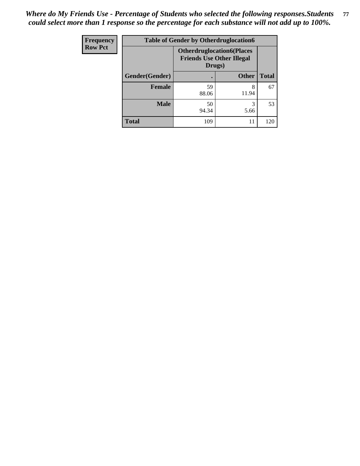| Frequency      | <b>Table of Gender by Otherdruglocation6</b> |                                                                                |              |              |
|----------------|----------------------------------------------|--------------------------------------------------------------------------------|--------------|--------------|
| <b>Row Pct</b> |                                              | <b>Otherdruglocation6(Places</b><br><b>Friends Use Other Illegal</b><br>Drugs) |              |              |
|                | Gender(Gender)                               |                                                                                | <b>Other</b> | <b>Total</b> |
|                | Female                                       | 59<br>88.06                                                                    | 8<br>11.94   | 67           |
|                | <b>Male</b>                                  | 50<br>94.34                                                                    | 5.66         | 53           |
|                | <b>Total</b>                                 | 109                                                                            | 11           | 120          |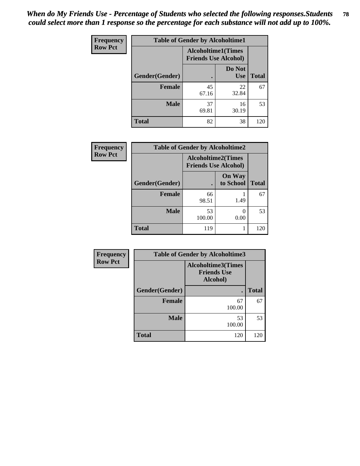| Frequency      | <b>Table of Gender by Alcoholtime1</b> |                                                          |                      |              |
|----------------|----------------------------------------|----------------------------------------------------------|----------------------|--------------|
| <b>Row Pct</b> |                                        | <b>Alcoholtime1(Times</b><br><b>Friends Use Alcohol)</b> |                      |              |
|                | Gender(Gender)                         | $\bullet$                                                | Do Not<br><b>Use</b> | <b>Total</b> |
|                | <b>Female</b>                          | 45<br>67.16                                              | 22<br>32.84          | 67           |
|                | <b>Male</b>                            | 37<br>69.81                                              | 16<br>30.19          | 53           |
|                | <b>Total</b>                           | 82                                                       | 38                   | 120          |

| <b>Frequency</b> | <b>Table of Gender by Alcoholtime2</b> |                                                          |                            |              |
|------------------|----------------------------------------|----------------------------------------------------------|----------------------------|--------------|
| <b>Row Pct</b>   |                                        | <b>Alcoholtime2(Times</b><br><b>Friends Use Alcohol)</b> |                            |              |
|                  | Gender(Gender)                         |                                                          | <b>On Way</b><br>to School | <b>Total</b> |
|                  | <b>Female</b>                          | 66<br>98.51                                              | 1.49                       | 67           |
|                  | <b>Male</b>                            | 53<br>100.00                                             | $\theta$<br>0.00           | 53           |
|                  | <b>Total</b>                           | 119                                                      |                            | 120          |

| <b>Frequency</b> | <b>Table of Gender by Alcoholtime3</b> |                                                             |              |
|------------------|----------------------------------------|-------------------------------------------------------------|--------------|
| <b>Row Pct</b>   |                                        | <b>Alcoholtime3(Times</b><br><b>Friends Use</b><br>Alcohol) |              |
|                  | Gender(Gender)                         |                                                             | <b>Total</b> |
|                  | <b>Female</b>                          | 67<br>100.00                                                | 67           |
|                  | <b>Male</b>                            | 53<br>100.00                                                | 53           |
|                  | <b>Total</b>                           | 120                                                         | 120          |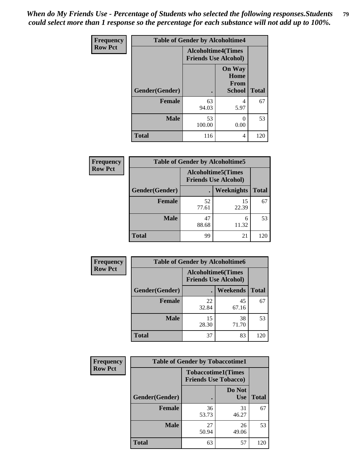*When do My Friends Use - Percentage of Students who selected the following responses.Students could select more than 1 response so the percentage for each substance will not add up to 100%.* **79**

| Frequency      |                | <b>Table of Gender by Alcoholtime4</b>                   |                                                |              |
|----------------|----------------|----------------------------------------------------------|------------------------------------------------|--------------|
| <b>Row Pct</b> |                | <b>Alcoholtime4(Times</b><br><b>Friends Use Alcohol)</b> |                                                |              |
|                | Gender(Gender) | $\bullet$                                                | <b>On Way</b><br>Home<br>From<br><b>School</b> | <b>Total</b> |
|                | <b>Female</b>  | 63<br>94.03                                              | 4<br>5.97                                      | 67           |
|                | <b>Male</b>    | 53<br>100.00                                             | 0<br>0.00                                      | 53           |
|                | <b>Total</b>   | 116                                                      | 4                                              | 120          |

| <b>Frequency</b> | <b>Table of Gender by Alcoholtime5</b> |                                                           |             |              |
|------------------|----------------------------------------|-----------------------------------------------------------|-------------|--------------|
| <b>Row Pct</b>   |                                        | <b>Alcoholtime5</b> (Times<br><b>Friends Use Alcohol)</b> |             |              |
|                  | Gender(Gender)                         |                                                           | Weeknights  | <b>Total</b> |
|                  | <b>Female</b>                          | 52<br>77.61                                               | 15<br>22.39 | 67           |
|                  | <b>Male</b>                            | 47<br>88.68                                               | 6<br>11.32  | 53           |
|                  | <b>Total</b>                           | 99                                                        | 21          | 120          |

| <b>Frequency</b> | <b>Table of Gender by Alcoholtime6</b> |             |                                                           |              |
|------------------|----------------------------------------|-------------|-----------------------------------------------------------|--------------|
| <b>Row Pct</b>   |                                        |             | <b>Alcoholtime6</b> (Times<br><b>Friends Use Alcohol)</b> |              |
|                  | Gender(Gender)                         |             | <b>Weekends</b>                                           | <b>Total</b> |
|                  | <b>Female</b>                          | 22<br>32.84 | 45<br>67.16                                               | 67           |
|                  | <b>Male</b>                            | 15<br>28.30 | 38<br>71.70                                               | 53           |
|                  | <b>Total</b>                           | 37          | 83                                                        | 120          |

| <b>Frequency</b> | <b>Table of Gender by Tobaccotime1</b> |                                                          |                      |              |
|------------------|----------------------------------------|----------------------------------------------------------|----------------------|--------------|
| <b>Row Pct</b>   |                                        | <b>Tobaccotime1(Times</b><br><b>Friends Use Tobacco)</b> |                      |              |
|                  | Gender(Gender)                         |                                                          | Do Not<br><b>Use</b> | <b>Total</b> |
|                  | <b>Female</b>                          | 36<br>53.73                                              | 31<br>46.27          | 67           |
|                  | <b>Male</b>                            | 27<br>50.94                                              | 26<br>49.06          | 53           |
|                  | <b>Total</b>                           | 63                                                       | 57                   | 120          |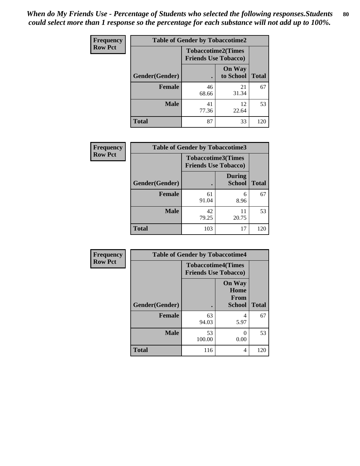| <b>Frequency</b> | <b>Table of Gender by Tobaccotime2</b> |                             |                            |              |
|------------------|----------------------------------------|-----------------------------|----------------------------|--------------|
| <b>Row Pct</b>   |                                        | <b>Friends Use Tobacco)</b> | <b>Tobaccotime2(Times</b>  |              |
|                  | Gender(Gender)                         |                             | <b>On Way</b><br>to School | <b>Total</b> |
|                  | <b>Female</b>                          | 46<br>68.66                 | 21<br>31.34                | 67           |
|                  | <b>Male</b>                            | 41<br>77.36                 | 12<br>22.64                | 53           |
|                  | <b>Total</b>                           | 87                          | 33                         | 120          |

| <b>Frequency</b> | <b>Table of Gender by Tobaccotime3</b> |                                                          |                                |              |
|------------------|----------------------------------------|----------------------------------------------------------|--------------------------------|--------------|
| <b>Row Pct</b>   |                                        | <b>Tobaccotime3(Times</b><br><b>Friends Use Tobacco)</b> |                                |              |
|                  | Gender(Gender)                         |                                                          | <b>During</b><br><b>School</b> | <b>Total</b> |
|                  | <b>Female</b>                          | 61<br>91.04                                              | 6<br>8.96                      | 67           |
|                  | <b>Male</b>                            | 42<br>79.25                                              | 11<br>20.75                    | 53           |
|                  | <b>Total</b>                           | 103                                                      | 17                             | 120          |

| Frequency      | <b>Table of Gender by Tobaccotime4</b> |                                                          |                                                |              |
|----------------|----------------------------------------|----------------------------------------------------------|------------------------------------------------|--------------|
| <b>Row Pct</b> |                                        | <b>Tobaccotime4(Times</b><br><b>Friends Use Tobacco)</b> |                                                |              |
|                | Gender(Gender)                         |                                                          | <b>On Way</b><br>Home<br>From<br><b>School</b> | <b>Total</b> |
|                | <b>Female</b>                          | 63<br>94.03                                              | 4<br>5.97                                      | 67           |
|                | <b>Male</b>                            | 53<br>100.00                                             | 0<br>0.00                                      | 53           |
|                | <b>Total</b>                           | 116                                                      | 4                                              | 120          |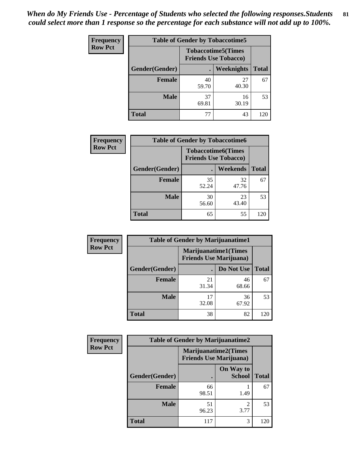| <b>Frequency</b> | <b>Table of Gender by Tobaccotime5</b> |                                                           |                   |              |  |
|------------------|----------------------------------------|-----------------------------------------------------------|-------------------|--------------|--|
| <b>Row Pct</b>   |                                        | <b>Tobaccotime5</b> (Times<br><b>Friends Use Tobacco)</b> |                   |              |  |
|                  | <b>Gender</b> (Gender)                 |                                                           | <b>Weeknights</b> | <b>Total</b> |  |
|                  | <b>Female</b>                          | 40<br>59.70                                               | 27<br>40.30       | 67           |  |
|                  | <b>Male</b>                            | 37<br>69.81                                               | 16<br>30.19       | 53           |  |
|                  | Total                                  | 77                                                        | 43                | 120          |  |

| <b>Frequency</b> | <b>Table of Gender by Tobaccotime6</b> |                                                          |                 |              |
|------------------|----------------------------------------|----------------------------------------------------------|-----------------|--------------|
| <b>Row Pct</b>   |                                        | <b>Tobaccotime6(Times</b><br><b>Friends Use Tobacco)</b> |                 |              |
|                  | Gender(Gender)                         |                                                          | <b>Weekends</b> | <b>Total</b> |
|                  | Female                                 | 35<br>52.24                                              | 32<br>47.76     | 67           |
|                  | <b>Male</b>                            | 30<br>56.60                                              | 23<br>43.40     | 53           |
|                  | <b>Total</b>                           | 65                                                       | 55              | 120          |

| <b>Frequency</b> | <b>Table of Gender by Marijuanatime1</b> |                                |                             |              |
|------------------|------------------------------------------|--------------------------------|-----------------------------|--------------|
| <b>Row Pct</b>   |                                          | <b>Friends Use Marijuana</b> ) | <b>Marijuanatime1(Times</b> |              |
|                  | Gender(Gender)                           |                                | Do Not Use                  | <b>Total</b> |
|                  | <b>Female</b>                            | 21<br>31.34                    | 46<br>68.66                 | 67           |
|                  | <b>Male</b>                              | 17<br>32.08                    | 36<br>67.92                 | 53           |
|                  | <b>Total</b>                             | 38                             | 82                          | 120          |

| <b>Frequency</b> | <b>Table of Gender by Marijuanatime2</b>                      |             |                            |              |
|------------------|---------------------------------------------------------------|-------------|----------------------------|--------------|
| <b>Row Pct</b>   | <b>Marijuanatime2(Times</b><br><b>Friends Use Marijuana</b> ) |             |                            |              |
|                  | Gender(Gender)                                                |             | On Way to<br><b>School</b> | <b>Total</b> |
|                  | <b>Female</b>                                                 | 66<br>98.51 | 1.49                       | 67           |
|                  | <b>Male</b>                                                   | 51<br>96.23 | $\mathfrak{D}$<br>3.77     | 53           |
|                  | <b>Total</b>                                                  | 117         | 3                          | 120          |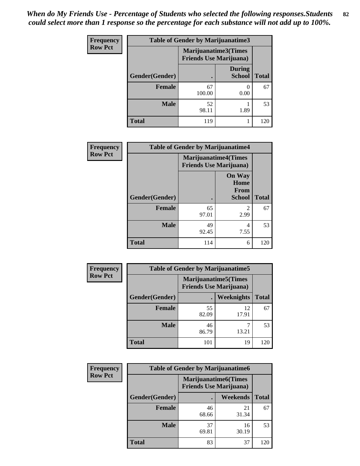| <b>Frequency</b> |                | <b>Table of Gender by Marijuanatime3</b> |                                |              |  |
|------------------|----------------|------------------------------------------|--------------------------------|--------------|--|
| <b>Row Pct</b>   |                | <b>Friends Use Marijuana</b> )           | Marijuanatime3(Times           |              |  |
|                  | Gender(Gender) |                                          | <b>During</b><br><b>School</b> | <b>Total</b> |  |
|                  | <b>Female</b>  | 67<br>100.00                             | 0.00                           | 67           |  |
|                  | <b>Male</b>    | 52<br>98.11                              | 1.89                           | 53           |  |
|                  | <b>Total</b>   | 119                                      |                                | 120          |  |

| Frequency      | <b>Table of Gender by Marijuanatime4</b> |                                |                                                       |              |
|----------------|------------------------------------------|--------------------------------|-------------------------------------------------------|--------------|
| <b>Row Pct</b> |                                          | <b>Friends Use Marijuana</b> ) | <b>Marijuanatime4(Times</b>                           |              |
|                | Gender(Gender)                           |                                | <b>On Way</b><br>Home<br><b>From</b><br><b>School</b> | <b>Total</b> |
|                | <b>Female</b>                            | 65<br>97.01                    | $\mathfrak{D}$<br>2.99                                | 67           |
|                | <b>Male</b>                              | 49<br>92.45                    | 4<br>7.55                                             | 53           |
|                | <b>Total</b>                             | 114                            | 6                                                     | 120          |

| Frequency      | <b>Table of Gender by Marijuanatime5</b>                       |             |             |              |  |
|----------------|----------------------------------------------------------------|-------------|-------------|--------------|--|
| <b>Row Pct</b> | <b>Marijuanatime5</b> (Times<br><b>Friends Use Marijuana</b> ) |             |             |              |  |
|                | Gender(Gender)                                                 |             | Weeknights  | <b>Total</b> |  |
|                | <b>Female</b>                                                  | 55<br>82.09 | 12<br>17.91 | 67           |  |
|                | <b>Male</b>                                                    | 46<br>86.79 | 13.21       | 53           |  |
|                | <b>Total</b>                                                   | 101         | 19          | 120          |  |

| <b>Frequency</b> | <b>Table of Gender by Marijuanatime6</b>                      |             |                 |              |  |
|------------------|---------------------------------------------------------------|-------------|-----------------|--------------|--|
| <b>Row Pct</b>   | <b>Marijuanatime6(Times</b><br><b>Friends Use Marijuana</b> ) |             |                 |              |  |
|                  | Gender(Gender)                                                |             | <b>Weekends</b> | <b>Total</b> |  |
|                  | <b>Female</b>                                                 | 46<br>68.66 | 21<br>31.34     | 67           |  |
|                  | <b>Male</b>                                                   | 37<br>69.81 | 16<br>30.19     | 53           |  |
|                  | Total                                                         | 83          | 37              | 120          |  |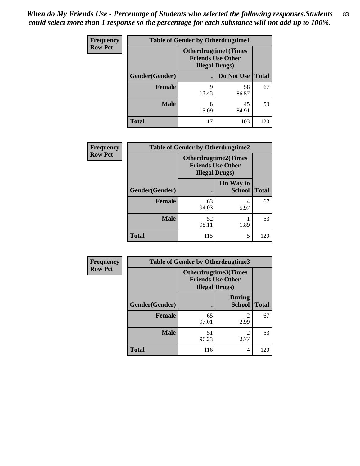| <b>Frequency</b> | <b>Table of Gender by Otherdrugtime1</b> |                        |                                                         |     |
|------------------|------------------------------------------|------------------------|---------------------------------------------------------|-----|
| <b>Row Pct</b>   |                                          | <b>Illegal Drugs</b> ) | <b>Otherdrugtime1(Times</b><br><b>Friends Use Other</b> |     |
|                  | Gender(Gender)                           |                        | Do Not Use   Total                                      |     |
|                  | <b>Female</b>                            | 9<br>13.43             | 58<br>86.57                                             | 67  |
|                  | <b>Male</b>                              | 8<br>15.09             | 45<br>84.91                                             | 53  |
|                  | <b>Total</b>                             | 17                     | 103                                                     | 120 |

| <b>Frequency</b> | <b>Table of Gender by Otherdrugtime2</b> |                                                                                   |                            |              |
|------------------|------------------------------------------|-----------------------------------------------------------------------------------|----------------------------|--------------|
| <b>Row Pct</b>   |                                          | <b>Otherdrugtime2(Times</b><br><b>Friends Use Other</b><br><b>Illegal Drugs</b> ) |                            |              |
|                  | Gender(Gender)                           |                                                                                   | On Way to<br><b>School</b> | <b>Total</b> |
|                  | <b>Female</b>                            | 63<br>94.03                                                                       | 4<br>5.97                  | 67           |
|                  | <b>Male</b>                              | 52<br>98.11                                                                       | 1.89                       | 53           |
|                  | <b>Total</b>                             | 115                                                                               | 5                          | 120          |

| <b>Frequency</b> | Table of Gender by Otherdrugtime3 |                                                                            |                                |              |  |
|------------------|-----------------------------------|----------------------------------------------------------------------------|--------------------------------|--------------|--|
| <b>Row Pct</b>   |                                   | Otherdrugtime3(Times<br><b>Friends Use Other</b><br><b>Illegal Drugs</b> ) |                                |              |  |
|                  | Gender(Gender)                    | $\bullet$                                                                  | <b>During</b><br><b>School</b> | <b>Total</b> |  |
|                  | <b>Female</b>                     | 65<br>97.01                                                                | $\mathfrak{D}$<br>2.99         | 67           |  |
|                  | <b>Male</b>                       | 51<br>96.23                                                                | $\mathfrak{D}$<br>3.77         | 53           |  |
|                  | <b>Total</b>                      | 116                                                                        | 4                              | 120          |  |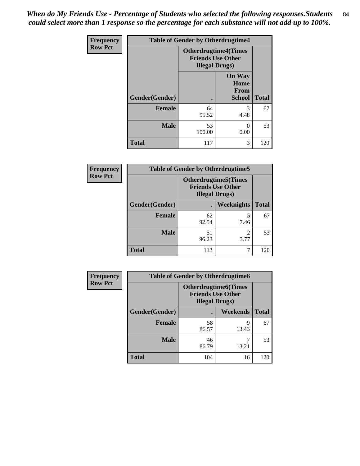*When do My Friends Use - Percentage of Students who selected the following responses.Students could select more than 1 response so the percentage for each substance will not add up to 100%.* **84**

| <b>Frequency</b> | <b>Table of Gender by Otherdrugtime4</b> |                                                                                   |                                                |              |
|------------------|------------------------------------------|-----------------------------------------------------------------------------------|------------------------------------------------|--------------|
| <b>Row Pct</b>   |                                          | <b>Otherdrugtime4(Times</b><br><b>Friends Use Other</b><br><b>Illegal Drugs</b> ) |                                                |              |
|                  | Gender(Gender)                           |                                                                                   | <b>On Way</b><br>Home<br>From<br><b>School</b> | <b>Total</b> |
|                  | <b>Female</b>                            | 64<br>95.52                                                                       | 3<br>4.48                                      | 67           |
|                  | <b>Male</b>                              | 53<br>100.00                                                                      | 0.00                                           | 53           |
|                  | <b>Total</b>                             | 117                                                                               | 3                                              | 120          |

| Frequency      | <b>Table of Gender by Otherdrugtime5</b> |                                                                                    |            |              |  |
|----------------|------------------------------------------|------------------------------------------------------------------------------------|------------|--------------|--|
| <b>Row Pct</b> |                                          | <b>Otherdrugtime5</b> (Times<br><b>Friends Use Other</b><br><b>Illegal Drugs</b> ) |            |              |  |
|                | Gender(Gender)                           |                                                                                    | Weeknights | <b>Total</b> |  |
|                | <b>Female</b>                            | 62<br>92.54                                                                        | 7.46       | 67           |  |
|                | <b>Male</b>                              | 51<br>96.23                                                                        | 3.77       | 53           |  |
|                | <b>Total</b>                             | 113                                                                                |            | 120          |  |

| <b>Frequency</b> | <b>Table of Gender by Otherdrugtime6</b> |                                                                                   |            |              |  |
|------------------|------------------------------------------|-----------------------------------------------------------------------------------|------------|--------------|--|
| <b>Row Pct</b>   |                                          | <b>Otherdrugtime6(Times</b><br><b>Friends Use Other</b><br><b>Illegal Drugs</b> ) |            |              |  |
|                  | Gender(Gender)                           |                                                                                   | Weekends   | <b>Total</b> |  |
|                  | <b>Female</b>                            | 58<br>86.57                                                                       | 9<br>13.43 | 67           |  |
|                  | <b>Male</b>                              | 46<br>86.79                                                                       | 13.21      | 53           |  |
|                  | <b>Total</b>                             | 104                                                                               | 16         | 120          |  |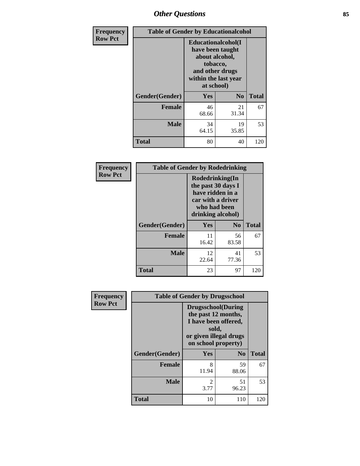## *Other Questions* **85**

| <b>Frequency</b> | <b>Table of Gender by Educationalcohol</b> |                                                                                                                                       |                |              |
|------------------|--------------------------------------------|---------------------------------------------------------------------------------------------------------------------------------------|----------------|--------------|
| <b>Row Pct</b>   |                                            | <b>Educationalcohol</b> (I<br>have been taught<br>about alcohol,<br>tobacco,<br>and other drugs<br>within the last year<br>at school) |                |              |
|                  | Gender(Gender)                             | <b>Yes</b>                                                                                                                            | N <sub>0</sub> | <b>Total</b> |
|                  | <b>Female</b>                              | 46<br>68.66                                                                                                                           | 21<br>31.34    | 67           |
|                  | <b>Male</b>                                | 34<br>64.15                                                                                                                           | 19<br>35.85    | 53           |
|                  | <b>Total</b>                               | 80                                                                                                                                    | 40             | 120          |

| Frequency      | <b>Table of Gender by Rodedrinking</b> |                                                                                                                     |             |              |  |
|----------------|----------------------------------------|---------------------------------------------------------------------------------------------------------------------|-------------|--------------|--|
| <b>Row Pct</b> |                                        | Rodedrinking(In<br>the past 30 days I<br>have ridden in a<br>car with a driver<br>who had been<br>drinking alcohol) |             |              |  |
|                | Gender(Gender)                         | Yes                                                                                                                 | $\bf N_0$   | <b>Total</b> |  |
|                | <b>Female</b>                          | 11<br>16.42                                                                                                         | 56<br>83.58 | 67           |  |
|                | <b>Male</b>                            | 12<br>22.64                                                                                                         | 41<br>77.36 | 53           |  |
|                | <b>Total</b>                           | 23                                                                                                                  | 97          | 120          |  |

| Frequency      |                | <b>Table of Gender by Drugsschool</b>                                                                                               |                |              |
|----------------|----------------|-------------------------------------------------------------------------------------------------------------------------------------|----------------|--------------|
| <b>Row Pct</b> |                | <b>Drugsschool</b> (During<br>the past 12 months,<br>I have been offered,<br>sold,<br>or given illegal drugs<br>on school property) |                |              |
|                | Gender(Gender) | Yes                                                                                                                                 | N <sub>0</sub> | <b>Total</b> |
|                | <b>Female</b>  | 8<br>11.94                                                                                                                          | 59<br>88.06    | 67           |
|                | <b>Male</b>    | 2<br>3.77                                                                                                                           | 51<br>96.23    | 53           |
|                | <b>Total</b>   | 10                                                                                                                                  | 110            | 120          |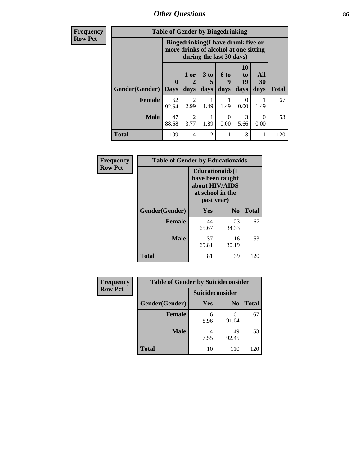*Other Questions* **86**

**Frequency Row Pct**

| <b>Table of Gender by Bingedrinking</b> |             |                                                                                                                 |           |                  |                |           |              |
|-----------------------------------------|-------------|-----------------------------------------------------------------------------------------------------------------|-----------|------------------|----------------|-----------|--------------|
|                                         |             | <b>Bingedrinking</b> (I have drunk five or<br>more drinks of alcohol at one sitting<br>during the last 30 days) |           |                  |                |           |              |
| Gender(Gender)                          | $\bf{0}$    | 1 or<br>2                                                                                                       | 3 to<br>5 | <b>6 to</b><br>9 | 10<br>to<br>19 | All<br>30 |              |
|                                         | <b>Days</b> | days                                                                                                            | days      | days             | days           | days      | <b>Total</b> |
| <b>Female</b>                           | 62<br>92.54 | $\mathcal{L}$<br>2.99                                                                                           | 1.49      | 1.49             | 0.00           | 1.49      | 67           |
| <b>Male</b>                             | 47<br>88.68 | 2<br>3.77                                                                                                       | 1.89      | 0.00             | 3<br>5.66      | 0<br>0.00 | 53           |

| Frequency      | <b>Table of Gender by Educationaids</b> |                                                                                                 |             |              |  |
|----------------|-----------------------------------------|-------------------------------------------------------------------------------------------------|-------------|--------------|--|
| <b>Row Pct</b> |                                         | <b>Educationaids</b> (I<br>have been taught<br>about HIV/AIDS<br>at school in the<br>past year) |             |              |  |
|                | Gender(Gender)                          | Yes                                                                                             | $\bf N_0$   | <b>Total</b> |  |
|                | <b>Female</b>                           | 44<br>65.67                                                                                     | 23<br>34.33 | 67           |  |
|                | <b>Male</b>                             | 37<br>69.81                                                                                     | 16<br>30.19 | 53           |  |
|                | <b>Total</b>                            | 81                                                                                              | 39          | 120          |  |

| <b>Frequency</b> | <b>Table of Gender by Suicideconsider</b> |                 |                |              |
|------------------|-------------------------------------------|-----------------|----------------|--------------|
| <b>Row Pct</b>   |                                           | Suicideconsider |                |              |
|                  | Gender(Gender)                            | Yes             | N <sub>0</sub> | <b>Total</b> |
|                  | <b>Female</b>                             | 6<br>8.96       | 61<br>91.04    | 67           |
|                  | <b>Male</b>                               | 7.55            | 49<br>92.45    | 53           |
|                  | <b>Total</b>                              | 10              | 110            | 120          |